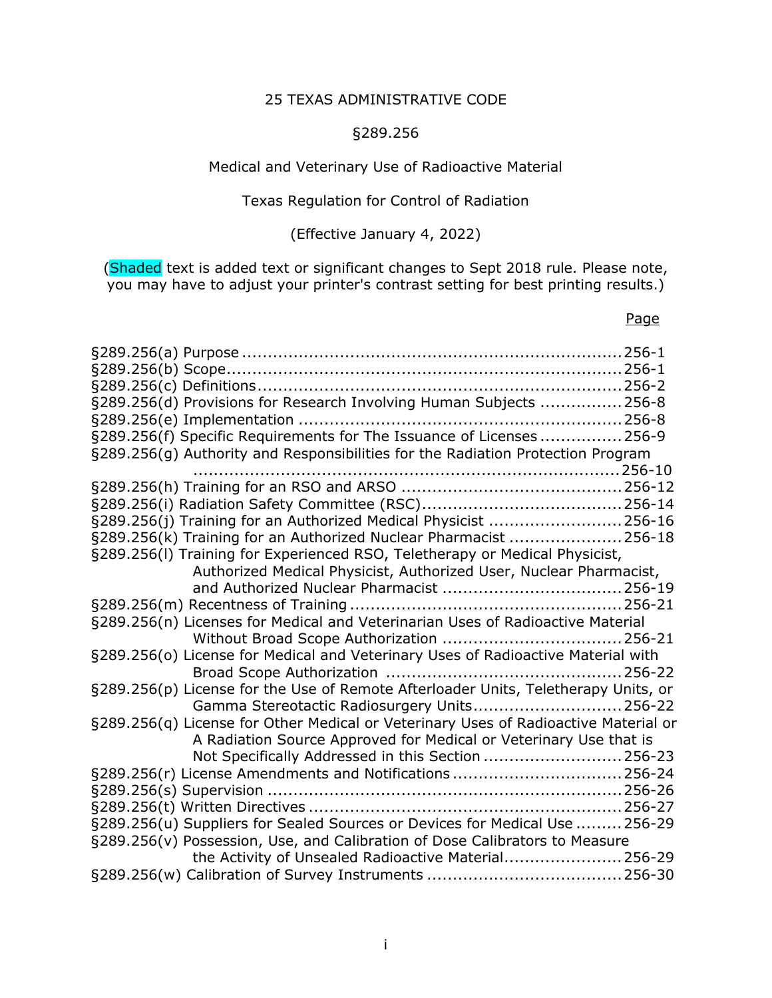# 25 TEXAS ADMINISTRATIVE CODE

# §289.256

### Medical and Veterinary Use of Radioactive Material

### Texas Regulation for Control of Radiation

## (Effective January 4, 2022)

(Shaded text is added text or significant changes to Sept 2018 rule. Please note, you may have to adjust your printer's contrast setting for best printing results.)

#### Page

| §289.256(d) Provisions for Research Involving Human Subjects 256-8                  |  |  |
|-------------------------------------------------------------------------------------|--|--|
|                                                                                     |  |  |
| §289.256(f) Specific Requirements for The Issuance of Licenses  256-9               |  |  |
|                                                                                     |  |  |
| §289.256(g) Authority and Responsibilities for the Radiation Protection Program     |  |  |
|                                                                                     |  |  |
|                                                                                     |  |  |
|                                                                                     |  |  |
| §289.256(j) Training for an Authorized Medical Physicist 256-16                     |  |  |
| §289.256(k) Training for an Authorized Nuclear Pharmacist 256-18                    |  |  |
| §289.256(I) Training for Experienced RSO, Teletherapy or Medical Physicist,         |  |  |
| Authorized Medical Physicist, Authorized User, Nuclear Pharmacist,                  |  |  |
|                                                                                     |  |  |
|                                                                                     |  |  |
| §289.256(n) Licenses for Medical and Veterinarian Uses of Radioactive Material      |  |  |
|                                                                                     |  |  |
| §289.256(o) License for Medical and Veterinary Uses of Radioactive Material with    |  |  |
|                                                                                     |  |  |
| §289.256(p) License for the Use of Remote Afterloader Units, Teletherapy Units, or  |  |  |
| Gamma Stereotactic Radiosurgery Units 256-22                                        |  |  |
| §289.256(q) License for Other Medical or Veterinary Uses of Radioactive Material or |  |  |
| A Radiation Source Approved for Medical or Veterinary Use that is                   |  |  |
| Not Specifically Addressed in this Section  256-23                                  |  |  |
| §289.256(r) License Amendments and Notifications  256-24                            |  |  |
|                                                                                     |  |  |
|                                                                                     |  |  |
| §289.256(u) Suppliers for Sealed Sources or Devices for Medical Use  256-29         |  |  |
| §289.256(v) Possession, Use, and Calibration of Dose Calibrators to Measure         |  |  |
| the Activity of Unsealed Radioactive Material256-29                                 |  |  |
|                                                                                     |  |  |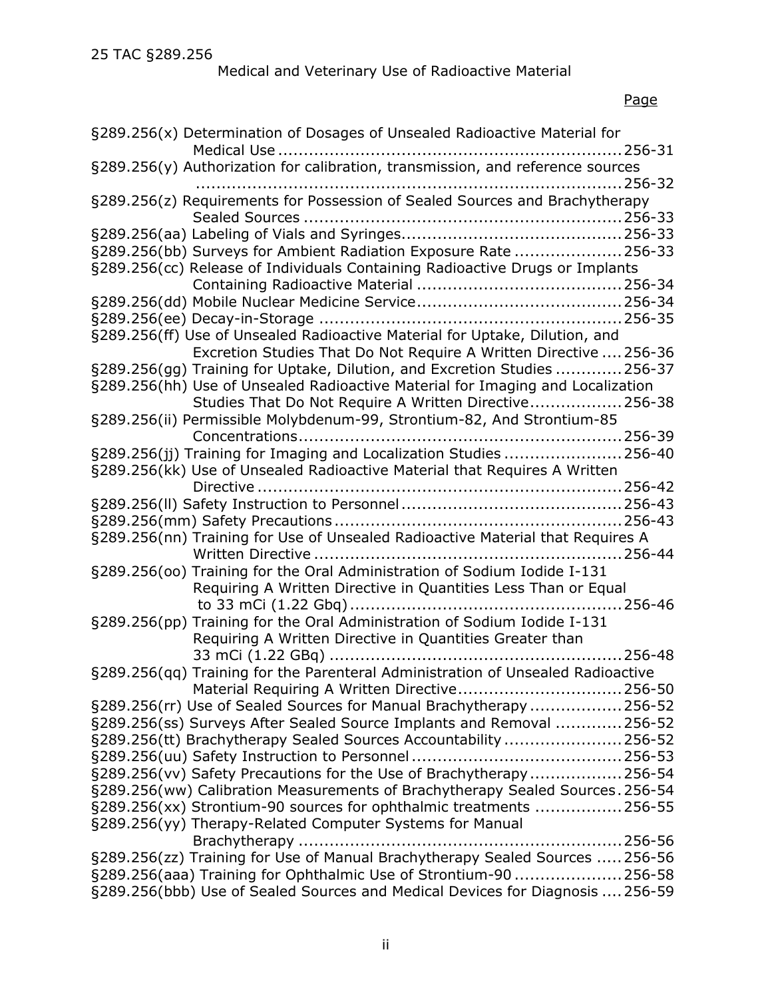# Medical and Veterinary Use of Radioactive Material

# Page

| §289.256(x) Determination of Dosages of Unsealed Radioactive Material for                                                                |
|------------------------------------------------------------------------------------------------------------------------------------------|
|                                                                                                                                          |
| §289.256(y) Authorization for calibration, transmission, and reference sources                                                           |
|                                                                                                                                          |
| §289.256(z) Requirements for Possession of Sealed Sources and Brachytherapy                                                              |
|                                                                                                                                          |
|                                                                                                                                          |
| §289.256(bb) Surveys for Ambient Radiation Exposure Rate 256-33                                                                          |
| §289.256(cc) Release of Individuals Containing Radioactive Drugs or Implants                                                             |
|                                                                                                                                          |
|                                                                                                                                          |
| §289.256(ff) Use of Unsealed Radioactive Material for Uptake, Dilution, and                                                              |
| Excretion Studies That Do Not Require A Written Directive  256-36                                                                        |
| §289.256(gg) Training for Uptake, Dilution, and Excretion Studies 256-37                                                                 |
| §289.256(hh) Use of Unsealed Radioactive Material for Imaging and Localization                                                           |
| Studies That Do Not Require A Written Directive 256-38                                                                                   |
| §289.256(ii) Permissible Molybdenum-99, Strontium-82, And Strontium-85                                                                   |
|                                                                                                                                          |
| §289.256(jj) Training for Imaging and Localization Studies  256-40                                                                       |
| §289.256(kk) Use of Unsealed Radioactive Material that Requires A Written                                                                |
|                                                                                                                                          |
|                                                                                                                                          |
|                                                                                                                                          |
| §289.256(nn) Training for Use of Unsealed Radioactive Material that Requires A                                                           |
|                                                                                                                                          |
| §289.256(00) Training for the Oral Administration of Sodium Iodide I-131                                                                 |
| Requiring A Written Directive in Quantities Less Than or Equal                                                                           |
|                                                                                                                                          |
| §289.256(pp) Training for the Oral Administration of Sodium Iodide I-131                                                                 |
| Requiring A Written Directive in Quantities Greater than                                                                                 |
|                                                                                                                                          |
| §289.256(qq) Training for the Parenteral Administration of Unsealed Radioactive                                                          |
| Material Requiring A Written Directive256-50                                                                                             |
| §289.256(rr) Use of Sealed Sources for Manual Brachytherapy 256-52                                                                       |
| §289.256(ss) Surveys After Sealed Source Implants and Removal  256-52<br>§289.256(tt) Brachytherapy Sealed Sources Accountability 256-52 |
|                                                                                                                                          |
| §289.256(vv) Safety Precautions for the Use of Brachytherapy256-54                                                                       |
| §289.256(ww) Calibration Measurements of Brachytherapy Sealed Sources. 256-54                                                            |
| §289.256(xx) Strontium-90 sources for ophthalmic treatments 256-55                                                                       |
| §289.256(yy) Therapy-Related Computer Systems for Manual                                                                                 |
|                                                                                                                                          |
| §289.256(zz) Training for Use of Manual Brachytherapy Sealed Sources  256-56                                                             |
| §289.256(aaa) Training for Ophthalmic Use of Strontium-90256-58                                                                          |
| §289.256(bbb) Use of Sealed Sources and Medical Devices for Diagnosis  256-59                                                            |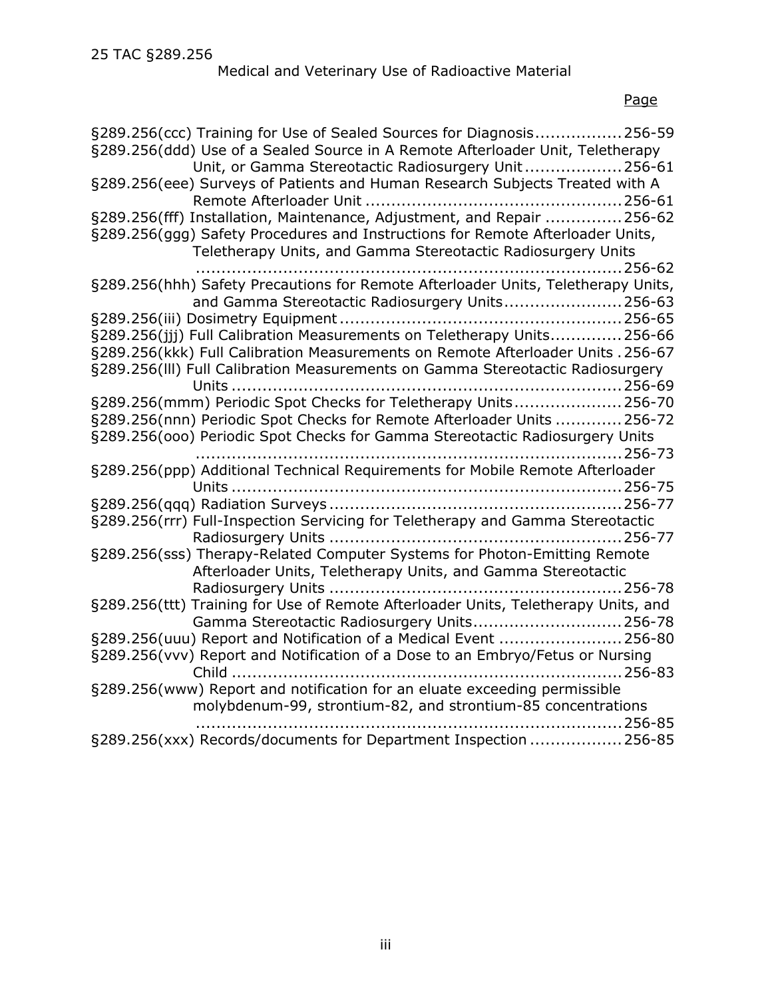# Medical and Veterinary Use of Radioactive Material

# Page

| §289.256(ccc) Training for Use of Sealed Sources for Diagnosis256-59<br>§289.256(ddd) Use of a Sealed Source in A Remote Afterloader Unit, Teletherapy<br>Unit, or Gamma Stereotactic Radiosurgery Unit 256-61 |
|----------------------------------------------------------------------------------------------------------------------------------------------------------------------------------------------------------------|
| §289.256(eee) Surveys of Patients and Human Research Subjects Treated with A                                                                                                                                   |
| §289.256(fff) Installation, Maintenance, Adjustment, and Repair 256-62                                                                                                                                         |
| §289.256(ggg) Safety Procedures and Instructions for Remote Afterloader Units,<br>Teletherapy Units, and Gamma Stereotactic Radiosurgery Units                                                                 |
| . 256-62<br>.<br>§289.256(hhh) Safety Precautions for Remote Afterloader Units, Teletherapy Units,                                                                                                             |
| and Gamma Stereotactic Radiosurgery Units 256-63                                                                                                                                                               |
| §289.256(jjj) Full Calibration Measurements on Teletherapy Units256-66                                                                                                                                         |
| §289.256(kkk) Full Calibration Measurements on Remote Afterloader Units . 256-67                                                                                                                               |
| §289.256(III) Full Calibration Measurements on Gamma Stereotactic Radiosurgery                                                                                                                                 |
| §289.256(mmm) Periodic Spot Checks for Teletherapy Units256-70                                                                                                                                                 |
| §289.256(nnn) Periodic Spot Checks for Remote Afterloader Units  256-72                                                                                                                                        |
| §289.256(000) Periodic Spot Checks for Gamma Stereotactic Radiosurgery Units                                                                                                                                   |
|                                                                                                                                                                                                                |
| §289.256(ppp) Additional Technical Requirements for Mobile Remote Afterloader                                                                                                                                  |
|                                                                                                                                                                                                                |
| §289.256(rrr) Full-Inspection Servicing for Teletherapy and Gamma Stereotactic                                                                                                                                 |
|                                                                                                                                                                                                                |
| §289.256(sss) Therapy-Related Computer Systems for Photon-Emitting Remote<br>Afterloader Units, Teletherapy Units, and Gamma Stereotactic                                                                      |
|                                                                                                                                                                                                                |
| §289.256(ttt) Training for Use of Remote Afterloader Units, Teletherapy Units, and<br>Gamma Stereotactic Radiosurgery Units256-78                                                                              |
| §289.256(uuu) Report and Notification of a Medical Event  256-80                                                                                                                                               |
| §289.256(vvv) Report and Notification of a Dose to an Embryo/Fetus or Nursing                                                                                                                                  |
| §289.256(www) Report and notification for an eluate exceeding permissible                                                                                                                                      |
| molybdenum-99, strontium-82, and strontium-85 concentrations<br>256-85                                                                                                                                         |
| §289.256(xxx) Records/documents for Department Inspection  256-85                                                                                                                                              |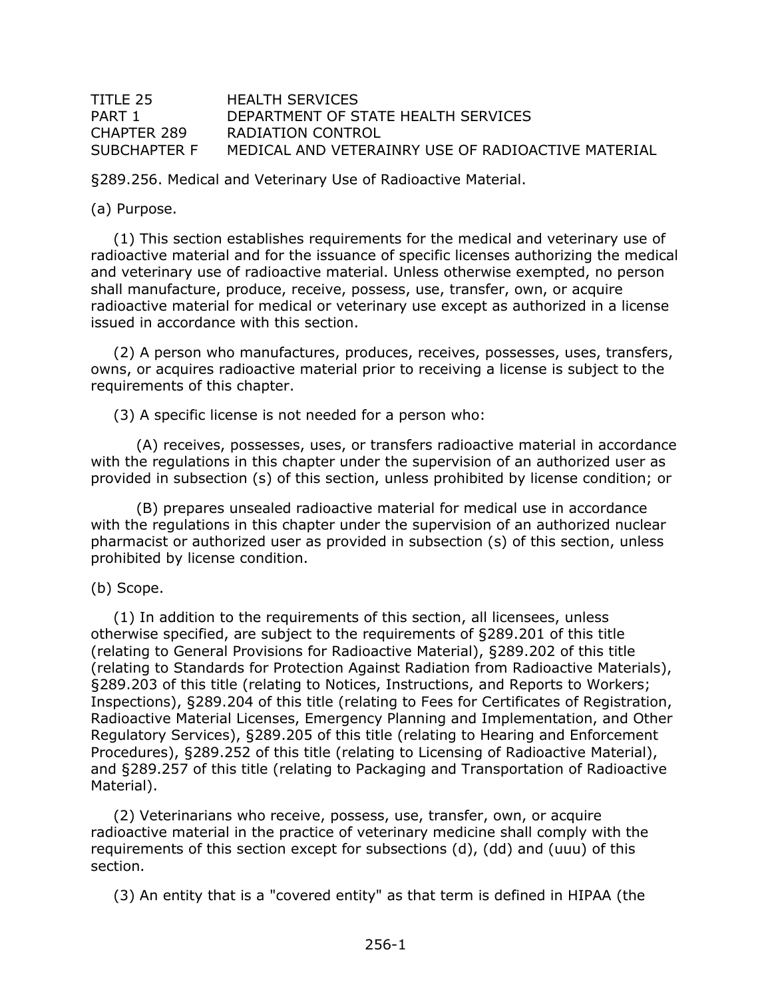### <span id="page-3-0"></span>TITLE 25 HEALTH SERVICES PART 1 DEPARTMENT OF STATE HEALTH SERVICES CHAPTER 289 RADIATION CONTROL SUBCHAPTER F MEDICAL AND VETERAINRY USE OF RADIOACTIVE MATERIAL

§289.256. Medical and Veterinary Use of Radioactive Material.

(a) Purpose.

(1) This section establishes requirements for the medical and veterinary use of radioactive material and for the issuance of specific licenses authorizing the medical and veterinary use of radioactive material. Unless otherwise exempted, no person shall manufacture, produce, receive, possess, use, transfer, own, or acquire radioactive material for medical or veterinary use except as authorized in a license issued in accordance with this section.

(2) A person who manufactures, produces, receives, possesses, uses, transfers, owns, or acquires radioactive material prior to receiving a license is subject to the requirements of this chapter.

(3) A specific license is not needed for a person who:

(A) receives, possesses, uses, or transfers radioactive material in accordance with the regulations in this chapter under the supervision of an authorized user as provided in subsection (s) of this section, unless prohibited by license condition; or

(B) prepares unsealed radioactive material for medical use in accordance with the regulations in this chapter under the supervision of an authorized nuclear pharmacist or authorized user as provided in subsection (s) of this section, unless prohibited by license condition.

(b) Scope.

(1) In addition to the requirements of this section, all licensees, unless otherwise specified, are subject to the requirements of §289.201 of this title (relating to General Provisions for Radioactive Material), §289.202 of this title (relating to Standards for Protection Against Radiation from Radioactive Materials), §289.203 of this title (relating to Notices, Instructions, and Reports to Workers; Inspections), §289.204 of this title (relating to Fees for Certificates of Registration, Radioactive Material Licenses, Emergency Planning and Implementation, and Other Regulatory Services), §289.205 of this title (relating to Hearing and Enforcement Procedures), §289.252 of this title (relating to Licensing of Radioactive Material), and §289.257 of this title (relating to Packaging and Transportation of Radioactive Material).

(2) Veterinarians who receive, possess, use, transfer, own, or acquire radioactive material in the practice of veterinary medicine shall comply with the requirements of this section except for subsections (d), (dd) and (uuu) of this section.

(3) An entity that is a "covered entity" as that term is defined in HIPAA (the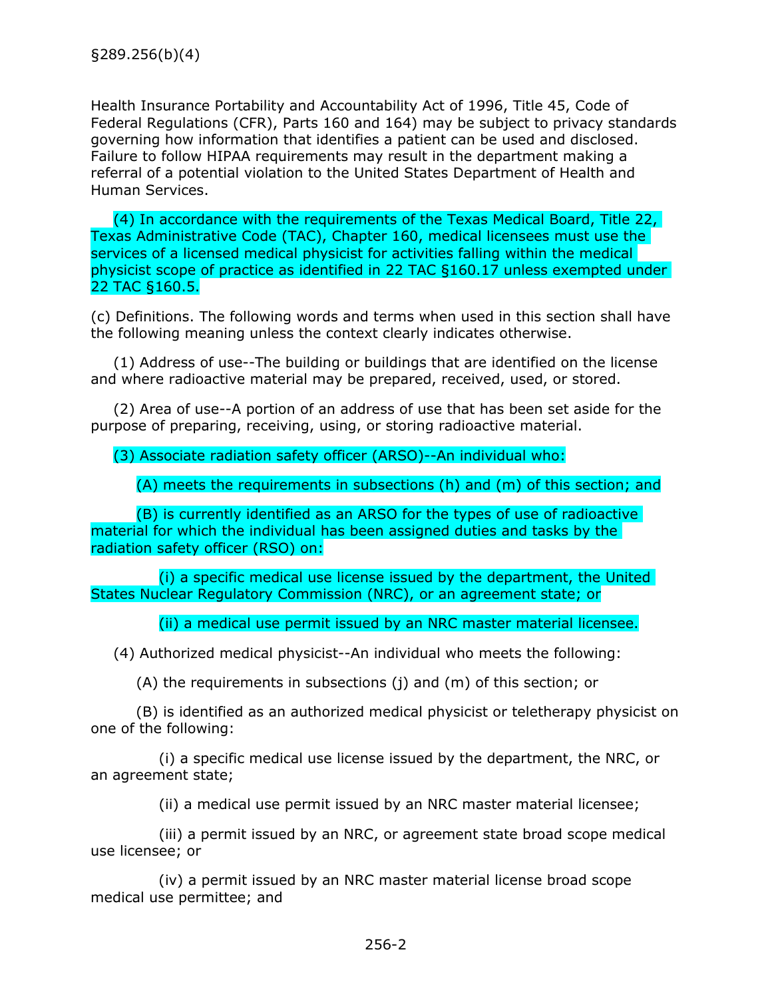<span id="page-4-0"></span>Health Insurance Portability and Accountability Act of 1996, Title 45, Code of Federal Regulations (CFR), Parts 160 and 164) may be subject to privacy standards governing how information that identifies a patient can be used and disclosed. Failure to follow HIPAA requirements may result in the department making a referral of a potential violation to the United States Department of Health and Human Services.

(4) In accordance with the requirements of the Texas Medical Board, Title 22, Texas Administrative Code (TAC), Chapter 160, medical licensees must use the services of a licensed medical physicist for activities falling within the medical physicist scope of practice as identified in 22 TAC §160.17 unless exempted under 22 TAC §160.5.

(c) Definitions. The following words and terms when used in this section shall have the following meaning unless the context clearly indicates otherwise.

(1) Address of use--The building or buildings that are identified on the license and where radioactive material may be prepared, received, used, or stored.

(2) Area of use--A portion of an address of use that has been set aside for the purpose of preparing, receiving, using, or storing radioactive material.

### (3) Associate radiation safety officer (ARSO)--An individual who:

(A) meets the requirements in subsections (h) and (m) of this section; and

(B) is currently identified as an ARSO for the types of use of radioactive material for which the individual has been assigned duties and tasks by the radiation safety officer (RSO) on:

(i) a specific medical use license issued by the department, the United States Nuclear Regulatory Commission (NRC), or an agreement state; or

(ii) a medical use permit issued by an NRC master material licensee.

(4) Authorized medical physicist--An individual who meets the following:

(A) the requirements in subsections (j) and (m) of this section; or

(B) is identified as an authorized medical physicist or teletherapy physicist on one of the following:

(i) a specific medical use license issued by the department, the NRC, or an agreement state;

(ii) a medical use permit issued by an NRC master material licensee;

(iii) a permit issued by an NRC, or agreement state broad scope medical use licensee; or

(iv) a permit issued by an NRC master material license broad scope medical use permittee; and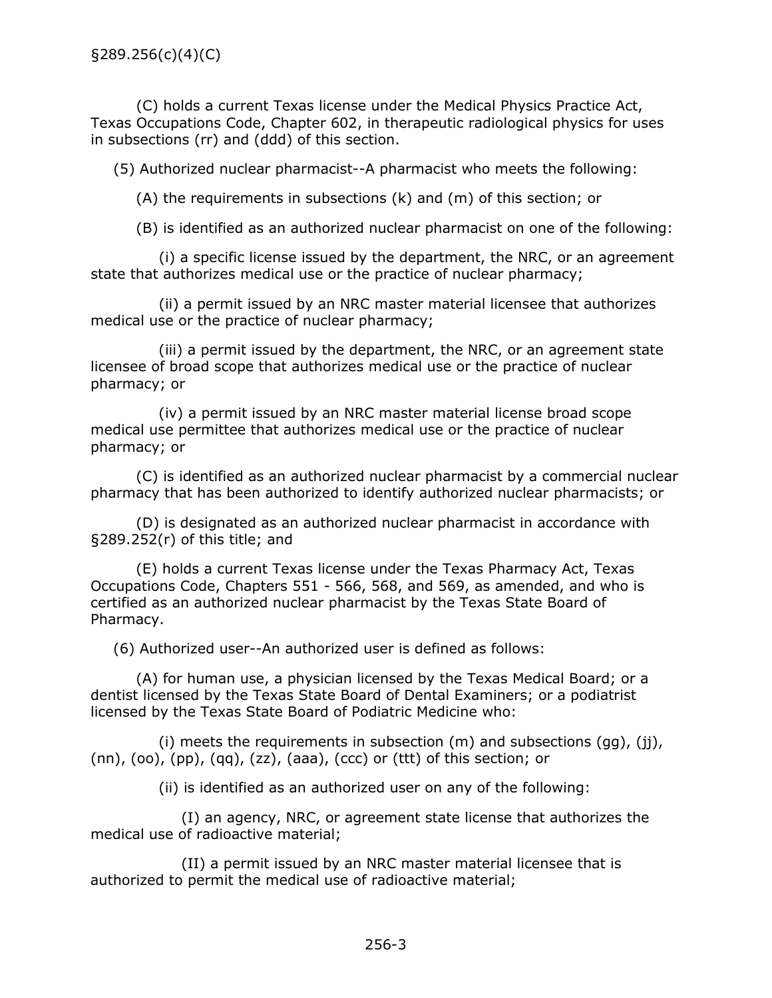(C) holds a current Texas license under the Medical Physics Practice Act, Texas Occupations Code, Chapter 602, in therapeutic radiological physics for uses in subsections (rr) and (ddd) of this section.

(5) Authorized nuclear pharmacist--A pharmacist who meets the following:

(A) the requirements in subsections (k) and (m) of this section; or

(B) is identified as an authorized nuclear pharmacist on one of the following:

(i) a specific license issued by the department, the NRC, or an agreement state that authorizes medical use or the practice of nuclear pharmacy;

(ii) a permit issued by an NRC master material licensee that authorizes medical use or the practice of nuclear pharmacy;

(iii) a permit issued by the department, the NRC, or an agreement state licensee of broad scope that authorizes medical use or the practice of nuclear pharmacy; or

(iv) a permit issued by an NRC master material license broad scope medical use permittee that authorizes medical use or the practice of nuclear pharmacy; or

(C) is identified as an authorized nuclear pharmacist by a commercial nuclear pharmacy that has been authorized to identify authorized nuclear pharmacists; or

(D) is designated as an authorized nuclear pharmacist in accordance with §289.252(r) of this title; and

(E) holds a current Texas license under the Texas Pharmacy Act, Texas Occupations Code, Chapters 551 - 566, 568, and 569, as amended, and who is certified as an authorized nuclear pharmacist by the Texas State Board of Pharmacy.

(6) Authorized user--An authorized user is defined as follows:

(A) for human use, a physician licensed by the Texas Medical Board; or a dentist licensed by the Texas State Board of Dental Examiners; or a podiatrist licensed by the Texas State Board of Podiatric Medicine who:

(i) meets the requirements in subsection  $(m)$  and subsections  $(gg)$ ,  $(jj)$ ,  $(nn)$ ,  $(oo)$ ,  $(pp)$ ,  $(qq)$ ,  $(zz)$ ,  $(aaa)$ ,  $(ccc)$  or  $(ttt)$  of this section; or

(ii) is identified as an authorized user on any of the following:

(I) an agency, NRC, or agreement state license that authorizes the medical use of radioactive material;

(II) a permit issued by an NRC master material licensee that is authorized to permit the medical use of radioactive material;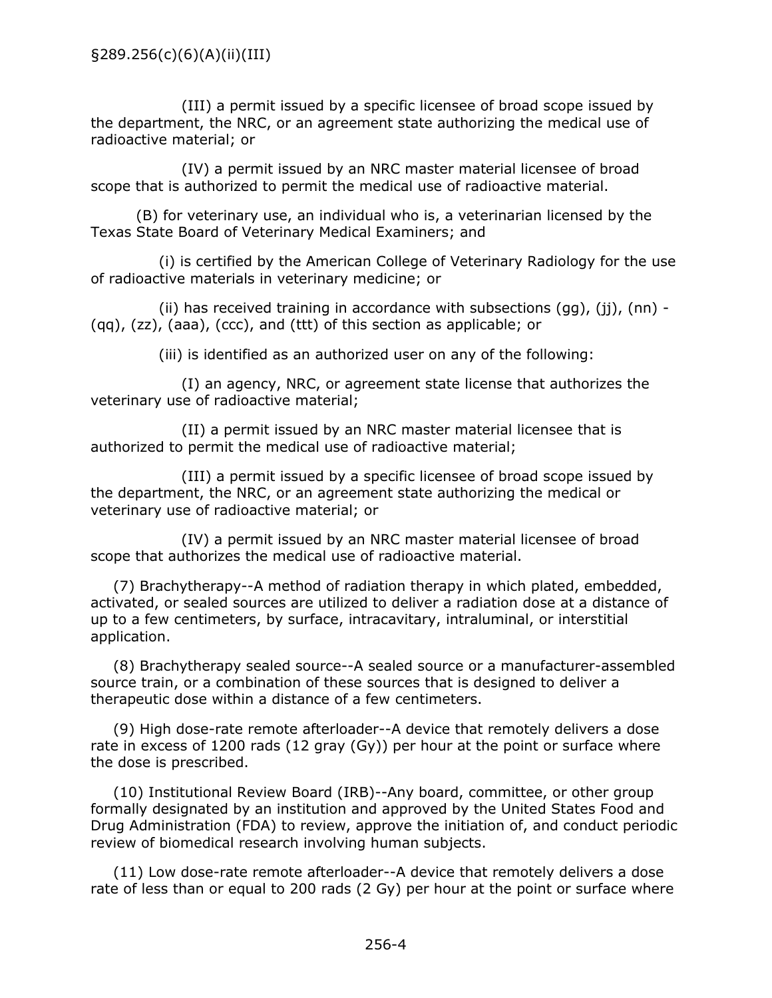(III) a permit issued by a specific licensee of broad scope issued by the department, the NRC, or an agreement state authorizing the medical use of radioactive material; or

(IV) a permit issued by an NRC master material licensee of broad scope that is authorized to permit the medical use of radioactive material.

(B) for veterinary use, an individual who is, a veterinarian licensed by the Texas State Board of Veterinary Medical Examiners; and

(i) is certified by the American College of Veterinary Radiology for the use of radioactive materials in veterinary medicine; or

(ii) has received training in accordance with subsections  $(qq)$ , (ii), (nn) -(qq), (zz), (aaa), (ccc), and (ttt) of this section as applicable; or

(iii) is identified as an authorized user on any of the following:

(I) an agency, NRC, or agreement state license that authorizes the veterinary use of radioactive material;

(II) a permit issued by an NRC master material licensee that is authorized to permit the medical use of radioactive material;

(III) a permit issued by a specific licensee of broad scope issued by the department, the NRC, or an agreement state authorizing the medical or veterinary use of radioactive material; or

(IV) a permit issued by an NRC master material licensee of broad scope that authorizes the medical use of radioactive material.

(7) Brachytherapy--A method of radiation therapy in which plated, embedded, activated, or sealed sources are utilized to deliver a radiation dose at a distance of up to a few centimeters, by surface, intracavitary, intraluminal, or interstitial application.

(8) Brachytherapy sealed source--A sealed source or a manufacturer-assembled source train, or a combination of these sources that is designed to deliver a therapeutic dose within a distance of a few centimeters.

(9) High dose-rate remote afterloader--A device that remotely delivers a dose rate in excess of 1200 rads (12 gray (Gy)) per hour at the point or surface where the dose is prescribed.

(10) Institutional Review Board (IRB)--Any board, committee, or other group formally designated by an institution and approved by the United States Food and Drug Administration (FDA) to review, approve the initiation of, and conduct periodic review of biomedical research involving human subjects.

(11) Low dose-rate remote afterloader--A device that remotely delivers a dose rate of less than or equal to 200 rads (2 Gy) per hour at the point or surface where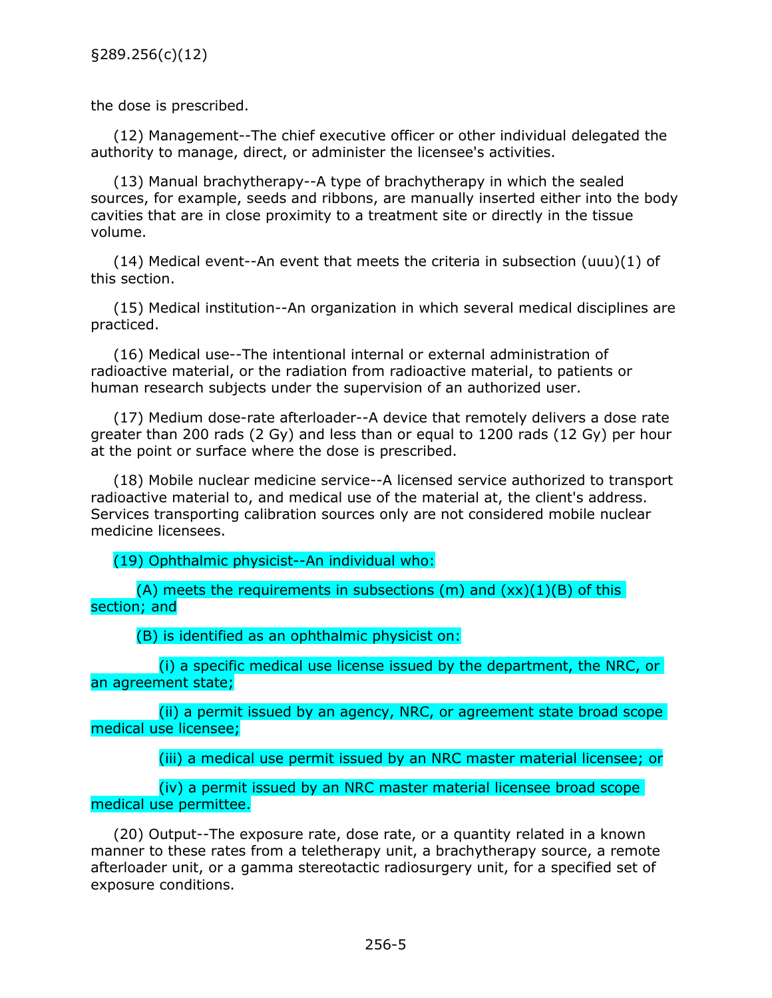the dose is prescribed.

(12) Management--The chief executive officer or other individual delegated the authority to manage, direct, or administer the licensee's activities.

(13) Manual brachytherapy--A type of brachytherapy in which the sealed sources, for example, seeds and ribbons, are manually inserted either into the body cavities that are in close proximity to a treatment site or directly in the tissue volume.

(14) Medical event--An event that meets the criteria in subsection (uuu)(1) of this section.

(15) Medical institution--An organization in which several medical disciplines are practiced.

(16) Medical use--The intentional internal or external administration of radioactive material, or the radiation from radioactive material, to patients or human research subjects under the supervision of an authorized user.

(17) Medium dose-rate afterloader--A device that remotely delivers a dose rate greater than 200 rads (2 Gy) and less than or equal to 1200 rads (12 Gy) per hour at the point or surface where the dose is prescribed.

(18) Mobile nuclear medicine service--A licensed service authorized to transport radioactive material to, and medical use of the material at, the client's address. Services transporting calibration sources only are not considered mobile nuclear medicine licensees.

(19) Ophthalmic physicist--An individual who:

(A) meets the requirements in subsections (m) and  $(xx)(1)(B)$  of this section; and

(B) is identified as an ophthalmic physicist on:

(i) a specific medical use license issued by the department, the NRC, or an agreement state;

(ii) a permit issued by an agency, NRC, or agreement state broad scope medical use licensee;

(iii) a medical use permit issued by an NRC master material licensee; or

(iv) a permit issued by an NRC master material licensee broad scope medical use permittee.

(20) Output--The exposure rate, dose rate, or a quantity related in a known manner to these rates from a teletherapy unit, a brachytherapy source, a remote afterloader unit, or a gamma stereotactic radiosurgery unit, for a specified set of exposure conditions.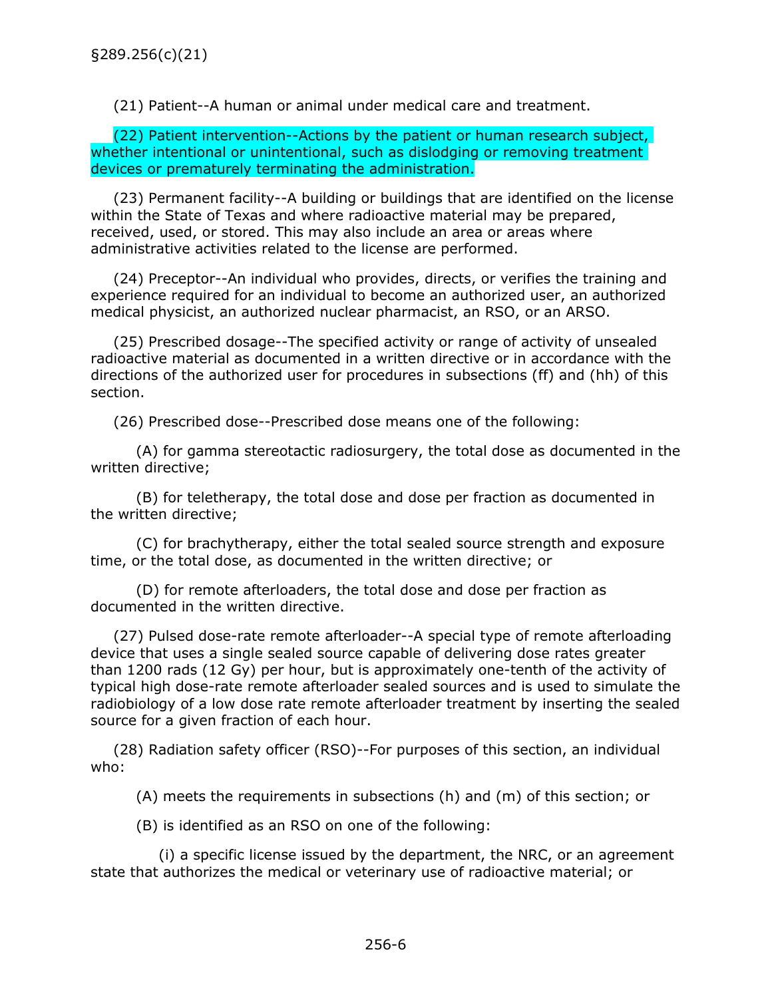(21) Patient--A human or animal under medical care and treatment.

(22) Patient intervention--Actions by the patient or human research subject, whether intentional or unintentional, such as dislodging or removing treatment devices or prematurely terminating the administration.

(23) Permanent facility--A building or buildings that are identified on the license within the State of Texas and where radioactive material may be prepared, received, used, or stored. This may also include an area or areas where administrative activities related to the license are performed.

(24) Preceptor--An individual who provides, directs, or verifies the training and experience required for an individual to become an authorized user, an authorized medical physicist, an authorized nuclear pharmacist, an RSO, or an ARSO.

(25) Prescribed dosage--The specified activity or range of activity of unsealed radioactive material as documented in a written directive or in accordance with the directions of the authorized user for procedures in subsections (ff) and (hh) of this section.

(26) Prescribed dose--Prescribed dose means one of the following:

(A) for gamma stereotactic radiosurgery, the total dose as documented in the written directive;

(B) for teletherapy, the total dose and dose per fraction as documented in the written directive;

(C) for brachytherapy, either the total sealed source strength and exposure time, or the total dose, as documented in the written directive; or

(D) for remote afterloaders, the total dose and dose per fraction as documented in the written directive.

(27) Pulsed dose-rate remote afterloader--A special type of remote afterloading device that uses a single sealed source capable of delivering dose rates greater than 1200 rads (12 Gy) per hour, but is approximately one-tenth of the activity of typical high dose-rate remote afterloader sealed sources and is used to simulate the radiobiology of a low dose rate remote afterloader treatment by inserting the sealed source for a given fraction of each hour.

(28) Radiation safety officer (RSO)--For purposes of this section, an individual who:

(A) meets the requirements in subsections (h) and (m) of this section; or

(B) is identified as an RSO on one of the following:

(i) a specific license issued by the department, the NRC, or an agreement state that authorizes the medical or veterinary use of radioactive material; or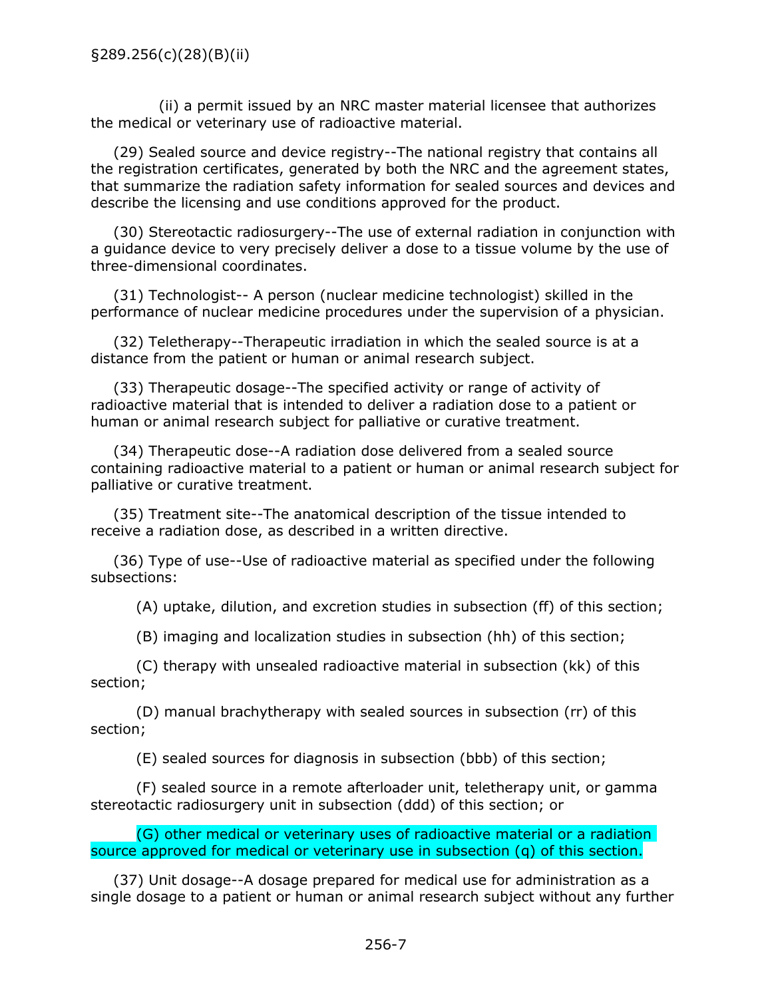(ii) a permit issued by an NRC master material licensee that authorizes the medical or veterinary use of radioactive material.

(29) Sealed source and device registry--The national registry that contains all the registration certificates, generated by both the NRC and the agreement states, that summarize the radiation safety information for sealed sources and devices and describe the licensing and use conditions approved for the product.

(30) Stereotactic radiosurgery--The use of external radiation in conjunction with a guidance device to very precisely deliver a dose to a tissue volume by the use of three-dimensional coordinates.

(31) Technologist-- A person (nuclear medicine technologist) skilled in the performance of nuclear medicine procedures under the supervision of a physician.

(32) Teletherapy--Therapeutic irradiation in which the sealed source is at a distance from the patient or human or animal research subject.

(33) Therapeutic dosage--The specified activity or range of activity of radioactive material that is intended to deliver a radiation dose to a patient or human or animal research subject for palliative or curative treatment.

(34) Therapeutic dose--A radiation dose delivered from a sealed source containing radioactive material to a patient or human or animal research subject for palliative or curative treatment.

(35) Treatment site--The anatomical description of the tissue intended to receive a radiation dose, as described in a written directive.

(36) Type of use--Use of radioactive material as specified under the following subsections:

(A) uptake, dilution, and excretion studies in subsection (ff) of this section;

(B) imaging and localization studies in subsection (hh) of this section;

(C) therapy with unsealed radioactive material in subsection (kk) of this section;

(D) manual brachytherapy with sealed sources in subsection (rr) of this section;

(E) sealed sources for diagnosis in subsection (bbb) of this section;

(F) sealed source in a remote afterloader unit, teletherapy unit, or gamma stereotactic radiosurgery unit in subsection (ddd) of this section; or

(G) other medical or veterinary uses of radioactive material or a radiation source approved for medical or veterinary use in subsection (q) of this section.

(37) Unit dosage--A dosage prepared for medical use for administration as a single dosage to a patient or human or animal research subject without any further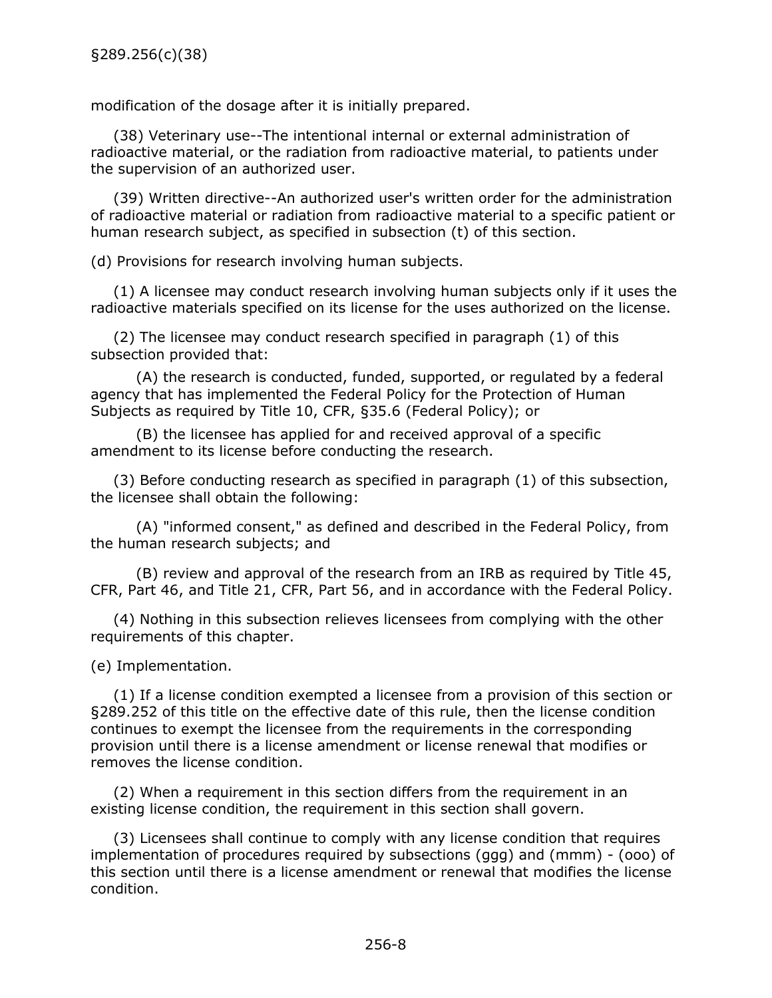<span id="page-10-0"></span>modification of the dosage after it is initially prepared.

(38) Veterinary use--The intentional internal or external administration of radioactive material, or the radiation from radioactive material, to patients under the supervision of an authorized user.

(39) Written directive--An authorized user's written order for the administration of radioactive material or radiation from radioactive material to a specific patient or human research subject, as specified in subsection (t) of this section.

(d) Provisions for research involving human subjects.

(1) A licensee may conduct research involving human subjects only if it uses the radioactive materials specified on its license for the uses authorized on the license.

(2) The licensee may conduct research specified in paragraph (1) of this subsection provided that:

(A) the research is conducted, funded, supported, or regulated by a federal agency that has implemented the Federal Policy for the Protection of Human Subjects as required by Title 10, CFR, §35.6 (Federal Policy); or

(B) the licensee has applied for and received approval of a specific amendment to its license before conducting the research.

(3) Before conducting research as specified in paragraph (1) of this subsection, the licensee shall obtain the following:

(A) "informed consent," as defined and described in the Federal Policy, from the human research subjects; and

(B) review and approval of the research from an IRB as required by Title 45, CFR, Part 46, and Title 21, CFR, Part 56, and in accordance with the Federal Policy.

(4) Nothing in this subsection relieves licensees from complying with the other requirements of this chapter.

(e) Implementation.

(1) If a license condition exempted a licensee from a provision of this section or §289.252 of this title on the effective date of this rule, then the license condition continues to exempt the licensee from the requirements in the corresponding provision until there is a license amendment or license renewal that modifies or removes the license condition.

(2) When a requirement in this section differs from the requirement in an existing license condition, the requirement in this section shall govern.

(3) Licensees shall continue to comply with any license condition that requires implementation of procedures required by subsections (ggg) and (mmm) - (ooo) of this section until there is a license amendment or renewal that modifies the license condition.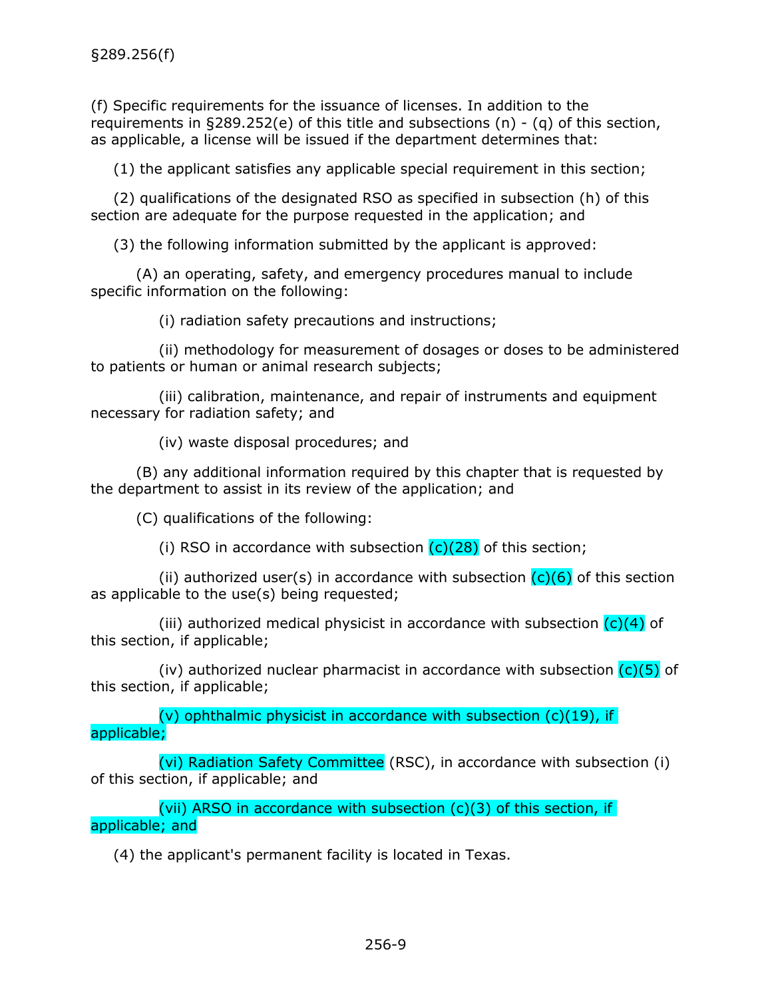<span id="page-11-0"></span>(f) Specific requirements for the issuance of licenses. In addition to the requirements in §289.252(e) of this title and subsections (n) - (q) of this section, as applicable, a license will be issued if the department determines that:

(1) the applicant satisfies any applicable special requirement in this section;

(2) qualifications of the designated RSO as specified in subsection (h) of this section are adequate for the purpose requested in the application; and

(3) the following information submitted by the applicant is approved:

(A) an operating, safety, and emergency procedures manual to include specific information on the following:

(i) radiation safety precautions and instructions;

(ii) methodology for measurement of dosages or doses to be administered to patients or human or animal research subjects;

(iii) calibration, maintenance, and repair of instruments and equipment necessary for radiation safety; and

(iv) waste disposal procedures; and

(B) any additional information required by this chapter that is requested by the department to assist in its review of the application; and

(C) qualifications of the following:

(i) RSO in accordance with subsection  $(c)(28)$  of this section;

(ii) authorized user(s) in accordance with subsection  $(c)(6)$  of this section as applicable to the use(s) being requested;

(iii) authorized medical physicist in accordance with subsection  $(c)(4)$  of this section, if applicable;

(iv) authorized nuclear pharmacist in accordance with subsection  $(c)(5)$  of this section, if applicable;

(v) ophthalmic physicist in accordance with subsection  $(c)(19)$ , if applicable;

(vi) Radiation Safety Committee (RSC), in accordance with subsection (i) of this section, if applicable; and

(vii) ARSO in accordance with subsection  $(c)(3)$  of this section, if applicable; and

(4) the applicant's permanent facility is located in Texas.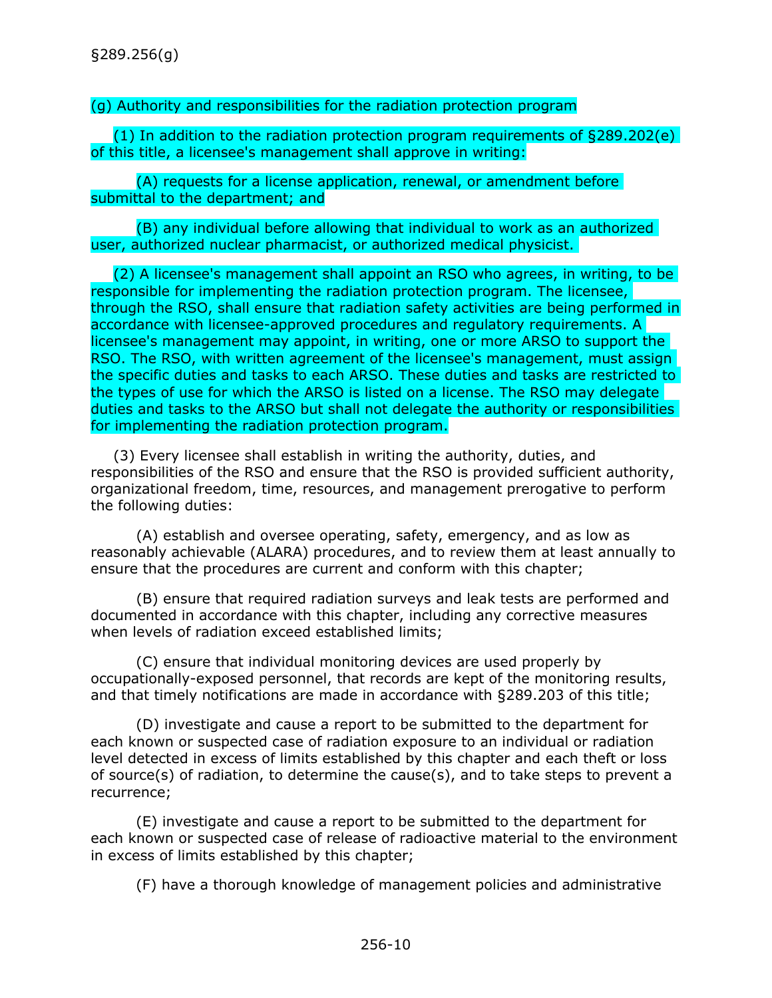# <span id="page-12-0"></span>(g) Authority and responsibilities for the radiation protection program

(1) In addition to the radiation protection program requirements of §289.202(e) of this title, a licensee's management shall approve in writing:

(A) requests for a license application, renewal, or amendment before submittal to the department; and

(B) any individual before allowing that individual to work as an authorized user, authorized nuclear pharmacist, or authorized medical physicist.

(2) A licensee's management shall appoint an RSO who agrees, in writing, to be responsible for implementing the radiation protection program. The licensee, through the RSO, shall ensure that radiation safety activities are being performed in accordance with licensee-approved procedures and regulatory requirements. A licensee's management may appoint, in writing, one or more ARSO to support the RSO. The RSO, with written agreement of the licensee's management, must assign the specific duties and tasks to each ARSO. These duties and tasks are restricted to the types of use for which the ARSO is listed on a license. The RSO may delegate duties and tasks to the ARSO but shall not delegate the authority or responsibilities for implementing the radiation protection program.

(3) Every licensee shall establish in writing the authority, duties, and responsibilities of the RSO and ensure that the RSO is provided sufficient authority, organizational freedom, time, resources, and management prerogative to perform the following duties:

(A) establish and oversee operating, safety, emergency, and as low as reasonably achievable (ALARA) procedures, and to review them at least annually to ensure that the procedures are current and conform with this chapter;

(B) ensure that required radiation surveys and leak tests are performed and documented in accordance with this chapter, including any corrective measures when levels of radiation exceed established limits;

(C) ensure that individual monitoring devices are used properly by occupationally-exposed personnel, that records are kept of the monitoring results, and that timely notifications are made in accordance with §289.203 of this title;

(D) investigate and cause a report to be submitted to the department for each known or suspected case of radiation exposure to an individual or radiation level detected in excess of limits established by this chapter and each theft or loss of source(s) of radiation, to determine the cause(s), and to take steps to prevent a recurrence;

(E) investigate and cause a report to be submitted to the department for each known or suspected case of release of radioactive material to the environment in excess of limits established by this chapter;

(F) have a thorough knowledge of management policies and administrative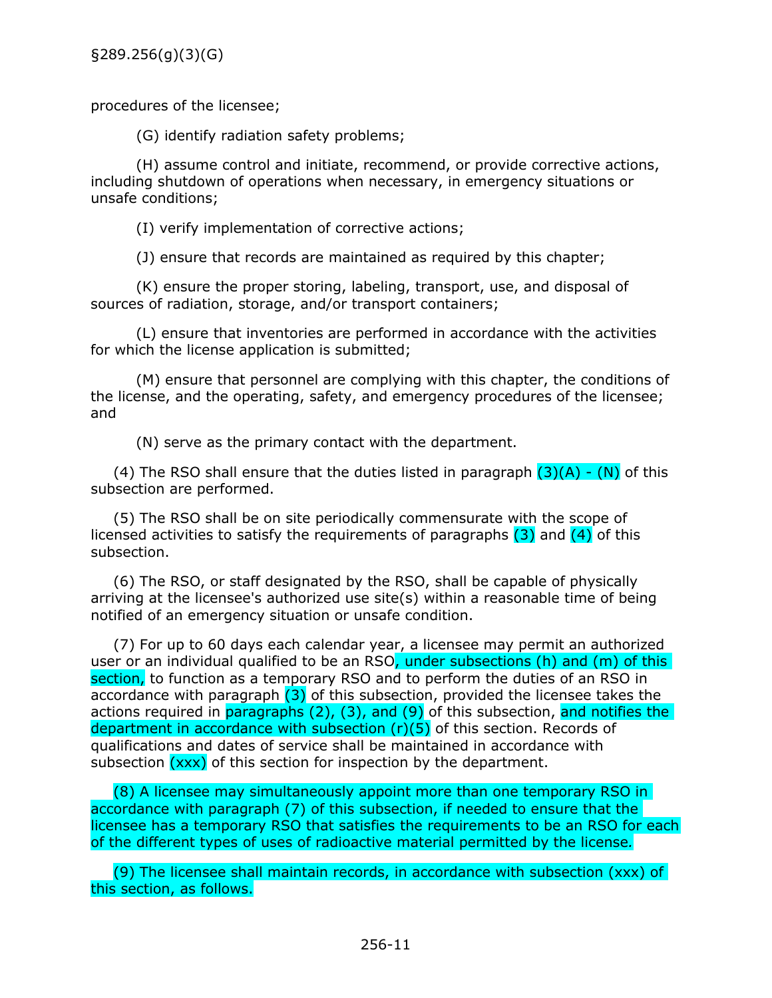§289.256(g)(3)(G)

procedures of the licensee;

(G) identify radiation safety problems;

(H) assume control and initiate, recommend, or provide corrective actions, including shutdown of operations when necessary, in emergency situations or unsafe conditions;

(I) verify implementation of corrective actions;

(J) ensure that records are maintained as required by this chapter;

(K) ensure the proper storing, labeling, transport, use, and disposal of sources of radiation, storage, and/or transport containers;

(L) ensure that inventories are performed in accordance with the activities for which the license application is submitted;

(M) ensure that personnel are complying with this chapter, the conditions of the license, and the operating, safety, and emergency procedures of the licensee; and

(N) serve as the primary contact with the department.

(4) The RSO shall ensure that the duties listed in paragraph  $(3)(A) - (N)$  of this subsection are performed.

(5) The RSO shall be on site periodically commensurate with the scope of licensed activities to satisfy the requirements of paragraphs  $(3)$  and  $(4)$  of this subsection.

(6) The RSO, or staff designated by the RSO, shall be capable of physically arriving at the licensee's authorized use site(s) within a reasonable time of being notified of an emergency situation or unsafe condition.

(7) For up to 60 days each calendar year, a licensee may permit an authorized user or an individual qualified to be an RSO, under subsections (h) and (m) of this section, to function as a temporary RSO and to perform the duties of an RSO in accordance with paragraph  $(3)$  of this subsection, provided the licensee takes the actions required in paragraphs (2), (3), and (9) of this subsection, and notifies the department in accordance with subsection  $(r)(5)$  of this section. Records of qualifications and dates of service shall be maintained in accordance with subsection (xxx) of this section for inspection by the department.

(8) A licensee may simultaneously appoint more than one temporary RSO in accordance with paragraph (7) of this subsection, if needed to ensure that the licensee has a temporary RSO that satisfies the requirements to be an RSO for each of the different types of uses of radioactive material permitted by the license*.*

(9) The licensee shall maintain records, in accordance with subsection (xxx) of this section, as follows.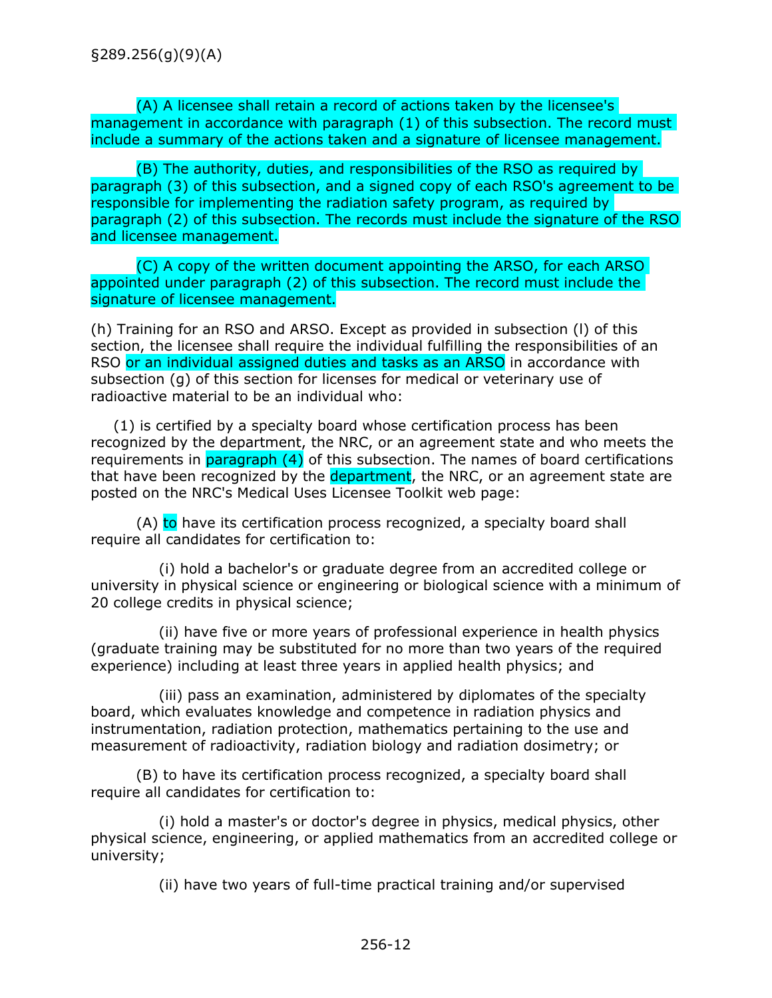<span id="page-14-0"></span>(A) A licensee shall retain a record of actions taken by the licensee's management in accordance with paragraph (1) of this subsection. The record must include a summary of the actions taken and a signature of licensee management.

(B) The authority, duties, and responsibilities of the RSO as required by paragraph (3) of this subsection, and a signed copy of each RSO's agreement to be responsible for implementing the radiation safety program, as required by paragraph (2) of this subsection. The records must include the signature of the RSO and licensee management.

(C) A copy of the written document appointing the ARSO, for each ARSO appointed under paragraph (2) of this subsection. The record must include the signature of licensee management.

(h) Training for an RSO and ARSO. Except as provided in subsection (l) of this section, the licensee shall require the individual fulfilling the responsibilities of an RSO or an individual assigned duties and tasks as an ARSO in accordance with subsection (g) of this section for licenses for medical or veterinary use of radioactive material to be an individual who:

(1) is certified by a specialty board whose certification process has been recognized by the department, the NRC, or an agreement state and who meets the requirements in paragraph (4) of this subsection. The names of board certifications that have been recognized by the department, the NRC, or an agreement state are posted on the NRC's Medical Uses Licensee Toolkit web page:

(A) to have its certification process recognized, a specialty board shall require all candidates for certification to:

(i) hold a bachelor's or graduate degree from an accredited college or university in physical science or engineering or biological science with a minimum of 20 college credits in physical science;

(ii) have five or more years of professional experience in health physics (graduate training may be substituted for no more than two years of the required experience) including at least three years in applied health physics; and

(iii) pass an examination, administered by diplomates of the specialty board, which evaluates knowledge and competence in radiation physics and instrumentation, radiation protection, mathematics pertaining to the use and measurement of radioactivity, radiation biology and radiation dosimetry; or

(B) to have its certification process recognized, a specialty board shall require all candidates for certification to:

(i) hold a master's or doctor's degree in physics, medical physics, other physical science, engineering, or applied mathematics from an accredited college or university;

(ii) have two years of full-time practical training and/or supervised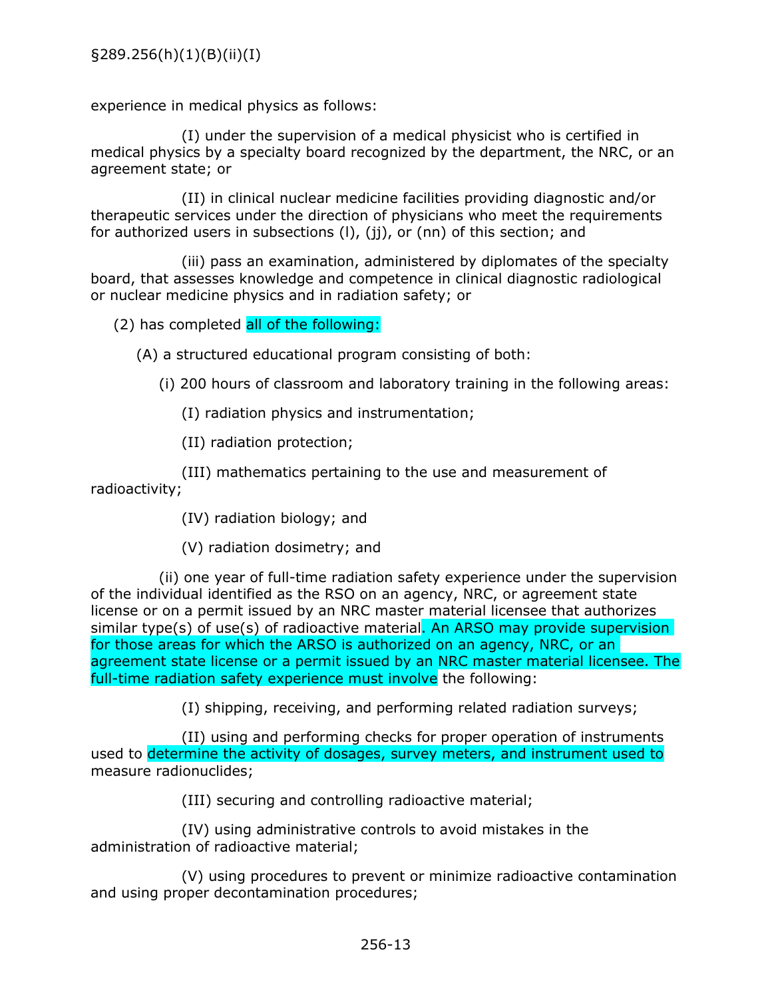experience in medical physics as follows:

(I) under the supervision of a medical physicist who is certified in medical physics by a specialty board recognized by the department, the NRC, or an agreement state; or

(II) in clinical nuclear medicine facilities providing diagnostic and/or therapeutic services under the direction of physicians who meet the requirements for authorized users in subsections (I), (ii), or (nn) of this section; and

(iii) pass an examination, administered by diplomates of the specialty board, that assesses knowledge and competence in clinical diagnostic radiological or nuclear medicine physics and in radiation safety; or

(2) has completed all of the following:

(A) a structured educational program consisting of both:

(i) 200 hours of classroom and laboratory training in the following areas:

(I) radiation physics and instrumentation;

(II) radiation protection;

(III) mathematics pertaining to the use and measurement of radioactivity;

(IV) radiation biology; and

(V) radiation dosimetry; and

(ii) one year of full-time radiation safety experience under the supervision of the individual identified as the RSO on an agency, NRC, or agreement state license or on a permit issued by an NRC master material licensee that authorizes similar type(s) of use(s) of radioactive material. An ARSO may provide supervision for those areas for which the ARSO is authorized on an agency, NRC, or an agreement state license or a permit issued by an NRC master material licensee. The full-time radiation safety experience must involve the following:

(I) shipping, receiving, and performing related radiation surveys;

(II) using and performing checks for proper operation of instruments used to determine the activity of dosages, survey meters, and instrument used to measure radionuclides;

(III) securing and controlling radioactive material;

(IV) using administrative controls to avoid mistakes in the administration of radioactive material;

(V) using procedures to prevent or minimize radioactive contamination and using proper decontamination procedures;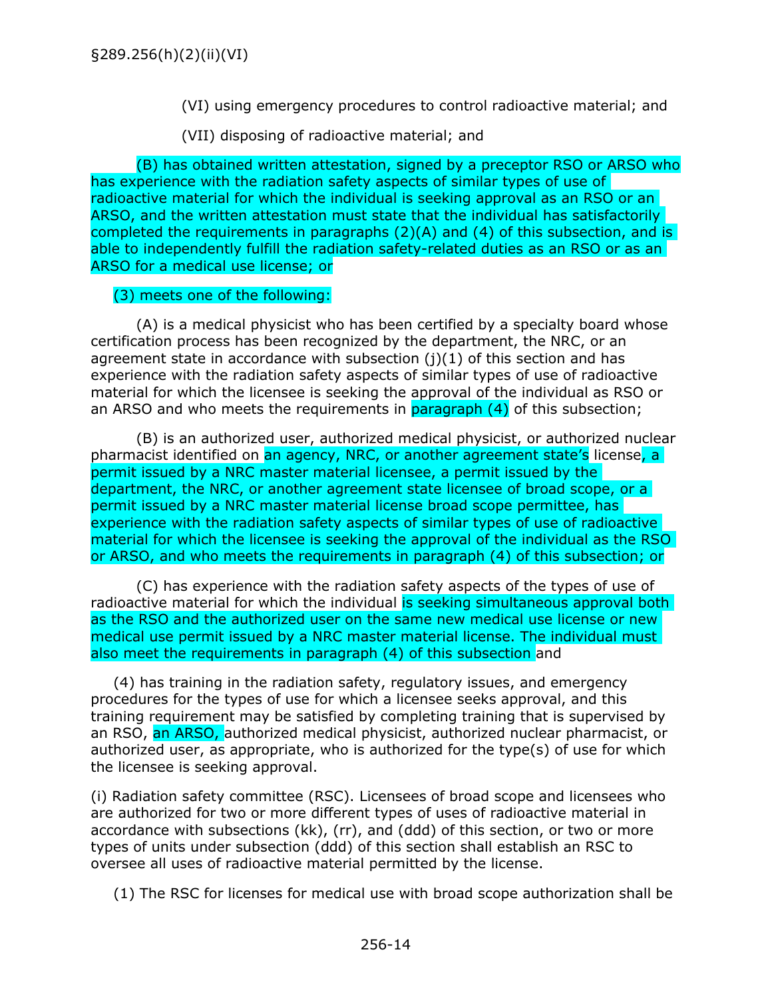(VI) using emergency procedures to control radioactive material; and

(VII) disposing of radioactive material; and

<span id="page-16-0"></span>(B) has obtained written attestation, signed by a preceptor RSO or ARSO who has experience with the radiation safety aspects of similar types of use of radioactive material for which the individual is seeking approval as an RSO or an ARSO, and the written attestation must state that the individual has satisfactorily completed the requirements in paragraphs (2)(A) and (4) of this subsection, and is able to independently fulfill the radiation safety-related duties as an RSO or as an ARSO for a medical use license; or

# (3) meets one of the following:

(A) is a medical physicist who has been certified by a specialty board whose certification process has been recognized by the department, the NRC, or an agreement state in accordance with subsection  $(i)(1)$  of this section and has experience with the radiation safety aspects of similar types of use of radioactive material for which the licensee is seeking the approval of the individual as RSO or an ARSO and who meets the requirements in paragraph (4) of this subsection;

(B) is an authorized user, authorized medical physicist, or authorized nuclear pharmacist identified on an agency, NRC, or another agreement state's license, a permit issued by a NRC master material licensee, a permit issued by the department, the NRC, or another agreement state licensee of broad scope, or a permit issued by a NRC master material license broad scope permittee, has experience with the radiation safety aspects of similar types of use of radioactive material for which the licensee is seeking the approval of the individual as the RSO or ARSO, and who meets the requirements in paragraph (4) of this subsection; or

(C) has experience with the radiation safety aspects of the types of use of radioactive material for which the individual is seeking simultaneous approval both as the RSO and the authorized user on the same new medical use license or new medical use permit issued by a NRC master material license. The individual must also meet the requirements in paragraph (4) of this subsection and

(4) has training in the radiation safety, regulatory issues, and emergency procedures for the types of use for which a licensee seeks approval, and this training requirement may be satisfied by completing training that is supervised by an RSO, an ARSO, authorized medical physicist, authorized nuclear pharmacist, or authorized user, as appropriate, who is authorized for the type(s) of use for which the licensee is seeking approval.

(i) Radiation safety committee (RSC). Licensees of broad scope and licensees who are authorized for two or more different types of uses of radioactive material in accordance with subsections (kk), (rr), and (ddd) of this section, or two or more types of units under subsection (ddd) of this section shall establish an RSC to oversee all uses of radioactive material permitted by the license.

(1) The RSC for licenses for medical use with broad scope authorization shall be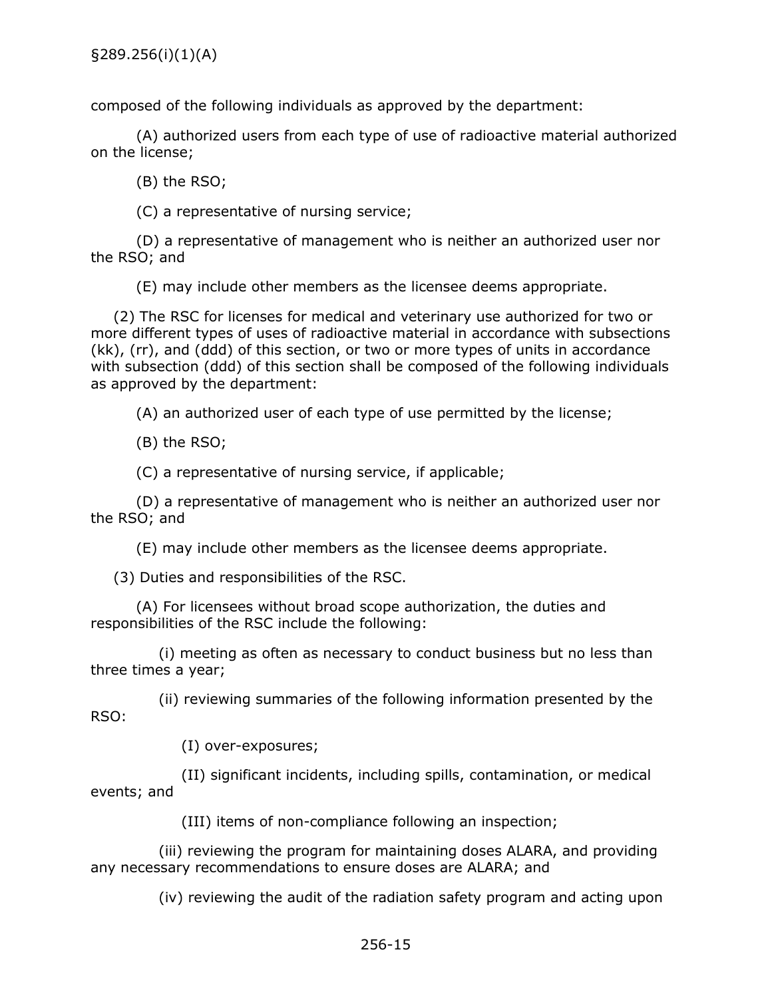composed of the following individuals as approved by the department:

(A) authorized users from each type of use of radioactive material authorized on the license;

(B) the RSO;

(C) a representative of nursing service;

(D) a representative of management who is neither an authorized user nor the RSO; and

(E) may include other members as the licensee deems appropriate.

(2) The RSC for licenses for medical and veterinary use authorized for two or more different types of uses of radioactive material in accordance with subsections (kk), (rr), and (ddd) of this section, or two or more types of units in accordance with subsection (ddd) of this section shall be composed of the following individuals as approved by the department:

(A) an authorized user of each type of use permitted by the license;

(B) the RSO;

(C) a representative of nursing service, if applicable;

(D) a representative of management who is neither an authorized user nor the RSO; and

(E) may include other members as the licensee deems appropriate.

(3) Duties and responsibilities of the RSC.

(A) For licensees without broad scope authorization, the duties and responsibilities of the RSC include the following:

(i) meeting as often as necessary to conduct business but no less than three times a year;

(ii) reviewing summaries of the following information presented by the RSO:

(I) over-exposures;

(II) significant incidents, including spills, contamination, or medical events; and

(III) items of non-compliance following an inspection;

(iii) reviewing the program for maintaining doses ALARA, and providing any necessary recommendations to ensure doses are ALARA; and

(iv) reviewing the audit of the radiation safety program and acting upon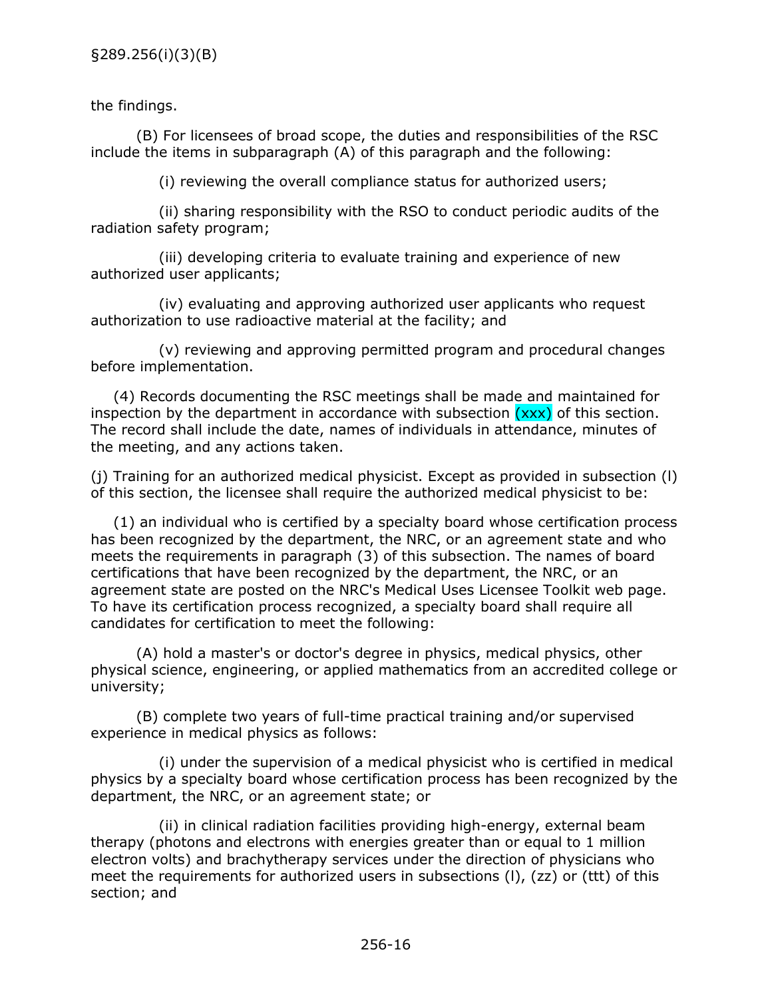<span id="page-18-0"></span>the findings.

(B) For licensees of broad scope, the duties and responsibilities of the RSC include the items in subparagraph (A) of this paragraph and the following:

(i) reviewing the overall compliance status for authorized users;

(ii) sharing responsibility with the RSO to conduct periodic audits of the radiation safety program;

(iii) developing criteria to evaluate training and experience of new authorized user applicants;

(iv) evaluating and approving authorized user applicants who request authorization to use radioactive material at the facility; and

(v) reviewing and approving permitted program and procedural changes before implementation.

(4) Records documenting the RSC meetings shall be made and maintained for inspection by the department in accordance with subsection  $(xxx)$  of this section. The record shall include the date, names of individuals in attendance, minutes of the meeting, and any actions taken.

(j) Training for an authorized medical physicist. Except as provided in subsection (l) of this section, the licensee shall require the authorized medical physicist to be:

(1) an individual who is certified by a specialty board whose certification process has been recognized by the department, the NRC, or an agreement state and who meets the requirements in paragraph (3) of this subsection. The names of board certifications that have been recognized by the department, the NRC, or an agreement state are posted on the NRC's Medical Uses Licensee Toolkit web page. To have its certification process recognized, a specialty board shall require all candidates for certification to meet the following:

(A) hold a master's or doctor's degree in physics, medical physics, other physical science, engineering, or applied mathematics from an accredited college or university;

(B) complete two years of full-time practical training and/or supervised experience in medical physics as follows:

(i) under the supervision of a medical physicist who is certified in medical physics by a specialty board whose certification process has been recognized by the department, the NRC, or an agreement state; or

(ii) in clinical radiation facilities providing high-energy, external beam therapy (photons and electrons with energies greater than or equal to 1 million electron volts) and brachytherapy services under the direction of physicians who meet the requirements for authorized users in subsections (l), (zz) or (ttt) of this section; and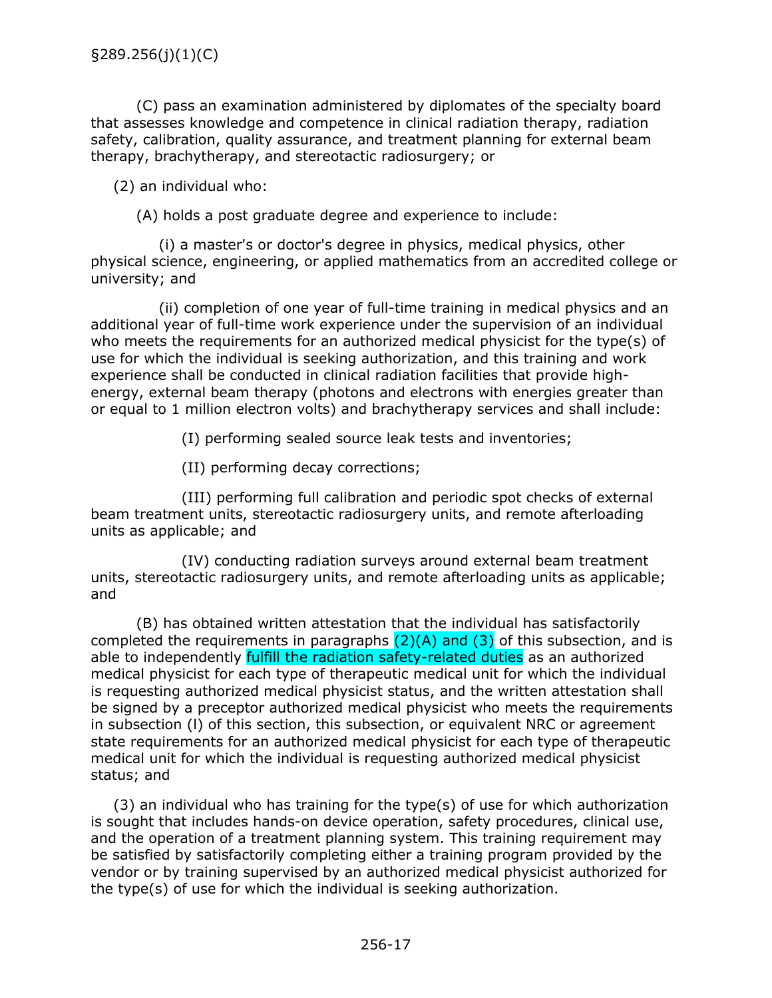(C) pass an examination administered by diplomates of the specialty board that assesses knowledge and competence in clinical radiation therapy, radiation safety, calibration, quality assurance, and treatment planning for external beam therapy, brachytherapy, and stereotactic radiosurgery; or

(2) an individual who:

(A) holds a post graduate degree and experience to include:

(i) a master's or doctor's degree in physics, medical physics, other physical science, engineering, or applied mathematics from an accredited college or university; and

(ii) completion of one year of full-time training in medical physics and an additional year of full-time work experience under the supervision of an individual who meets the requirements for an authorized medical physicist for the type(s) of use for which the individual is seeking authorization, and this training and work experience shall be conducted in clinical radiation facilities that provide highenergy, external beam therapy (photons and electrons with energies greater than or equal to 1 million electron volts) and brachytherapy services and shall include:

(I) performing sealed source leak tests and inventories;

(II) performing decay corrections;

(III) performing full calibration and periodic spot checks of external beam treatment units, stereotactic radiosurgery units, and remote afterloading units as applicable; and

(IV) conducting radiation surveys around external beam treatment units, stereotactic radiosurgery units, and remote afterloading units as applicable; and

(B) has obtained written attestation that the individual has satisfactorily completed the requirements in paragraphs  $(2)(A)$  and  $(3)$  of this subsection, and is able to independently fulfill the radiation safety-related duties as an authorized medical physicist for each type of therapeutic medical unit for which the individual is requesting authorized medical physicist status, and the written attestation shall be signed by a preceptor authorized medical physicist who meets the requirements in subsection (l) of this section, this subsection, or equivalent NRC or agreement state requirements for an authorized medical physicist for each type of therapeutic medical unit for which the individual is requesting authorized medical physicist status; and

(3) an individual who has training for the type(s) of use for which authorization is sought that includes hands-on device operation, safety procedures, clinical use, and the operation of a treatment planning system. This training requirement may be satisfied by satisfactorily completing either a training program provided by the vendor or by training supervised by an authorized medical physicist authorized for the type(s) of use for which the individual is seeking authorization.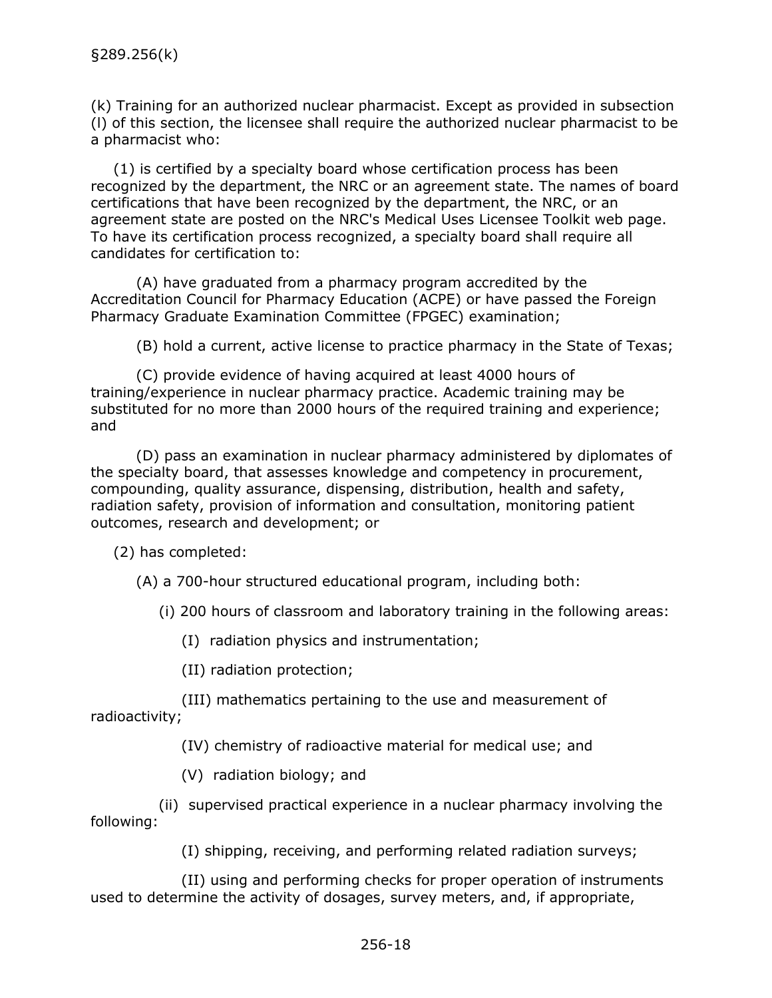<span id="page-20-0"></span>(k) Training for an authorized nuclear pharmacist. Except as provided in subsection (l) of this section, the licensee shall require the authorized nuclear pharmacist to be a pharmacist who:

(1) is certified by a specialty board whose certification process has been recognized by the department, the NRC or an agreement state. The names of board certifications that have been recognized by the department, the NRC, or an agreement state are posted on the NRC's Medical Uses Licensee Toolkit web page. To have its certification process recognized, a specialty board shall require all candidates for certification to:

(A) have graduated from a pharmacy program accredited by the Accreditation Council for Pharmacy Education (ACPE) or have passed the Foreign Pharmacy Graduate Examination Committee (FPGEC) examination;

(B) hold a current, active license to practice pharmacy in the State of Texas;

(C) provide evidence of having acquired at least 4000 hours of training/experience in nuclear pharmacy practice. Academic training may be substituted for no more than 2000 hours of the required training and experience; and

(D) pass an examination in nuclear pharmacy administered by diplomates of the specialty board, that assesses knowledge and competency in procurement, compounding, quality assurance, dispensing, distribution, health and safety, radiation safety, provision of information and consultation, monitoring patient outcomes, research and development; or

(2) has completed:

(A) a 700-hour structured educational program, including both:

(i) 200 hours of classroom and laboratory training in the following areas:

(I) radiation physics and instrumentation;

(II) radiation protection;

(III) mathematics pertaining to the use and measurement of radioactivity;

(IV) chemistry of radioactive material for medical use; and

(V) radiation biology; and

(ii) supervised practical experience in a nuclear pharmacy involving the following:

(I) shipping, receiving, and performing related radiation surveys;

(II) using and performing checks for proper operation of instruments used to determine the activity of dosages, survey meters, and, if appropriate,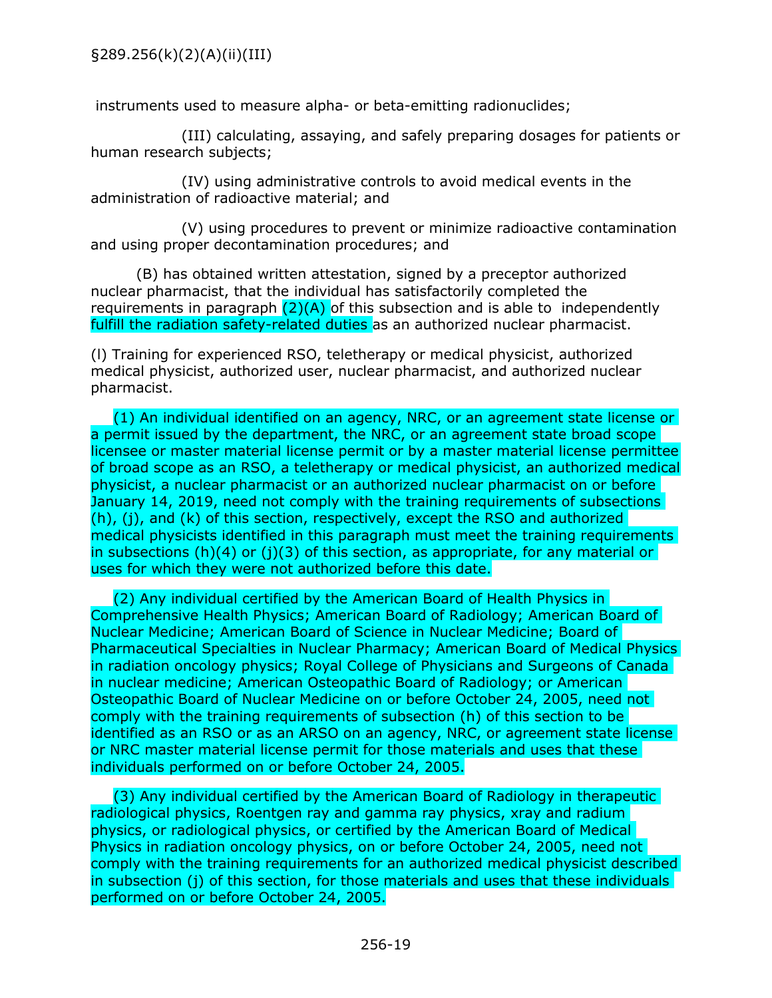<span id="page-21-0"></span>instruments used to measure alpha- or beta-emitting radionuclides;

(III) calculating, assaying, and safely preparing dosages for patients or human research subjects;

(IV) using administrative controls to avoid medical events in the administration of radioactive material; and

(V) using procedures to prevent or minimize radioactive contamination and using proper decontamination procedures; and

(B) has obtained written attestation, signed by a preceptor authorized nuclear pharmacist, that the individual has satisfactorily completed the requirements in paragraph  $(2)(A)$  of this subsection and is able to independently fulfill the radiation safety-related duties as an authorized nuclear pharmacist.

(l) Training for experienced RSO, teletherapy or medical physicist, authorized medical physicist, authorized user, nuclear pharmacist, and authorized nuclear pharmacist.

(1) An individual identified on an agency, NRC, or an agreement state license or a permit issued by the department, the NRC, or an agreement state broad scope licensee or master material license permit or by a master material license permittee of broad scope as an RSO, a teletherapy or medical physicist, an authorized medical physicist, a nuclear pharmacist or an authorized nuclear pharmacist on or before January 14, 2019, need not comply with the training requirements of subsections  $(h)$ , (i), and (k) of this section, respectively, except the RSO and authorized medical physicists identified in this paragraph must meet the training requirements in subsections (h)(4) or (j)(3) of this section, as appropriate, for any material or uses for which they were not authorized before this date.

(2) Any individual certified by the American Board of Health Physics in Comprehensive Health Physics; American Board of Radiology; American Board of Nuclear Medicine; American Board of Science in Nuclear Medicine; Board of Pharmaceutical Specialties in Nuclear Pharmacy; American Board of Medical Physics in radiation oncology physics; Royal College of Physicians and Surgeons of Canada in nuclear medicine; American Osteopathic Board of Radiology; or American Osteopathic Board of Nuclear Medicine on or before October 24, 2005, need not comply with the training requirements of subsection (h) of this section to be identified as an RSO or as an ARSO on an agency, NRC, or agreement state license or NRC master material license permit for those materials and uses that these individuals performed on or before October 24, 2005.

(3) Any individual certified by the American Board of Radiology in therapeutic radiological physics, Roentgen ray and gamma ray physics, xray and radium physics, or radiological physics, or certified by the American Board of Medical Physics in radiation oncology physics, on or before October 24, 2005, need not comply with the training requirements for an authorized medical physicist described in subsection (j) of this section, for those materials and uses that these individuals performed on or before October 24, 2005.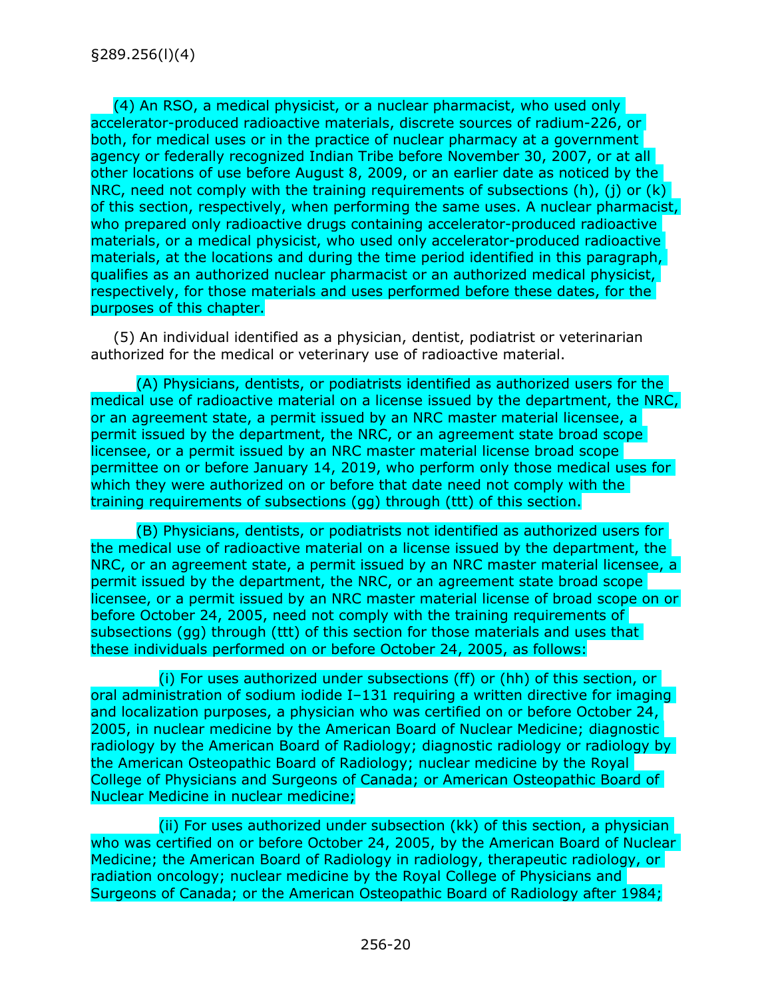(4) An RSO, a medical physicist, or a nuclear pharmacist, who used only accelerator-produced radioactive materials, discrete sources of radium-226, or both, for medical uses or in the practice of nuclear pharmacy at a government agency or federally recognized Indian Tribe before November 30, 2007, or at all other locations of use before August 8, 2009, or an earlier date as noticed by the NRC, need not comply with the training requirements of subsections  $(h)$ ,  $(i)$  or  $(k)$ of this section, respectively, when performing the same uses. A nuclear pharmacist, who prepared only radioactive drugs containing accelerator-produced radioactive materials, or a medical physicist, who used only accelerator-produced radioactive materials, at the locations and during the time period identified in this paragraph, qualifies as an authorized nuclear pharmacist or an authorized medical physicist, respectively, for those materials and uses performed before these dates, for the purposes of this chapter.

(5) An individual identified as a physician, dentist, podiatrist or veterinarian authorized for the medical or veterinary use of radioactive material.

(A) Physicians, dentists, or podiatrists identified as authorized users for the medical use of radioactive material on a license issued by the department, the NRC, or an agreement state, a permit issued by an NRC master material licensee, a permit issued by the department, the NRC, or an agreement state broad scope licensee, or a permit issued by an NRC master material license broad scope permittee on or before January 14, 2019, who perform only those medical uses for which they were authorized on or before that date need not comply with the training requirements of subsections (gg) through (ttt) of this section.

(B) Physicians, dentists, or podiatrists not identified as authorized users for the medical use of radioactive material on a license issued by the department, the NRC, or an agreement state, a permit issued by an NRC master material licensee, a permit issued by the department, the NRC, or an agreement state broad scope licensee, or a permit issued by an NRC master material license of broad scope on or before October 24, 2005, need not comply with the training requirements of subsections (gg) through (ttt) of this section for those materials and uses that these individuals performed on or before October 24, 2005, as follows:

(i) For uses authorized under subsections (ff) or (hh) of this section, or oral administration of sodium iodide I–131 requiring a written directive for imaging and localization purposes, a physician who was certified on or before October 24, 2005, in nuclear medicine by the American Board of Nuclear Medicine; diagnostic radiology by the American Board of Radiology; diagnostic radiology or radiology by the American Osteopathic Board of Radiology; nuclear medicine by the Royal College of Physicians and Surgeons of Canada; or American Osteopathic Board of Nuclear Medicine in nuclear medicine;

(ii) For uses authorized under subsection (kk) of this section, a physician who was certified on or before October 24, 2005, by the American Board of Nuclear Medicine; the American Board of Radiology in radiology, therapeutic radiology, or radiation oncology; nuclear medicine by the Royal College of Physicians and Surgeons of Canada; or the American Osteopathic Board of Radiology after 1984;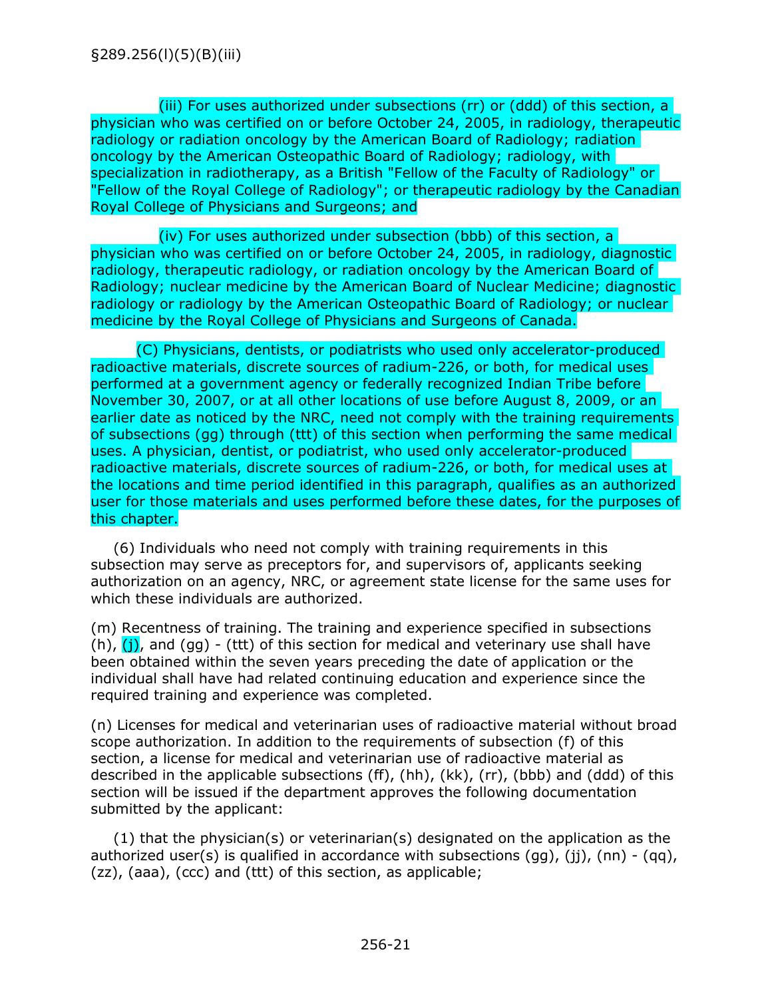<span id="page-23-0"></span>(iii) For uses authorized under subsections (rr) or (ddd) of this section, a physician who was certified on or before October 24, 2005, in radiology, therapeutic radiology or radiation oncology by the American Board of Radiology; radiation oncology by the American Osteopathic Board of Radiology; radiology, with specialization in radiotherapy, as a British "Fellow of the Faculty of Radiology" or "Fellow of the Royal College of Radiology"; or therapeutic radiology by the Canadian Royal College of Physicians and Surgeons; and

(iv) For uses authorized under subsection (bbb) of this section, a physician who was certified on or before October 24, 2005, in radiology, diagnostic radiology, therapeutic radiology, or radiation oncology by the American Board of Radiology; nuclear medicine by the American Board of Nuclear Medicine; diagnostic radiology or radiology by the American Osteopathic Board of Radiology; or nuclear medicine by the Royal College of Physicians and Surgeons of Canada.

(C) Physicians, dentists, or podiatrists who used only accelerator-produced radioactive materials, discrete sources of radium-226, or both, for medical uses performed at a government agency or federally recognized Indian Tribe before November 30, 2007, or at all other locations of use before August 8, 2009, or an earlier date as noticed by the NRC, need not comply with the training requirements of subsections (gg) through (ttt) of this section when performing the same medical uses. A physician, dentist, or podiatrist, who used only accelerator-produced radioactive materials, discrete sources of radium-226, or both, for medical uses at the locations and time period identified in this paragraph, qualifies as an authorized user for those materials and uses performed before these dates, for the purposes of this chapter.

(6) Individuals who need not comply with training requirements in this subsection may serve as preceptors for, and supervisors of, applicants seeking authorization on an agency, NRC, or agreement state license for the same uses for which these individuals are authorized.

(m) Recentness of training. The training and experience specified in subsections (h),  $(i)$ , and (gg) - (ttt) of this section for medical and veterinary use shall have been obtained within the seven years preceding the date of application or the individual shall have had related continuing education and experience since the required training and experience was completed.

(n) Licenses for medical and veterinarian uses of radioactive material without broad scope authorization. In addition to the requirements of subsection (f) of this section, a license for medical and veterinarian use of radioactive material as described in the applicable subsections (ff), (hh), (kk), (rr), (bbb) and (ddd) of this section will be issued if the department approves the following documentation submitted by the applicant:

(1) that the physician(s) or veterinarian(s) designated on the application as the authorized user(s) is qualified in accordance with subsections  $(qq)$ ,  $(ij)$ ,  $(nn) - (qq)$ , (zz), (aaa), (ccc) and (ttt) of this section, as applicable;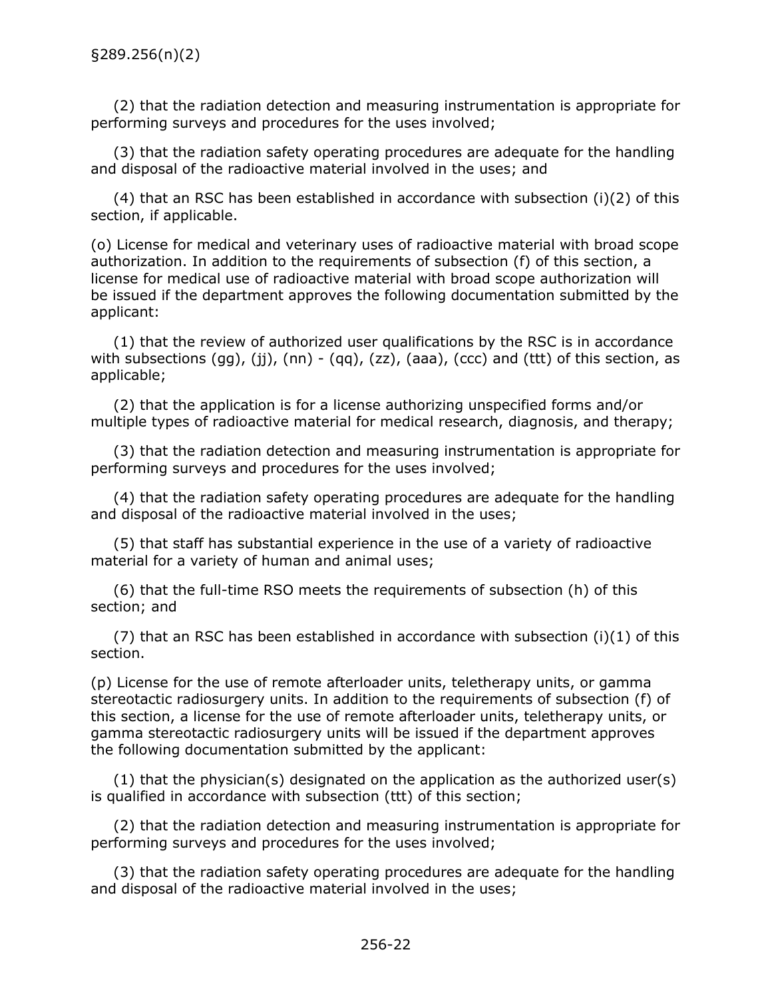<span id="page-24-0"></span>(2) that the radiation detection and measuring instrumentation is appropriate for performing surveys and procedures for the uses involved;

(3) that the radiation safety operating procedures are adequate for the handling and disposal of the radioactive material involved in the uses; and

(4) that an RSC has been established in accordance with subsection (i)(2) of this section, if applicable.

(o) License for medical and veterinary uses of radioactive material with broad scope authorization. In addition to the requirements of subsection (f) of this section, a license for medical use of radioactive material with broad scope authorization will be issued if the department approves the following documentation submitted by the applicant:

(1) that the review of authorized user qualifications by the RSC is in accordance with subsections (gg), (jj), (nn) - (qq), (zz), (aaa), (ccc) and (ttt) of this section, as applicable;

(2) that the application is for a license authorizing unspecified forms and/or multiple types of radioactive material for medical research, diagnosis, and therapy;

(3) that the radiation detection and measuring instrumentation is appropriate for performing surveys and procedures for the uses involved;

(4) that the radiation safety operating procedures are adequate for the handling and disposal of the radioactive material involved in the uses;

(5) that staff has substantial experience in the use of a variety of radioactive material for a variety of human and animal uses;

(6) that the full-time RSO meets the requirements of subsection (h) of this section; and

(7) that an RSC has been established in accordance with subsection (i)(1) of this section.

(p) License for the use of remote afterloader units, teletherapy units, or gamma stereotactic radiosurgery units. In addition to the requirements of subsection (f) of this section, a license for the use of remote afterloader units, teletherapy units, or gamma stereotactic radiosurgery units will be issued if the department approves the following documentation submitted by the applicant:

(1) that the physician(s) designated on the application as the authorized user(s) is qualified in accordance with subsection (ttt) of this section;

(2) that the radiation detection and measuring instrumentation is appropriate for performing surveys and procedures for the uses involved;

(3) that the radiation safety operating procedures are adequate for the handling and disposal of the radioactive material involved in the uses;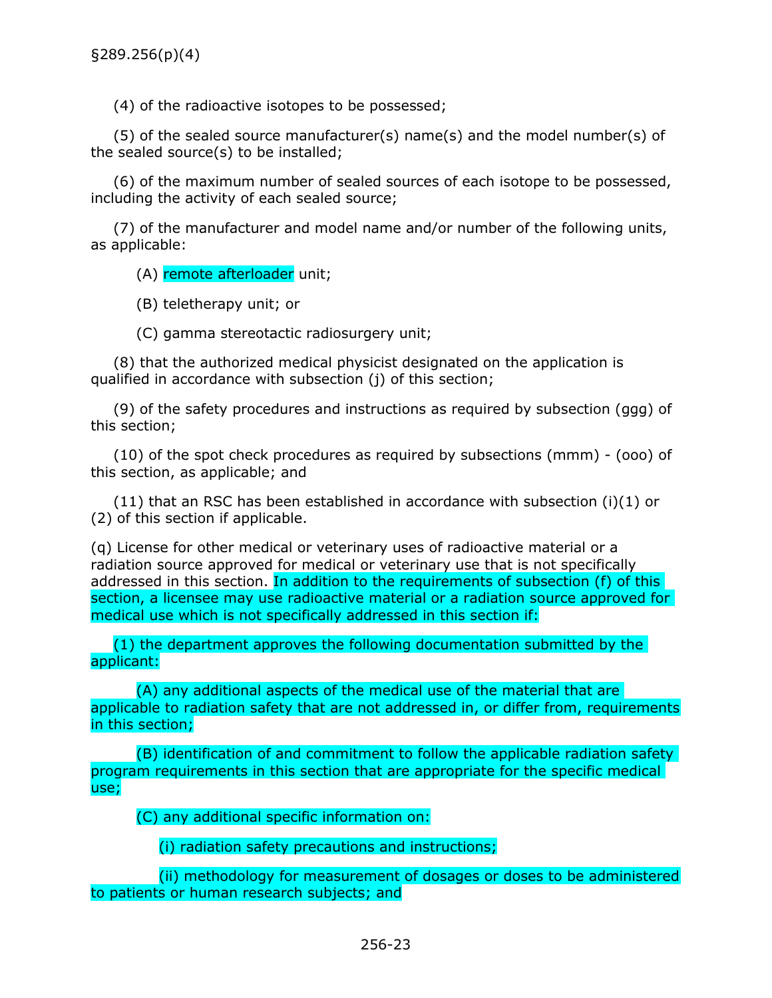<span id="page-25-0"></span>(4) of the radioactive isotopes to be possessed;

(5) of the sealed source manufacturer(s) name(s) and the model number(s) of the sealed source(s) to be installed;

(6) of the maximum number of sealed sources of each isotope to be possessed, including the activity of each sealed source;

(7) of the manufacturer and model name and/or number of the following units, as applicable:

(A) remote afterloader unit;

(B) teletherapy unit; or

(C) gamma stereotactic radiosurgery unit;

(8) that the authorized medical physicist designated on the application is qualified in accordance with subsection (j) of this section;

(9) of the safety procedures and instructions as required by subsection (ggg) of this section;

(10) of the spot check procedures as required by subsections (mmm) - (ooo) of this section, as applicable; and

 $(11)$  that an RSC has been established in accordance with subsection (i)(1) or (2) of this section if applicable.

(q) License for other medical or veterinary uses of radioactive material or a radiation source approved for medical or veterinary use that is not specifically addressed in this section. In addition to the requirements of subsection (f) of this section, a licensee may use radioactive material or a radiation source approved for medical use which is not specifically addressed in this section if:

(1) the department approves the following documentation submitted by the applicant:

(A) any additional aspects of the medical use of the material that are applicable to radiation safety that are not addressed in, or differ from, requirements in this section;

(B) identification of and commitment to follow the applicable radiation safety program requirements in this section that are appropriate for the specific medical use;

(C) any additional specific information on:

(i) radiation safety precautions and instructions;

(ii) methodology for measurement of dosages or doses to be administered to patients or human research subjects; and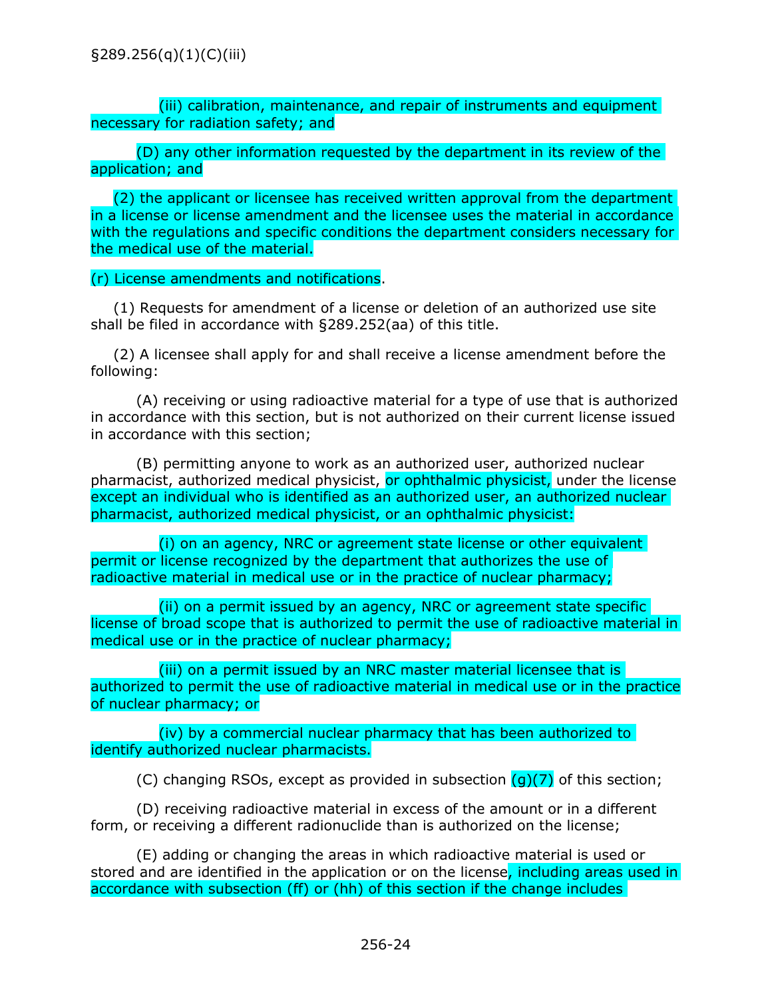<span id="page-26-0"></span>(iii) calibration, maintenance, and repair of instruments and equipment necessary for radiation safety; and

(D) any other information requested by the department in its review of the application; and

(2) the applicant or licensee has received written approval from the department in a license or license amendment and the licensee uses the material in accordance with the regulations and specific conditions the department considers necessary for the medical use of the material.

(r) License amendments and notifications.

(1) Requests for amendment of a license or deletion of an authorized use site shall be filed in accordance with §289.252(aa) of this title.

(2) A licensee shall apply for and shall receive a license amendment before the following:

(A) receiving or using radioactive material for a type of use that is authorized in accordance with this section, but is not authorized on their current license issued in accordance with this section;

(B) permitting anyone to work as an authorized user, authorized nuclear pharmacist, authorized medical physicist, or ophthalmic physicist, under the license except an individual who is identified as an authorized user, an authorized nuclear pharmacist, authorized medical physicist, or an ophthalmic physicist:

(i) on an agency, NRC or agreement state license or other equivalent permit or license recognized by the department that authorizes the use of radioactive material in medical use or in the practice of nuclear pharmacy;

(ii) on a permit issued by an agency, NRC or agreement state specific license of broad scope that is authorized to permit the use of radioactive material in medical use or in the practice of nuclear pharmacy;

(iii) on a permit issued by an NRC master material licensee that is authorized to permit the use of radioactive material in medical use or in the practice of nuclear pharmacy; or

(iv) by a commercial nuclear pharmacy that has been authorized to identify authorized nuclear pharmacists.

(C) changing RSOs, except as provided in subsection  $(q)(7)$  of this section;

(D) receiving radioactive material in excess of the amount or in a different form, or receiving a different radionuclide than is authorized on the license;

(E) adding or changing the areas in which radioactive material is used or stored and are identified in the application or on the license, including areas used in accordance with subsection (ff) or (hh) of this section if the change includes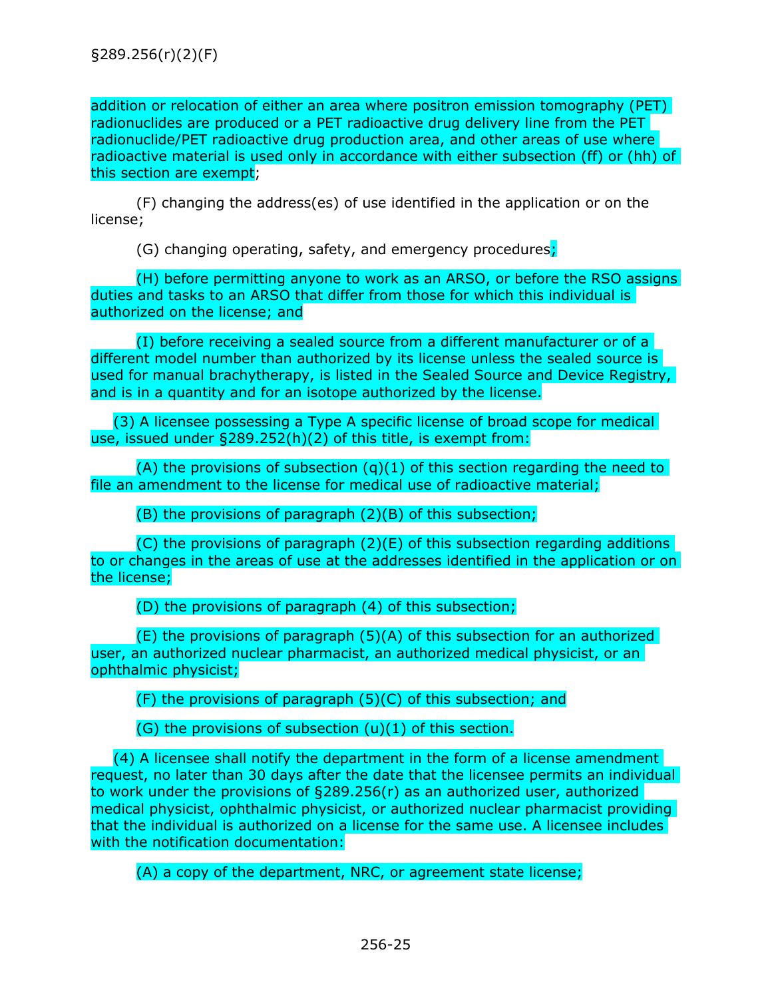addition or relocation of either an area where positron emission tomography (PET) radionuclides are produced or a PET radioactive drug delivery line from the PET radionuclide/PET radioactive drug production area, and other areas of use where radioactive material is used only in accordance with either subsection (ff) or (hh) of this section are exempt;

(F) changing the address(es) of use identified in the application or on the license;

(G) changing operating, safety, and emergency procedures;

(H) before permitting anyone to work as an ARSO, or before the RSO assigns duties and tasks to an ARSO that differ from those for which this individual is authorized on the license; and

(I) before receiving a sealed source from a different manufacturer or of a different model number than authorized by its license unless the sealed source is used for manual brachytherapy, is listed in the Sealed Source and Device Registry, and is in a quantity and for an isotope authorized by the license.

(3) A licensee possessing a Type A specific license of broad scope for medical use, issued under §289.252(h)(2) of this title, is exempt from:

(A) the provisions of subsection  $(q)(1)$  of this section regarding the need to file an amendment to the license for medical use of radioactive material;

(B) the provisions of paragraph (2)(B) of this subsection;

(C) the provisions of paragraph (2)(E) of this subsection regarding additions to or changes in the areas of use at the addresses identified in the application or on the license;

(D) the provisions of paragraph (4) of this subsection;

(E) the provisions of paragraph (5)(A) of this subsection for an authorized user, an authorized nuclear pharmacist, an authorized medical physicist, or an ophthalmic physicist;

(F) the provisions of paragraph (5)(C) of this subsection; and

 $(G)$  the provisions of subsection  $(u)(1)$  of this section.

(4) A licensee shall notify the department in the form of a license amendment request, no later than 30 days after the date that the licensee permits an individual to work under the provisions of §289.256(r) as an authorized user, authorized medical physicist, ophthalmic physicist, or authorized nuclear pharmacist providing that the individual is authorized on a license for the same use. A licensee includes with the notification documentation:

(A) a copy of the department, NRC, or agreement state license;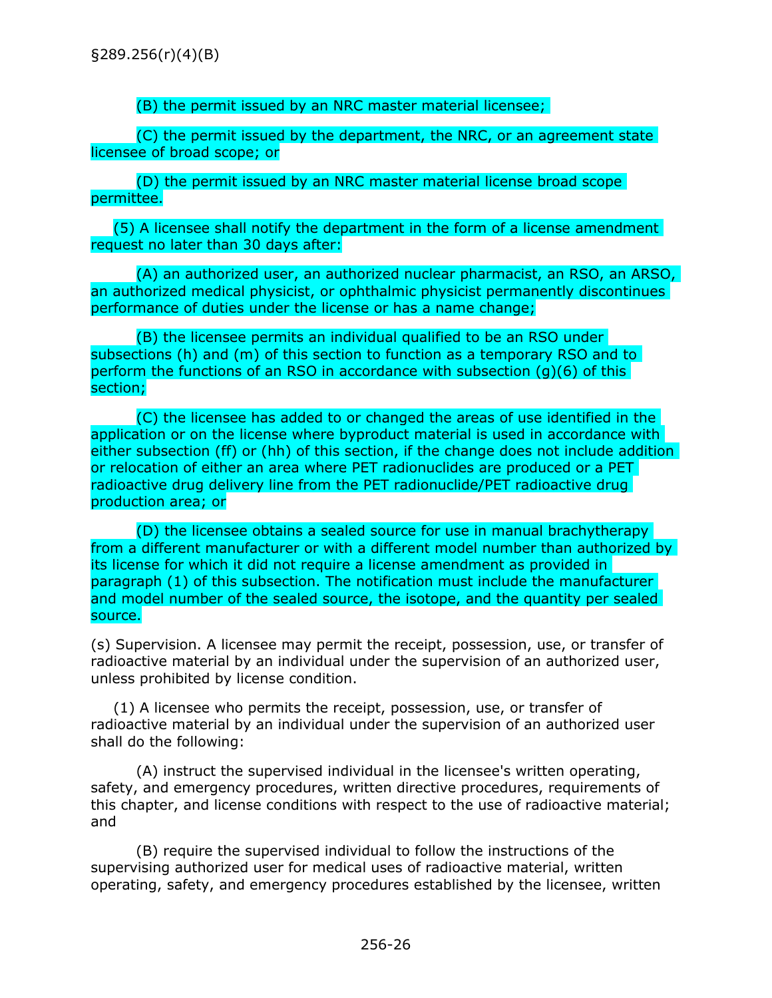<span id="page-28-0"></span>§289.256(r)(4)(B)

(B) the permit issued by an NRC master material licensee;

(C) the permit issued by the department, the NRC, or an agreement state licensee of broad scope; or

(D) the permit issued by an NRC master material license broad scope permittee.

(5) A licensee shall notify the department in the form of a license amendment request no later than 30 days after:

(A) an authorized user, an authorized nuclear pharmacist, an RSO, an ARSO, an authorized medical physicist, or ophthalmic physicist permanently discontinues performance of duties under the license or has a name change;

(B) the licensee permits an individual qualified to be an RSO under subsections (h) and (m) of this section to function as a temporary RSO and to perform the functions of an RSO in accordance with subsection (g)(6) of this section;

(C) the licensee has added to or changed the areas of use identified in the application or on the license where byproduct material is used in accordance with either subsection (ff) or (hh) of this section, if the change does not include addition or relocation of either an area where PET radionuclides are produced or a PET radioactive drug delivery line from the PET radionuclide/PET radioactive drug production area; or

(D) the licensee obtains a sealed source for use in manual brachytherapy from a different manufacturer or with a different model number than authorized by its license for which it did not require a license amendment as provided in paragraph (1) of this subsection. The notification must include the manufacturer and model number of the sealed source, the isotope, and the quantity per sealed source.

(s) Supervision. A licensee may permit the receipt, possession, use, or transfer of radioactive material by an individual under the supervision of an authorized user, unless prohibited by license condition.

(1) A licensee who permits the receipt, possession, use, or transfer of radioactive material by an individual under the supervision of an authorized user shall do the following:

(A) instruct the supervised individual in the licensee's written operating, safety, and emergency procedures, written directive procedures, requirements of this chapter, and license conditions with respect to the use of radioactive material; and

(B) require the supervised individual to follow the instructions of the supervising authorized user for medical uses of radioactive material, written operating, safety, and emergency procedures established by the licensee, written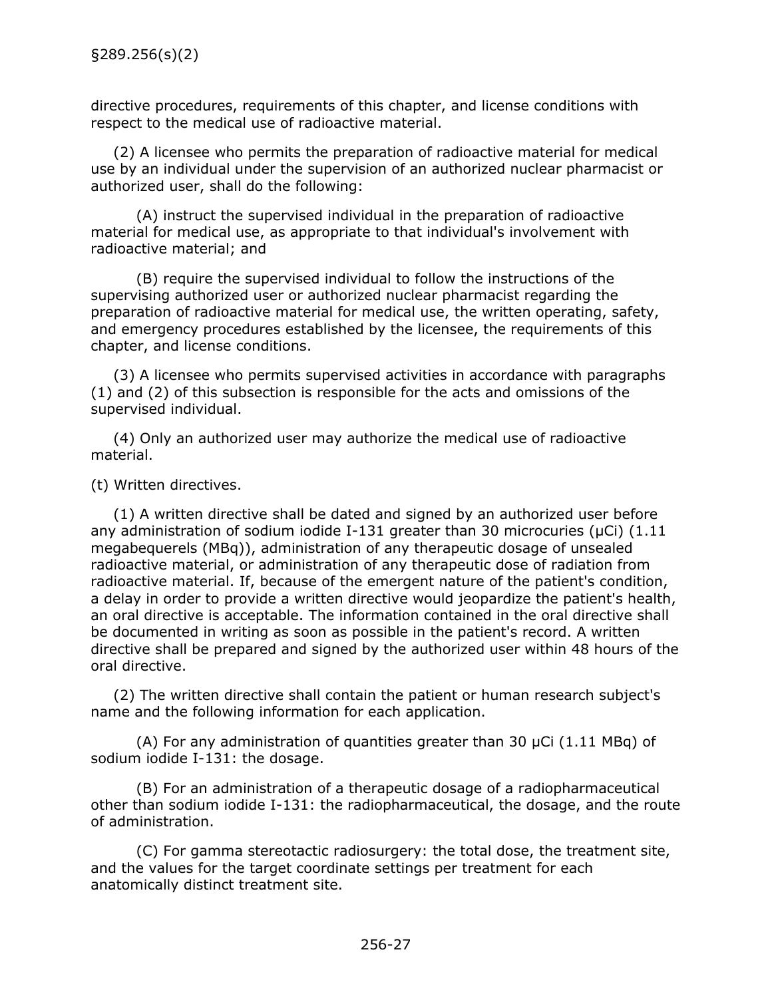<span id="page-29-0"></span>directive procedures, requirements of this chapter, and license conditions with respect to the medical use of radioactive material.

(2) A licensee who permits the preparation of radioactive material for medical use by an individual under the supervision of an authorized nuclear pharmacist or authorized user, shall do the following:

(A) instruct the supervised individual in the preparation of radioactive material for medical use, as appropriate to that individual's involvement with radioactive material; and

(B) require the supervised individual to follow the instructions of the supervising authorized user or authorized nuclear pharmacist regarding the preparation of radioactive material for medical use, the written operating, safety, and emergency procedures established by the licensee, the requirements of this chapter, and license conditions.

(3) A licensee who permits supervised activities in accordance with paragraphs (1) and (2) of this subsection is responsible for the acts and omissions of the supervised individual.

(4) Only an authorized user may authorize the medical use of radioactive material.

(t) Written directives.

(1) A written directive shall be dated and signed by an authorized user before any administration of sodium iodide I-131 greater than 30 microcuries ( $\mu$ Ci) (1.11 megabequerels (MBq)), administration of any therapeutic dosage of unsealed radioactive material, or administration of any therapeutic dose of radiation from radioactive material. If, because of the emergent nature of the patient's condition, a delay in order to provide a written directive would jeopardize the patient's health, an oral directive is acceptable. The information contained in the oral directive shall be documented in writing as soon as possible in the patient's record. A written directive shall be prepared and signed by the authorized user within 48 hours of the oral directive.

(2) The written directive shall contain the patient or human research subject's name and the following information for each application.

(A) For any administration of quantities greater than 30  $\mu$ Ci (1.11 MBq) of sodium iodide I-131: the dosage.

(B) For an administration of a therapeutic dosage of a radiopharmaceutical other than sodium iodide I-131: the radiopharmaceutical, the dosage, and the route of administration.

(C) For gamma stereotactic radiosurgery: the total dose, the treatment site, and the values for the target coordinate settings per treatment for each anatomically distinct treatment site.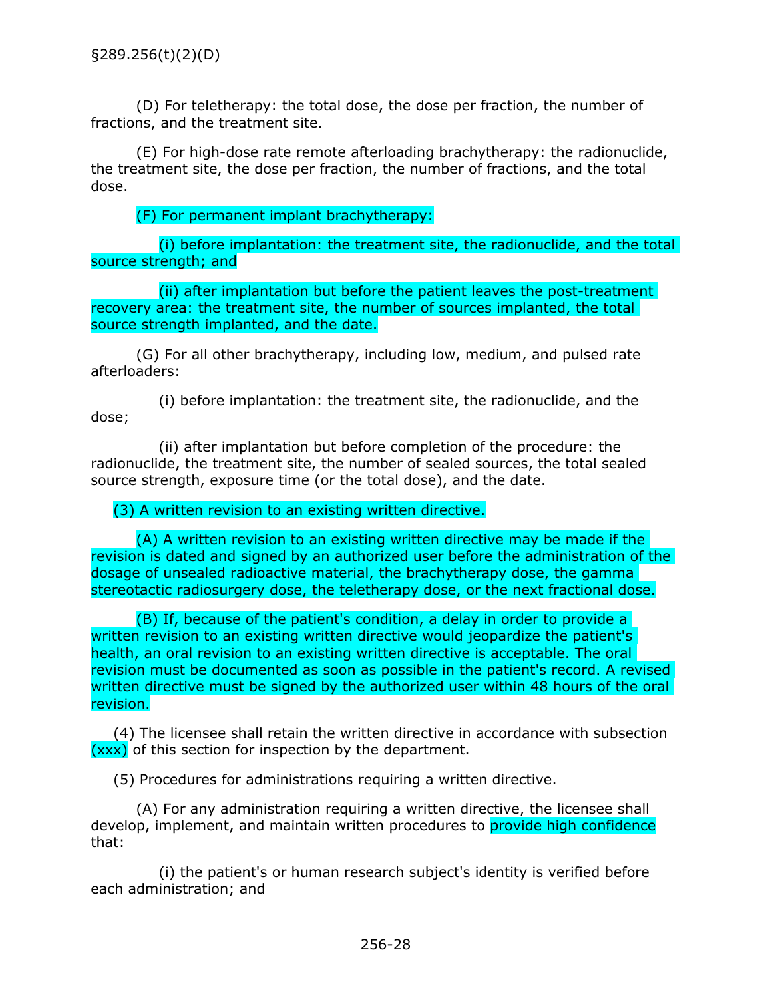(D) For teletherapy: the total dose, the dose per fraction, the number of fractions, and the treatment site.

(E) For high-dose rate remote afterloading brachytherapy: the radionuclide, the treatment site, the dose per fraction, the number of fractions, and the total dose.

(F) For permanent implant brachytherapy:

(i) before implantation: the treatment site, the radionuclide, and the total source strength; and

(ii) after implantation but before the patient leaves the post-treatment recovery area: the treatment site, the number of sources implanted, the total source strength implanted, and the date.

(G) For all other brachytherapy, including low, medium, and pulsed rate afterloaders:

(i) before implantation: the treatment site, the radionuclide, and the dose;

(ii) after implantation but before completion of the procedure: the radionuclide, the treatment site, the number of sealed sources, the total sealed source strength, exposure time (or the total dose), and the date.

(3) A written revision to an existing written directive.

(A) A written revision to an existing written directive may be made if the revision is dated and signed by an authorized user before the administration of the dosage of unsealed radioactive material, the brachytherapy dose, the gamma stereotactic radiosurgery dose, the teletherapy dose, or the next fractional dose.

(B) If, because of the patient's condition, a delay in order to provide a written revision to an existing written directive would jeopardize the patient's health, an oral revision to an existing written directive is acceptable. The oral revision must be documented as soon as possible in the patient's record. A revised written directive must be signed by the authorized user within 48 hours of the oral revision.

(4) The licensee shall retain the written directive in accordance with subsection  $(xxx)$  of this section for inspection by the department.

(5) Procedures for administrations requiring a written directive.

(A) For any administration requiring a written directive, the licensee shall develop, implement, and maintain written procedures to provide high confidence that:

(i) the patient's or human research subject's identity is verified before each administration; and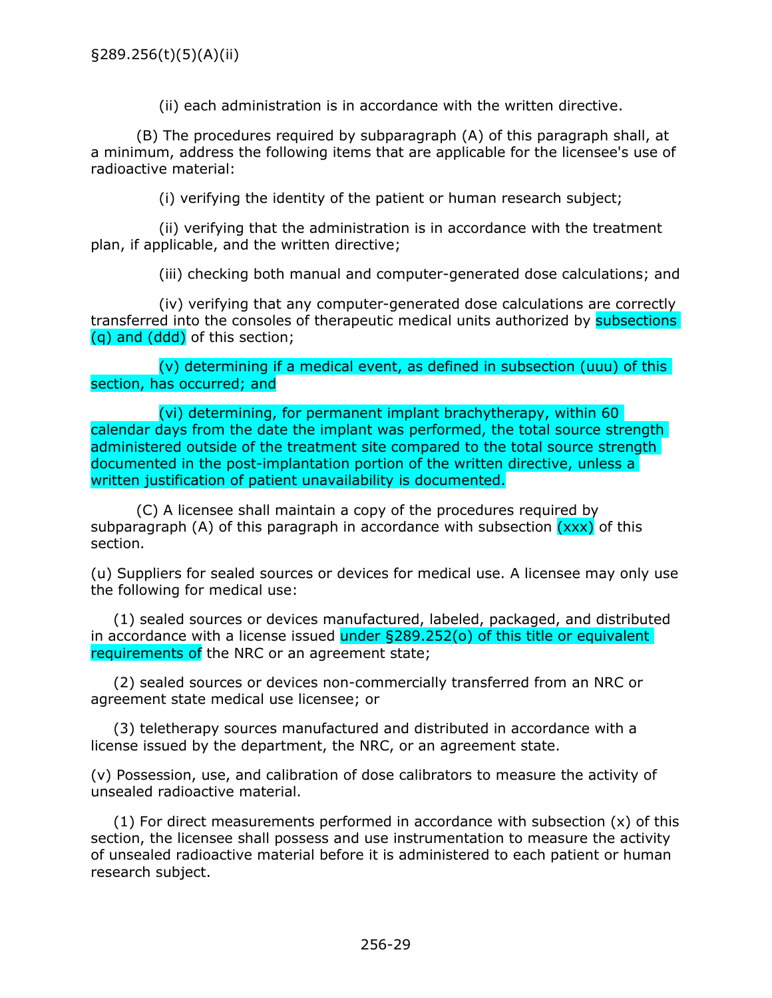(ii) each administration is in accordance with the written directive.

<span id="page-31-0"></span>(B) The procedures required by subparagraph (A) of this paragraph shall, at a minimum, address the following items that are applicable for the licensee's use of radioactive material:

(i) verifying the identity of the patient or human research subject;

(ii) verifying that the administration is in accordance with the treatment plan, if applicable, and the written directive;

(iii) checking both manual and computer-generated dose calculations; and

(iv) verifying that any computer-generated dose calculations are correctly transferred into the consoles of therapeutic medical units authorized by subsections (q) and (ddd) of this section;

(v) determining if a medical event, as defined in subsection (uuu) of this section, has occurred; and

(vi) determining, for permanent implant brachytherapy, within 60 calendar days from the date the implant was performed, the total source strength administered outside of the treatment site compared to the total source strength documented in the post-implantation portion of the written directive, unless a written justification of patient unavailability is documented.

(C) A licensee shall maintain a copy of the procedures required by subparagraph (A) of this paragraph in accordance with subsection  $(xxx)$  of this section.

(u) Suppliers for sealed sources or devices for medical use. A licensee may only use the following for medical use:

(1) sealed sources or devices manufactured, labeled, packaged, and distributed in accordance with a license issued under  $\S 289.252$  (o) of this title or equivalent requirements of the NRC or an agreement state;

(2) sealed sources or devices non-commercially transferred from an NRC or agreement state medical use licensee; or

(3) teletherapy sources manufactured and distributed in accordance with a license issued by the department, the NRC, or an agreement state.

(v) Possession, use, and calibration of dose calibrators to measure the activity of unsealed radioactive material.

 $(1)$  For direct measurements performed in accordance with subsection  $(x)$  of this section, the licensee shall possess and use instrumentation to measure the activity of unsealed radioactive material before it is administered to each patient or human research subject.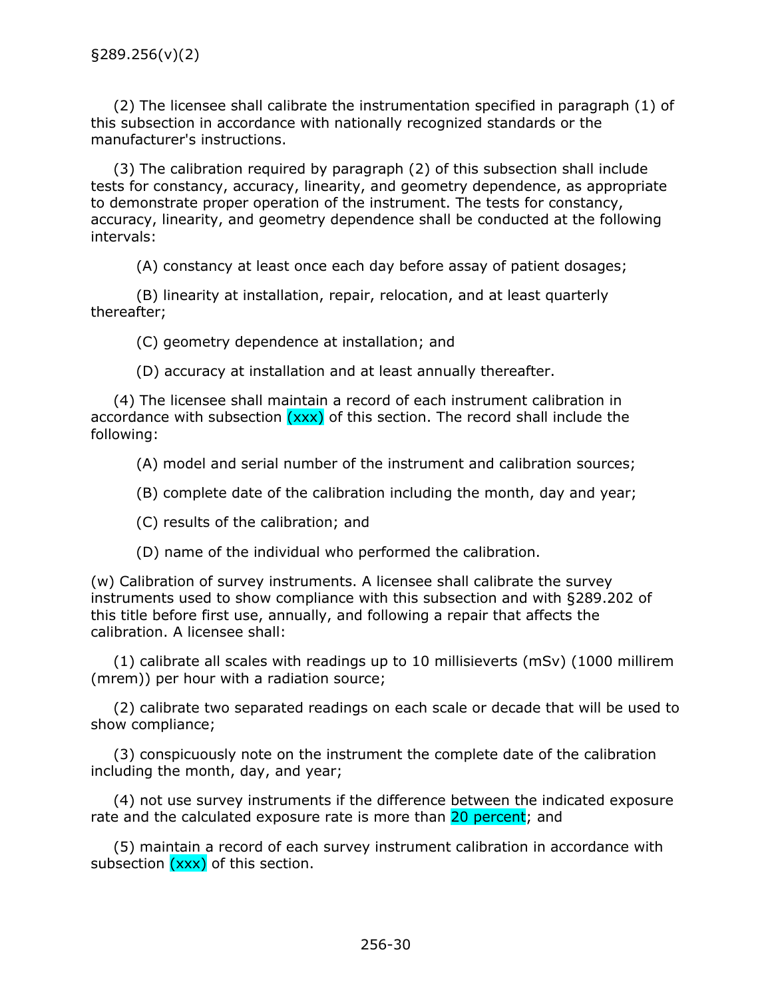<span id="page-32-0"></span>(2) The licensee shall calibrate the instrumentation specified in paragraph (1) of this subsection in accordance with nationally recognized standards or the manufacturer's instructions.

(3) The calibration required by paragraph (2) of this subsection shall include tests for constancy, accuracy, linearity, and geometry dependence, as appropriate to demonstrate proper operation of the instrument. The tests for constancy, accuracy, linearity, and geometry dependence shall be conducted at the following intervals:

(A) constancy at least once each day before assay of patient dosages;

(B) linearity at installation, repair, relocation, and at least quarterly thereafter;

(C) geometry dependence at installation; and

(D) accuracy at installation and at least annually thereafter.

(4) The licensee shall maintain a record of each instrument calibration in accordance with subsection  $(xxx)$  of this section. The record shall include the following:

(A) model and serial number of the instrument and calibration sources;

(B) complete date of the calibration including the month, day and year;

(C) results of the calibration; and

(D) name of the individual who performed the calibration.

(w) Calibration of survey instruments. A licensee shall calibrate the survey instruments used to show compliance with this subsection and with §289.202 of this title before first use, annually, and following a repair that affects the calibration. A licensee shall:

(1) calibrate all scales with readings up to 10 millisieverts (mSv) (1000 millirem (mrem)) per hour with a radiation source;

(2) calibrate two separated readings on each scale or decade that will be used to show compliance;

(3) conspicuously note on the instrument the complete date of the calibration including the month, day, and year;

(4) not use survey instruments if the difference between the indicated exposure rate and the calculated exposure rate is more than 20 percent; and

(5) maintain a record of each survey instrument calibration in accordance with subsection  $(xxx)$  of this section.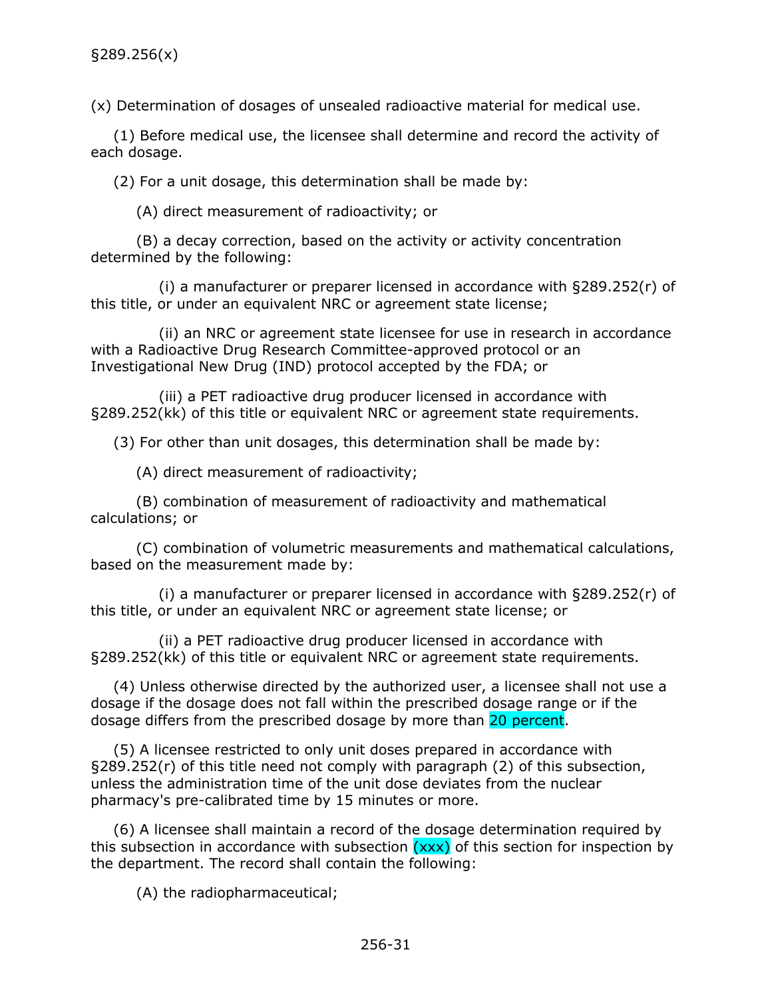<span id="page-33-0"></span>(x) Determination of dosages of unsealed radioactive material for medical use.

(1) Before medical use, the licensee shall determine and record the activity of each dosage.

(2) For a unit dosage, this determination shall be made by:

(A) direct measurement of radioactivity; or

(B) a decay correction, based on the activity or activity concentration determined by the following:

(i) a manufacturer or preparer licensed in accordance with §289.252(r) of this title, or under an equivalent NRC or agreement state license;

(ii) an NRC or agreement state licensee for use in research in accordance with a Radioactive Drug Research Committee-approved protocol or an Investigational New Drug (IND) protocol accepted by the FDA; or

(iii) a PET radioactive drug producer licensed in accordance with §289.252(kk) of this title or equivalent NRC or agreement state requirements.

(3) For other than unit dosages, this determination shall be made by:

(A) direct measurement of radioactivity;

(B) combination of measurement of radioactivity and mathematical calculations; or

(C) combination of volumetric measurements and mathematical calculations, based on the measurement made by:

(i) a manufacturer or preparer licensed in accordance with §289.252(r) of this title, or under an equivalent NRC or agreement state license; or

(ii) a PET radioactive drug producer licensed in accordance with §289.252(kk) of this title or equivalent NRC or agreement state requirements.

(4) Unless otherwise directed by the authorized user, a licensee shall not use a dosage if the dosage does not fall within the prescribed dosage range or if the dosage differs from the prescribed dosage by more than 20 percent.

(5) A licensee restricted to only unit doses prepared in accordance with §289.252(r) of this title need not comply with paragraph (2) of this subsection, unless the administration time of the unit dose deviates from the nuclear pharmacy's pre-calibrated time by 15 minutes or more.

(6) A licensee shall maintain a record of the dosage determination required by this subsection in accordance with subsection  $(xxx)$  of this section for inspection by the department. The record shall contain the following:

(A) the radiopharmaceutical;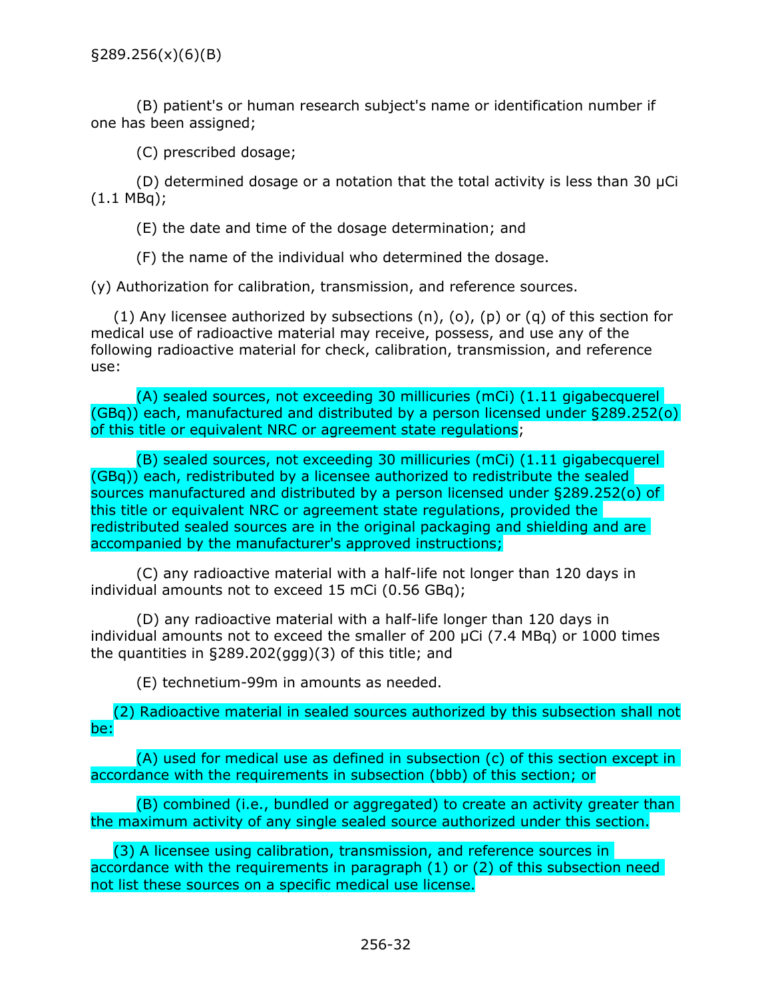<span id="page-34-0"></span>§289.256(x)(6)(B)

(B) patient's or human research subject's name or identification number if one has been assigned;

(C) prescribed dosage;

(D) determined dosage or a notation that the total activity is less than 30  $\mu$ Ci (1.1 MBq);

(E) the date and time of the dosage determination; and

(F) the name of the individual who determined the dosage.

(y) Authorization for calibration, transmission, and reference sources.

 $(1)$  Any licensee authorized by subsections  $(n)$ ,  $(o)$ ,  $(p)$  or  $(q)$  of this section for medical use of radioactive material may receive, possess, and use any of the following radioactive material for check, calibration, transmission, and reference use:

(A) sealed sources, not exceeding 30 millicuries (mCi) (1.11 gigabecquerel (GBq)) each, manufactured and distributed by a person licensed under §289.252(o) of this title or equivalent NRC or agreement state regulations;

(B) sealed sources, not exceeding 30 millicuries (mCi) (1.11 gigabecquerel (GBq)) each, redistributed by a licensee authorized to redistribute the sealed sources manufactured and distributed by a person licensed under §289.252(o) of this title or equivalent NRC or agreement state regulations, provided the redistributed sealed sources are in the original packaging and shielding and are accompanied by the manufacturer's approved instructions;

(C) any radioactive material with a half-life not longer than 120 days in individual amounts not to exceed 15 mCi (0.56 GBq);

(D) any radioactive material with a half-life longer than 120 days in individual amounts not to exceed the smaller of 200 µCi (7.4 MBq) or 1000 times the quantities in §289.202(ggg)(3) of this title; and

(E) technetium-99m in amounts as needed.

(2) Radioactive material in sealed sources authorized by this subsection shall not be:

(A) used for medical use as defined in subsection (c) of this section except in accordance with the requirements in subsection (bbb) of this section; or

(B) combined (i.e., bundled or aggregated) to create an activity greater than the maximum activity of any single sealed source authorized under this section.

(3) A licensee using calibration, transmission, and reference sources in accordance with the requirements in paragraph (1) or (2) of this subsection need not list these sources on a specific medical use license.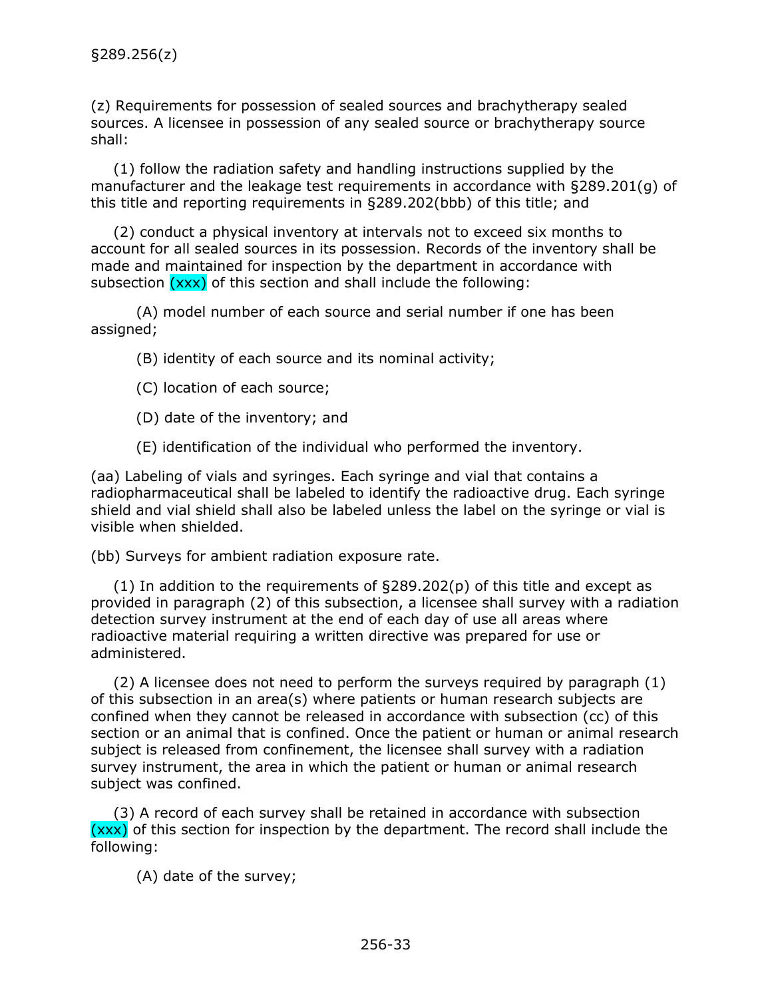<span id="page-35-0"></span>(z) Requirements for possession of sealed sources and brachytherapy sealed sources. A licensee in possession of any sealed source or brachytherapy source shall:

(1) follow the radiation safety and handling instructions supplied by the manufacturer and the leakage test requirements in accordance with §289.201(g) of this title and reporting requirements in §289.202(bbb) of this title; and

(2) conduct a physical inventory at intervals not to exceed six months to account for all sealed sources in its possession. Records of the inventory shall be made and maintained for inspection by the department in accordance with subsection  $(xxx)$  of this section and shall include the following:

(A) model number of each source and serial number if one has been assigned;

(B) identity of each source and its nominal activity;

- (C) location of each source;
- (D) date of the inventory; and

(E) identification of the individual who performed the inventory.

(aa) Labeling of vials and syringes. Each syringe and vial that contains a radiopharmaceutical shall be labeled to identify the radioactive drug. Each syringe shield and vial shield shall also be labeled unless the label on the syringe or vial is visible when shielded.

(bb) Surveys for ambient radiation exposure rate.

(1) In addition to the requirements of §289.202(p) of this title and except as provided in paragraph (2) of this subsection, a licensee shall survey with a radiation detection survey instrument at the end of each day of use all areas where radioactive material requiring a written directive was prepared for use or administered.

(2) A licensee does not need to perform the surveys required by paragraph (1) of this subsection in an area(s) where patients or human research subjects are confined when they cannot be released in accordance with subsection (cc) of this section or an animal that is confined. Once the patient or human or animal research subject is released from confinement, the licensee shall survey with a radiation survey instrument, the area in which the patient or human or animal research subject was confined.

(3) A record of each survey shall be retained in accordance with subsection (xxx) of this section for inspection by the department. The record shall include the following:

(A) date of the survey;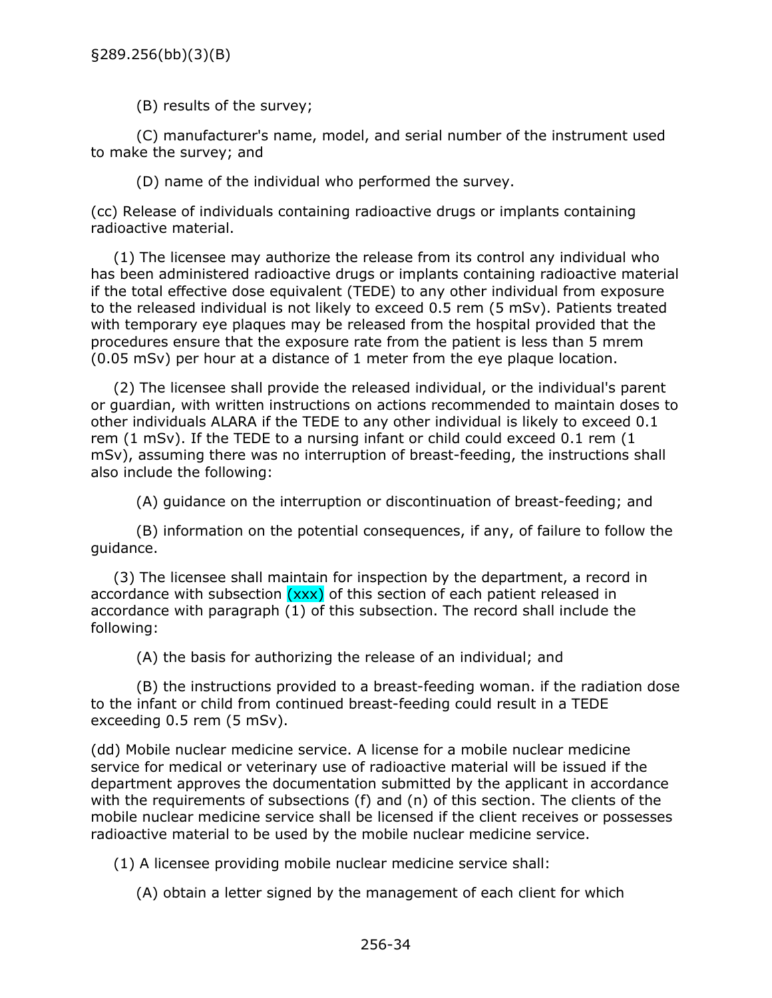(B) results of the survey;

(C) manufacturer's name, model, and serial number of the instrument used to make the survey; and

(D) name of the individual who performed the survey.

(cc) Release of individuals containing radioactive drugs or implants containing radioactive material.

(1) The licensee may authorize the release from its control any individual who has been administered radioactive drugs or implants containing radioactive material if the total effective dose equivalent (TEDE) to any other individual from exposure to the released individual is not likely to exceed 0.5 rem (5 mSv). Patients treated with temporary eye plaques may be released from the hospital provided that the procedures ensure that the exposure rate from the patient is less than 5 mrem (0.05 mSv) per hour at a distance of 1 meter from the eye plaque location.

(2) The licensee shall provide the released individual, or the individual's parent or guardian, with written instructions on actions recommended to maintain doses to other individuals ALARA if the TEDE to any other individual is likely to exceed 0.1 rem (1 mSv). If the TEDE to a nursing infant or child could exceed 0.1 rem (1 mSv), assuming there was no interruption of breast-feeding, the instructions shall also include the following:

(A) guidance on the interruption or discontinuation of breast-feeding; and

(B) information on the potential consequences, if any, of failure to follow the guidance.

(3) The licensee shall maintain for inspection by the department, a record in accordance with subsection  $(xxx)$  of this section of each patient released in accordance with paragraph (1) of this subsection. The record shall include the following:

(A) the basis for authorizing the release of an individual; and

(B) the instructions provided to a breast-feeding woman. if the radiation dose to the infant or child from continued breast-feeding could result in a TEDE exceeding 0.5 rem (5 mSv).

(dd) Mobile nuclear medicine service. A license for a mobile nuclear medicine service for medical or veterinary use of radioactive material will be issued if the department approves the documentation submitted by the applicant in accordance with the requirements of subsections (f) and (n) of this section. The clients of the mobile nuclear medicine service shall be licensed if the client receives or possesses radioactive material to be used by the mobile nuclear medicine service.

(1) A licensee providing mobile nuclear medicine service shall:

(A) obtain a letter signed by the management of each client for which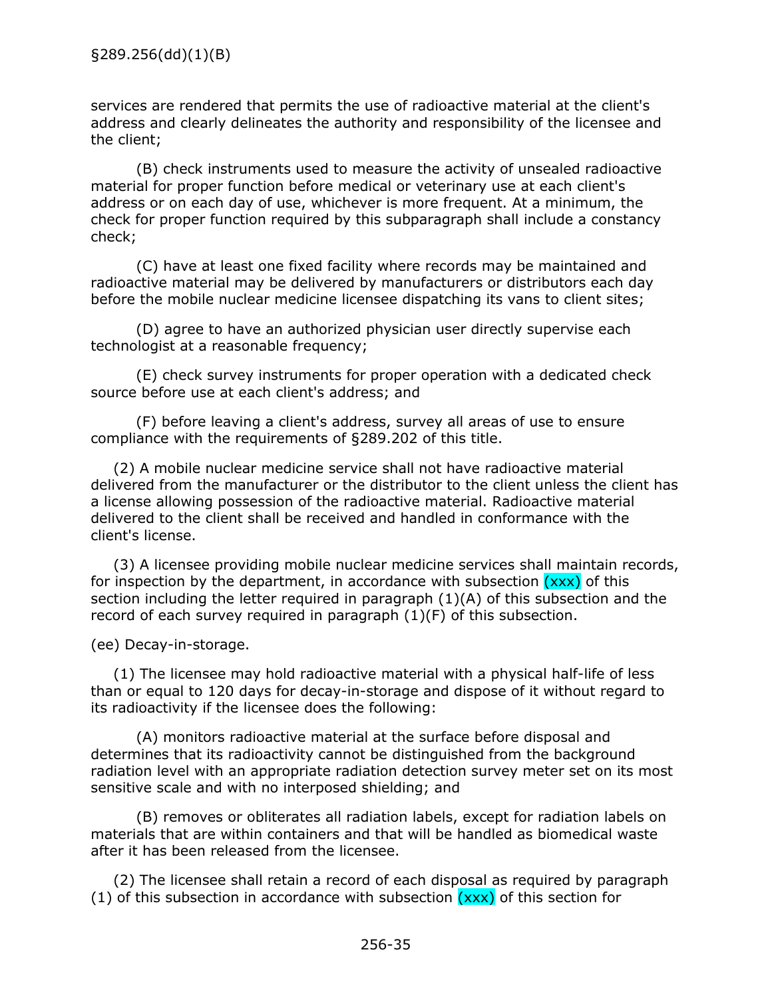services are rendered that permits the use of radioactive material at the client's address and clearly delineates the authority and responsibility of the licensee and the client;

(B) check instruments used to measure the activity of unsealed radioactive material for proper function before medical or veterinary use at each client's address or on each day of use, whichever is more frequent. At a minimum, the check for proper function required by this subparagraph shall include a constancy check;

(C) have at least one fixed facility where records may be maintained and radioactive material may be delivered by manufacturers or distributors each day before the mobile nuclear medicine licensee dispatching its vans to client sites;

(D) agree to have an authorized physician user directly supervise each technologist at a reasonable frequency;

(E) check survey instruments for proper operation with a dedicated check source before use at each client's address; and

(F) before leaving a client's address, survey all areas of use to ensure compliance with the requirements of §289.202 of this title.

(2) A mobile nuclear medicine service shall not have radioactive material delivered from the manufacturer or the distributor to the client unless the client has a license allowing possession of the radioactive material. Radioactive material delivered to the client shall be received and handled in conformance with the client's license.

(3) A licensee providing mobile nuclear medicine services shall maintain records, for inspection by the department, in accordance with subsection  $(xxx)$  of this section including the letter required in paragraph (1)(A) of this subsection and the record of each survey required in paragraph  $(1)(F)$  of this subsection.

(ee) Decay-in-storage.

(1) The licensee may hold radioactive material with a physical half-life of less than or equal to 120 days for decay-in-storage and dispose of it without regard to its radioactivity if the licensee does the following:

(A) monitors radioactive material at the surface before disposal and determines that its radioactivity cannot be distinguished from the background radiation level with an appropriate radiation detection survey meter set on its most sensitive scale and with no interposed shielding; and

(B) removes or obliterates all radiation labels, except for radiation labels on materials that are within containers and that will be handled as biomedical waste after it has been released from the licensee.

(2) The licensee shall retain a record of each disposal as required by paragraph (1) of this subsection in accordance with subsection  $(xxx)$  of this section for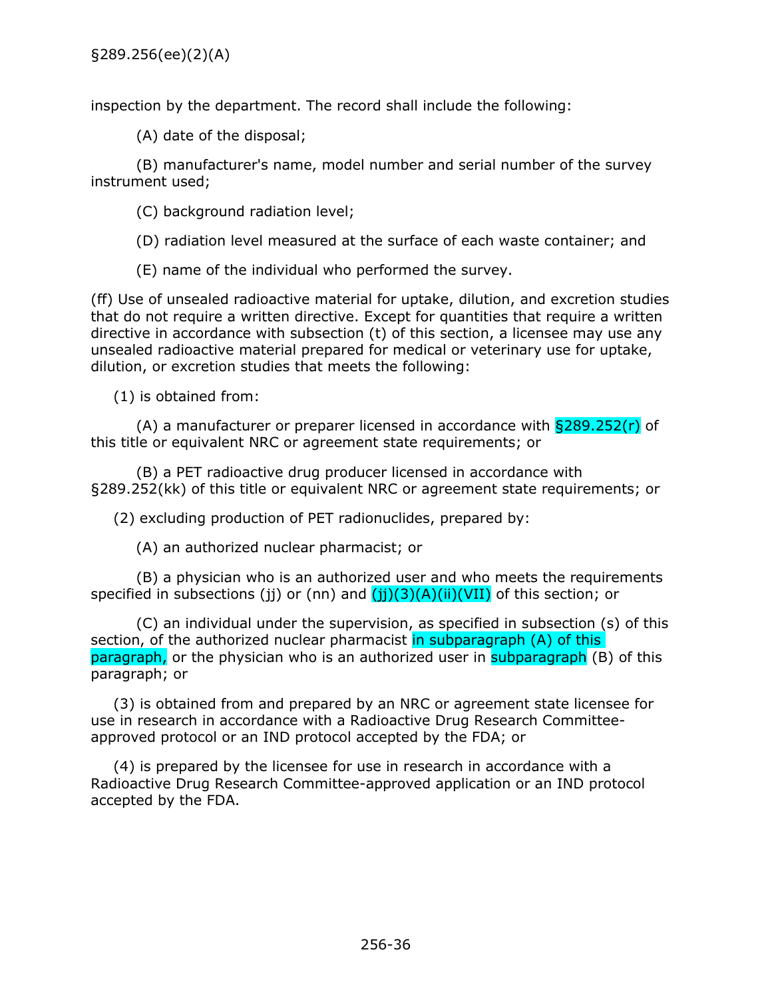inspection by the department. The record shall include the following:

(A) date of the disposal;

(B) manufacturer's name, model number and serial number of the survey instrument used;

(C) background radiation level;

(D) radiation level measured at the surface of each waste container; and

(E) name of the individual who performed the survey.

(ff) Use of unsealed radioactive material for uptake, dilution, and excretion studies that do not require a written directive. Except for quantities that require a written directive in accordance with subsection (t) of this section, a licensee may use any unsealed radioactive material prepared for medical or veterinary use for uptake, dilution, or excretion studies that meets the following:

(1) is obtained from:

(A) a manufacturer or preparer licensed in accordance with  $\S 289.252(r)$  of this title or equivalent NRC or agreement state requirements; or

(B) a PET radioactive drug producer licensed in accordance with §289.252(kk) of this title or equivalent NRC or agreement state requirements; or

(2) excluding production of PET radionuclides, prepared by:

(A) an authorized nuclear pharmacist; or

(B) a physician who is an authorized user and who meets the requirements specified in subsections (jj) or (nn) and  $(jj)(3)(A)(ii)(VII)$  of this section; or

(C) an individual under the supervision, as specified in subsection (s) of this section, of the authorized nuclear pharmacist in subparagraph (A) of this paragraph, or the physician who is an authorized user in subparagraph (B) of this paragraph; or

(3) is obtained from and prepared by an NRC or agreement state licensee for use in research in accordance with a Radioactive Drug Research Committeeapproved protocol or an IND protocol accepted by the FDA; or

(4) is prepared by the licensee for use in research in accordance with a Radioactive Drug Research Committee-approved application or an IND protocol accepted by the FDA.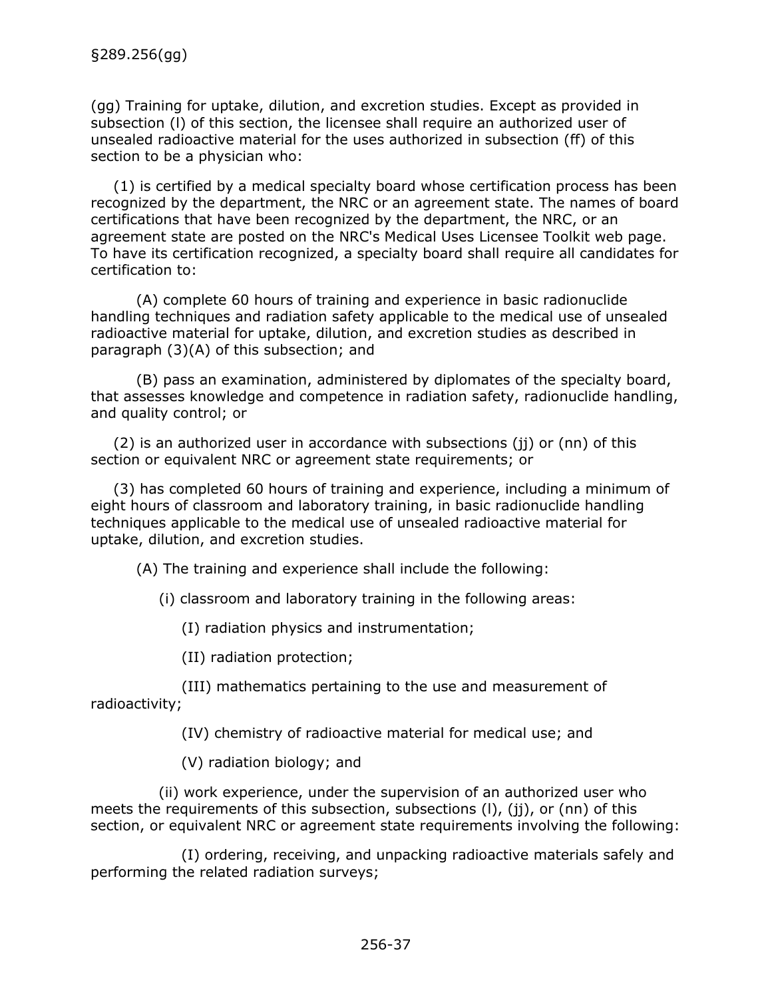(gg) Training for uptake, dilution, and excretion studies. Except as provided in subsection (l) of this section, the licensee shall require an authorized user of unsealed radioactive material for the uses authorized in subsection (ff) of this section to be a physician who:

(1) is certified by a medical specialty board whose certification process has been recognized by the department, the NRC or an agreement state. The names of board certifications that have been recognized by the department, the NRC, or an agreement state are posted on the NRC's Medical Uses Licensee Toolkit web page. To have its certification recognized, a specialty board shall require all candidates for certification to:

(A) complete 60 hours of training and experience in basic radionuclide handling techniques and radiation safety applicable to the medical use of unsealed radioactive material for uptake, dilution, and excretion studies as described in paragraph (3)(A) of this subsection; and

(B) pass an examination, administered by diplomates of the specialty board, that assesses knowledge and competence in radiation safety, radionuclide handling, and quality control; or

(2) is an authorized user in accordance with subsections (jj) or (nn) of this section or equivalent NRC or agreement state requirements; or

(3) has completed 60 hours of training and experience, including a minimum of eight hours of classroom and laboratory training, in basic radionuclide handling techniques applicable to the medical use of unsealed radioactive material for uptake, dilution, and excretion studies.

(A) The training and experience shall include the following:

(i) classroom and laboratory training in the following areas:

(I) radiation physics and instrumentation;

(II) radiation protection;

(III) mathematics pertaining to the use and measurement of radioactivity;

(IV) chemistry of radioactive material for medical use; and

(V) radiation biology; and

(ii) work experience, under the supervision of an authorized user who meets the requirements of this subsection, subsections (l), (jj), or (nn) of this section, or equivalent NRC or agreement state requirements involving the following:

(I) ordering, receiving, and unpacking radioactive materials safely and performing the related radiation surveys;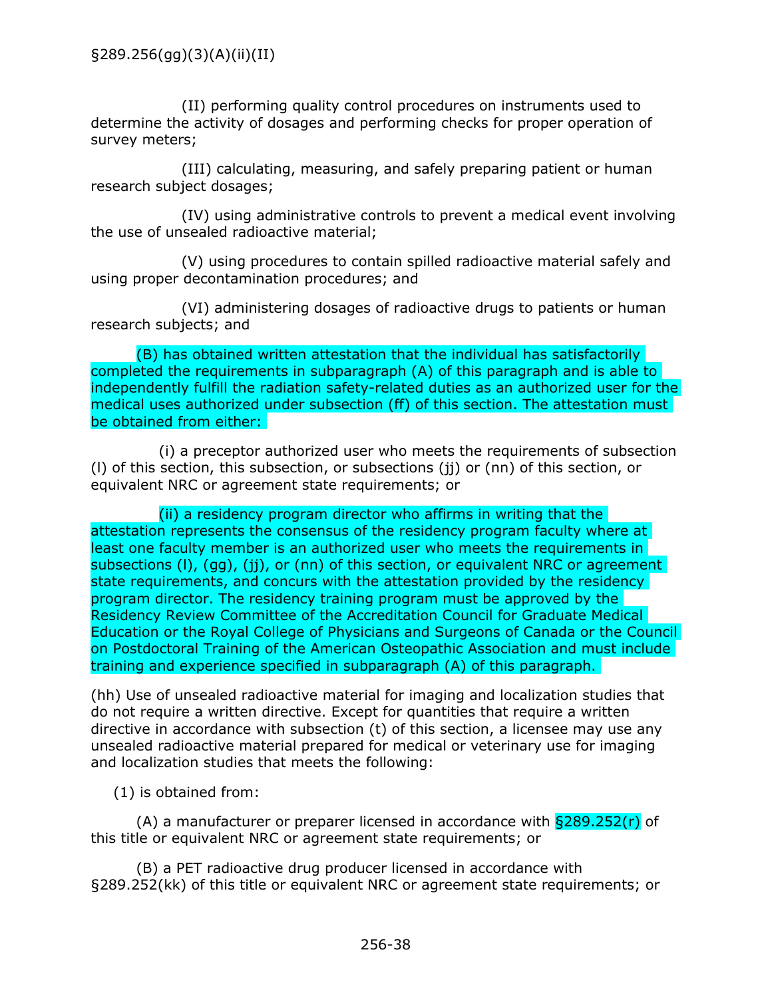(II) performing quality control procedures on instruments used to determine the activity of dosages and performing checks for proper operation of survey meters;

(III) calculating, measuring, and safely preparing patient or human research subject dosages;

(IV) using administrative controls to prevent a medical event involving the use of unsealed radioactive material;

(V) using procedures to contain spilled radioactive material safely and using proper decontamination procedures; and

(VI) administering dosages of radioactive drugs to patients or human research subjects; and

(B) has obtained written attestation that the individual has satisfactorily completed the requirements in subparagraph (A) of this paragraph and is able to independently fulfill the radiation safety-related duties as an authorized user for the medical uses authorized under subsection (ff) of this section. The attestation must be obtained from either:

(i) a preceptor authorized user who meets the requirements of subsection (l) of this section, this subsection, or subsections (jj) or (nn) of this section, or equivalent NRC or agreement state requirements; or

(ii) a residency program director who affirms in writing that the attestation represents the consensus of the residency program faculty where at least one faculty member is an authorized user who meets the requirements in subsections (I), (gg), (jj), or (nn) of this section, or equivalent NRC or agreement state requirements, and concurs with the attestation provided by the residency program director. The residency training program must be approved by the Residency Review Committee of the Accreditation Council for Graduate Medical Education or the Royal College of Physicians and Surgeons of Canada or the Council on Postdoctoral Training of the American Osteopathic Association and must include training and experience specified in subparagraph (A) of this paragraph.

(hh) Use of unsealed radioactive material for imaging and localization studies that do not require a written directive. Except for quantities that require a written directive in accordance with subsection (t) of this section, a licensee may use any unsealed radioactive material prepared for medical or veterinary use for imaging and localization studies that meets the following:

(1) is obtained from:

(A) a manufacturer or preparer licensed in accordance with  $\S 289.252(r)$  of this title or equivalent NRC or agreement state requirements; or

(B) a PET radioactive drug producer licensed in accordance with §289.252(kk) of this title or equivalent NRC or agreement state requirements; or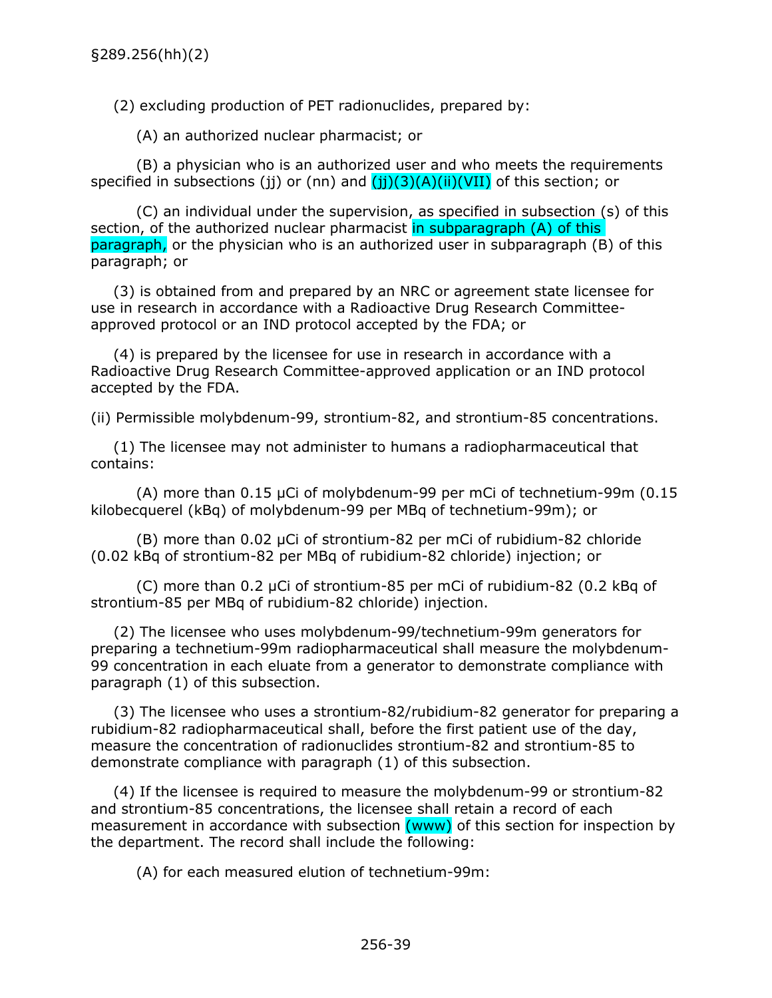(2) excluding production of PET radionuclides, prepared by:

(A) an authorized nuclear pharmacist; or

(B) a physician who is an authorized user and who meets the requirements specified in subsections (jj) or (nn) and  $(jj)(3)(A)(ii)(VII)$  of this section; or

(C) an individual under the supervision, as specified in subsection (s) of this section, of the authorized nuclear pharmacist in subparagraph (A) of this paragraph, or the physician who is an authorized user in subparagraph (B) of this paragraph; or

(3) is obtained from and prepared by an NRC or agreement state licensee for use in research in accordance with a Radioactive Drug Research Committeeapproved protocol or an IND protocol accepted by the FDA; or

(4) is prepared by the licensee for use in research in accordance with a Radioactive Drug Research Committee-approved application or an IND protocol accepted by the FDA.

(ii) Permissible molybdenum-99, strontium-82, and strontium-85 concentrations.

(1) The licensee may not administer to humans a radiopharmaceutical that contains:

(A) more than 0.15 µCi of molybdenum-99 per mCi of technetium-99m (0.15 kilobecquerel (kBq) of molybdenum-99 per MBq of technetium-99m); or

(B) more than 0.02 µCi of strontium-82 per mCi of rubidium-82 chloride (0.02 kBq of strontium-82 per MBq of rubidium-82 chloride) injection; or

(C) more than 0.2 µCi of strontium-85 per mCi of rubidium-82 (0.2 kBq of strontium-85 per MBq of rubidium-82 chloride) injection.

(2) The licensee who uses molybdenum-99/technetium-99m generators for preparing a technetium-99m radiopharmaceutical shall measure the molybdenum-99 concentration in each eluate from a generator to demonstrate compliance with paragraph (1) of this subsection.

(3) The licensee who uses a strontium-82/rubidium-82 generator for preparing a rubidium-82 radiopharmaceutical shall, before the first patient use of the day, measure the concentration of radionuclides strontium-82 and strontium-85 to demonstrate compliance with paragraph (1) of this subsection.

(4) If the licensee is required to measure the molybdenum-99 or strontium-82 and strontium-85 concentrations, the licensee shall retain a record of each measurement in accordance with subsection (www) of this section for inspection by the department. The record shall include the following:

(A) for each measured elution of technetium-99m: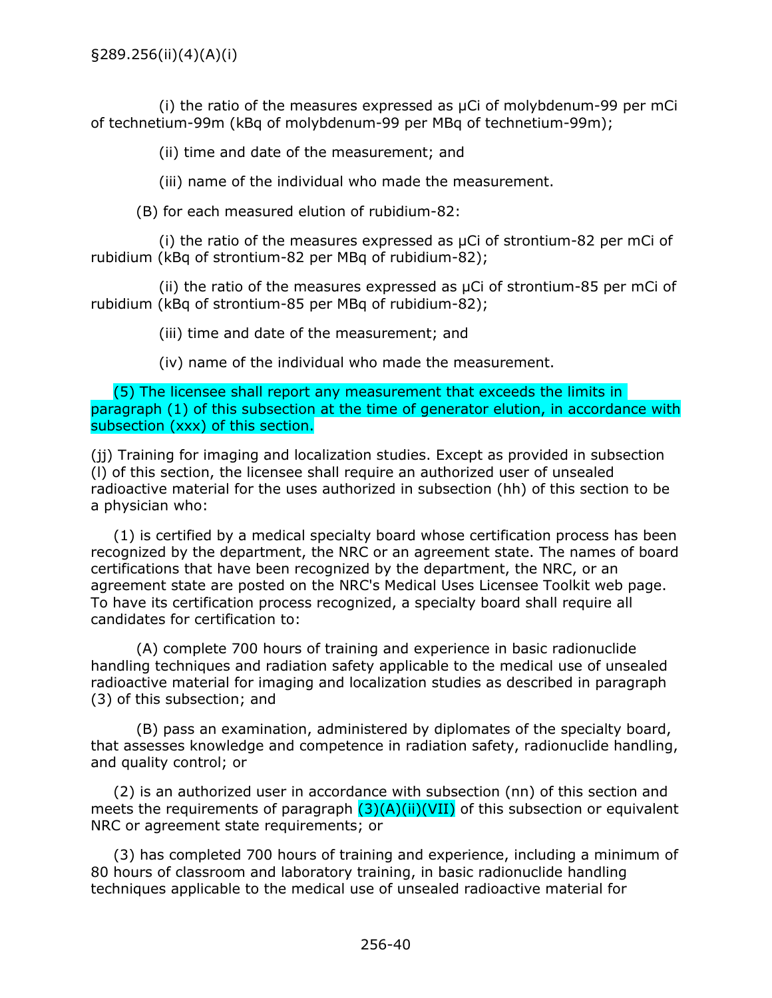(i) the ratio of the measures expressed as µCi of molybdenum-99 per mCi of technetium-99m (kBq of molybdenum-99 per MBq of technetium-99m);

(ii) time and date of the measurement; and

(iii) name of the individual who made the measurement.

(B) for each measured elution of rubidium-82:

(i) the ratio of the measures expressed as  $\mu$ Ci of strontium-82 per mCi of rubidium (kBq of strontium-82 per MBq of rubidium-82);

(ii) the ratio of the measures expressed as µCi of strontium-85 per mCi of rubidium (kBq of strontium-85 per MBq of rubidium-82);

(iii) time and date of the measurement; and

(iv) name of the individual who made the measurement.

(5) The licensee shall report any measurement that exceeds the limits in paragraph (1) of this subsection at the time of generator elution, in accordance with subsection (xxx) of this section.

(jj) Training for imaging and localization studies. Except as provided in subsection (l) of this section, the licensee shall require an authorized user of unsealed radioactive material for the uses authorized in subsection (hh) of this section to be a physician who:

(1) is certified by a medical specialty board whose certification process has been recognized by the department, the NRC or an agreement state. The names of board certifications that have been recognized by the department, the NRC, or an agreement state are posted on the NRC's Medical Uses Licensee Toolkit web page. To have its certification process recognized, a specialty board shall require all candidates for certification to:

(A) complete 700 hours of training and experience in basic radionuclide handling techniques and radiation safety applicable to the medical use of unsealed radioactive material for imaging and localization studies as described in paragraph (3) of this subsection; and

(B) pass an examination, administered by diplomates of the specialty board, that assesses knowledge and competence in radiation safety, radionuclide handling, and quality control; or

(2) is an authorized user in accordance with subsection (nn) of this section and meets the requirements of paragraph  $(3)(A)(ii)(VII)$  of this subsection or equivalent NRC or agreement state requirements; or

(3) has completed 700 hours of training and experience, including a minimum of 80 hours of classroom and laboratory training, in basic radionuclide handling techniques applicable to the medical use of unsealed radioactive material for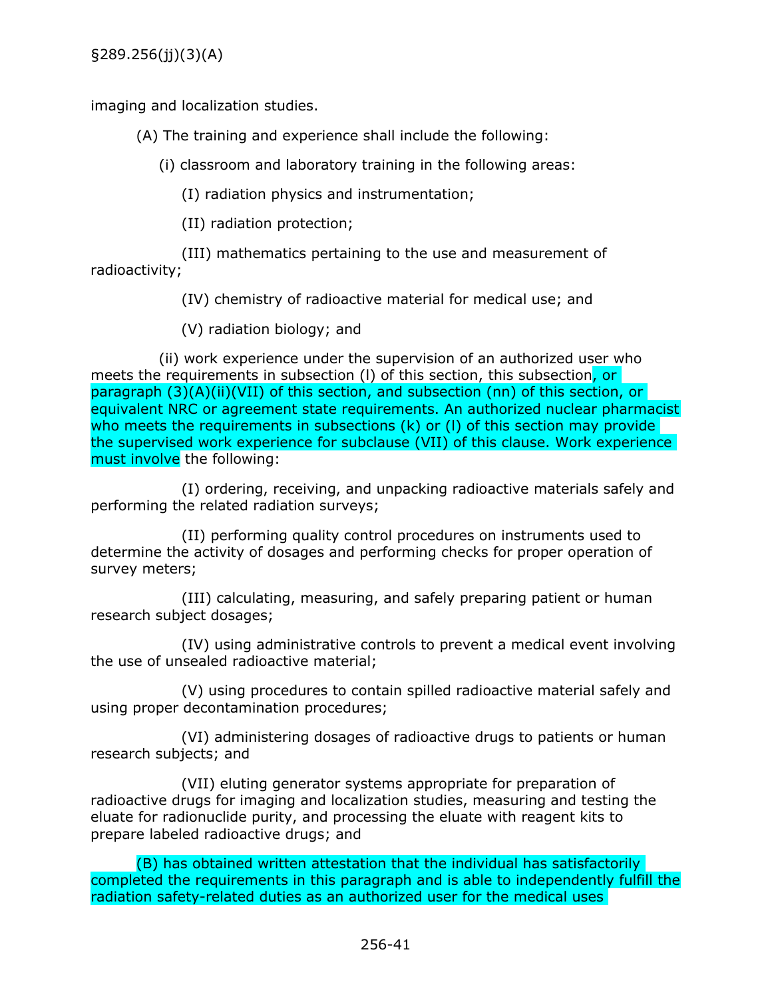imaging and localization studies.

(A) The training and experience shall include the following:

(i) classroom and laboratory training in the following areas:

(I) radiation physics and instrumentation;

(II) radiation protection;

(III) mathematics pertaining to the use and measurement of radioactivity;

(IV) chemistry of radioactive material for medical use; and

(V) radiation biology; and

(ii) work experience under the supervision of an authorized user who meets the requirements in subsection (I) of this section, this subsection<mark>, or</mark> paragraph (3)(A)(ii)(VII) of this section, and subsection (nn) of this section, or equivalent NRC or agreement state requirements. An authorized nuclear pharmacist who meets the requirements in subsections (k) or (I) of this section may provide the supervised work experience for subclause (VII) of this clause. Work experience must involve the following:

(I) ordering, receiving, and unpacking radioactive materials safely and performing the related radiation surveys;

(II) performing quality control procedures on instruments used to determine the activity of dosages and performing checks for proper operation of survey meters;

(III) calculating, measuring, and safely preparing patient or human research subject dosages;

(IV) using administrative controls to prevent a medical event involving the use of unsealed radioactive material;

(V) using procedures to contain spilled radioactive material safely and using proper decontamination procedures;

(VI) administering dosages of radioactive drugs to patients or human research subjects; and

(VII) eluting generator systems appropriate for preparation of radioactive drugs for imaging and localization studies, measuring and testing the eluate for radionuclide purity, and processing the eluate with reagent kits to prepare labeled radioactive drugs; and

(B) has obtained written attestation that the individual has satisfactorily completed the requirements in this paragraph and is able to independently fulfill the radiation safety-related duties as an authorized user for the medical uses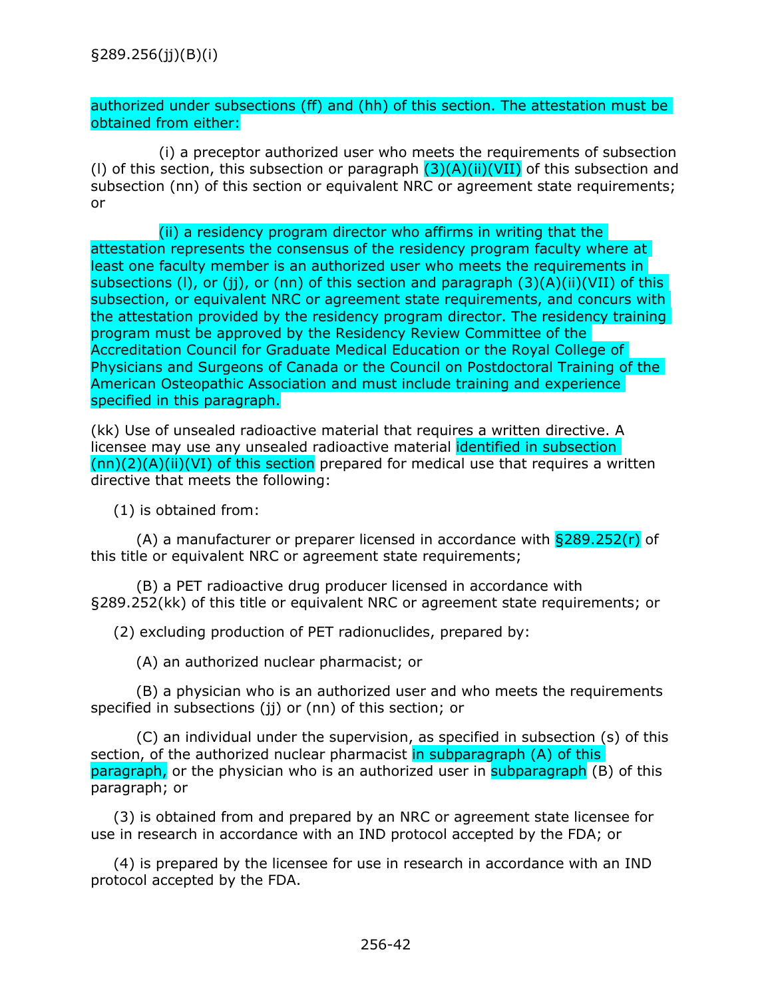## authorized under subsections (ff) and (hh) of this section. The attestation must be obtained from either:

(i) a preceptor authorized user who meets the requirements of subsection (I) of this section, this subsection or paragraph  $(3)(A)(ii)(VII)$  of this subsection and subsection (nn) of this section or equivalent NRC or agreement state requirements; or

(ii) a residency program director who affirms in writing that the attestation represents the consensus of the residency program faculty where at least one faculty member is an authorized user who meets the requirements in subsections (I), or (ji), or (nn) of this section and paragraph  $(3)(A)(ii)(VII)$  of this subsection, or equivalent NRC or agreement state requirements, and concurs with the attestation provided by the residency program director. The residency training program must be approved by the Residency Review Committee of the Accreditation Council for Graduate Medical Education or the Royal College of Physicians and Surgeons of Canada or the Council on Postdoctoral Training of the American Osteopathic Association and must include training and experience specified in this paragraph.

(kk) Use of unsealed radioactive material that requires a written directive. A licensee may use any unsealed radioactive material identified in subsection  $(nn)(2)(A)(ii)(VI)$  of this section prepared for medical use that requires a written directive that meets the following:

(1) is obtained from:

(A) a manufacturer or preparer licensed in accordance with  $\S 289.252(r)$  of this title or equivalent NRC or agreement state requirements;

(B) a PET radioactive drug producer licensed in accordance with §289.252(kk) of this title or equivalent NRC or agreement state requirements; or

(2) excluding production of PET radionuclides, prepared by:

(A) an authorized nuclear pharmacist; or

(B) a physician who is an authorized user and who meets the requirements specified in subsections (ii) or (nn) of this section; or

(C) an individual under the supervision, as specified in subsection (s) of this section, of the authorized nuclear pharmacist in subparagraph (A) of this paragraph, or the physician who is an authorized user in **subparagraph** (B) of this paragraph; or

(3) is obtained from and prepared by an NRC or agreement state licensee for use in research in accordance with an IND protocol accepted by the FDA; or

(4) is prepared by the licensee for use in research in accordance with an IND protocol accepted by the FDA.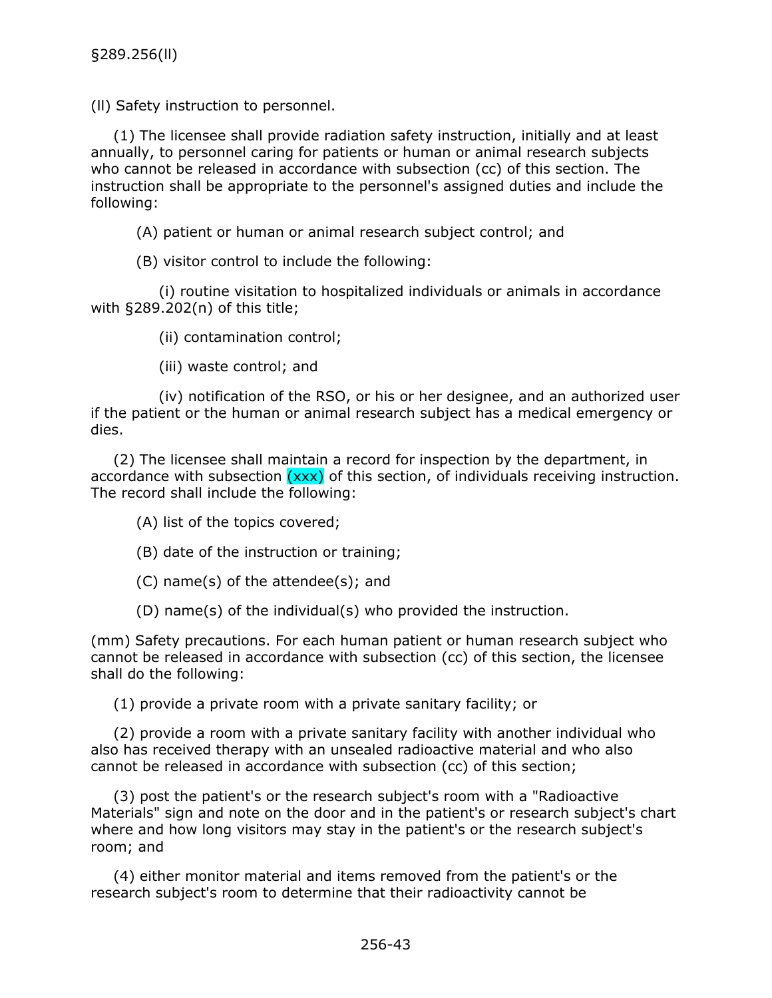(ll) Safety instruction to personnel.

(1) The licensee shall provide radiation safety instruction, initially and at least annually, to personnel caring for patients or human or animal research subjects who cannot be released in accordance with subsection (cc) of this section. The instruction shall be appropriate to the personnel's assigned duties and include the following:

(A) patient or human or animal research subject control; and

(B) visitor control to include the following:

(i) routine visitation to hospitalized individuals or animals in accordance with §289.202(n) of this title;

(ii) contamination control;

(iii) waste control; and

(iv) notification of the RSO, or his or her designee, and an authorized user if the patient or the human or animal research subject has a medical emergency or dies.

(2) The licensee shall maintain a record for inspection by the department, in accordance with subsection  $(xxx)$  of this section, of individuals receiving instruction. The record shall include the following:

(A) list of the topics covered;

(B) date of the instruction or training;

(C) name(s) of the attendee(s); and

(D) name(s) of the individual(s) who provided the instruction.

(mm) Safety precautions. For each human patient or human research subject who cannot be released in accordance with subsection (cc) of this section, the licensee shall do the following:

(1) provide a private room with a private sanitary facility; or

(2) provide a room with a private sanitary facility with another individual who also has received therapy with an unsealed radioactive material and who also cannot be released in accordance with subsection (cc) of this section;

(3) post the patient's or the research subject's room with a "Radioactive Materials" sign and note on the door and in the patient's or research subject's chart where and how long visitors may stay in the patient's or the research subject's room; and

(4) either monitor material and items removed from the patient's or the research subject's room to determine that their radioactivity cannot be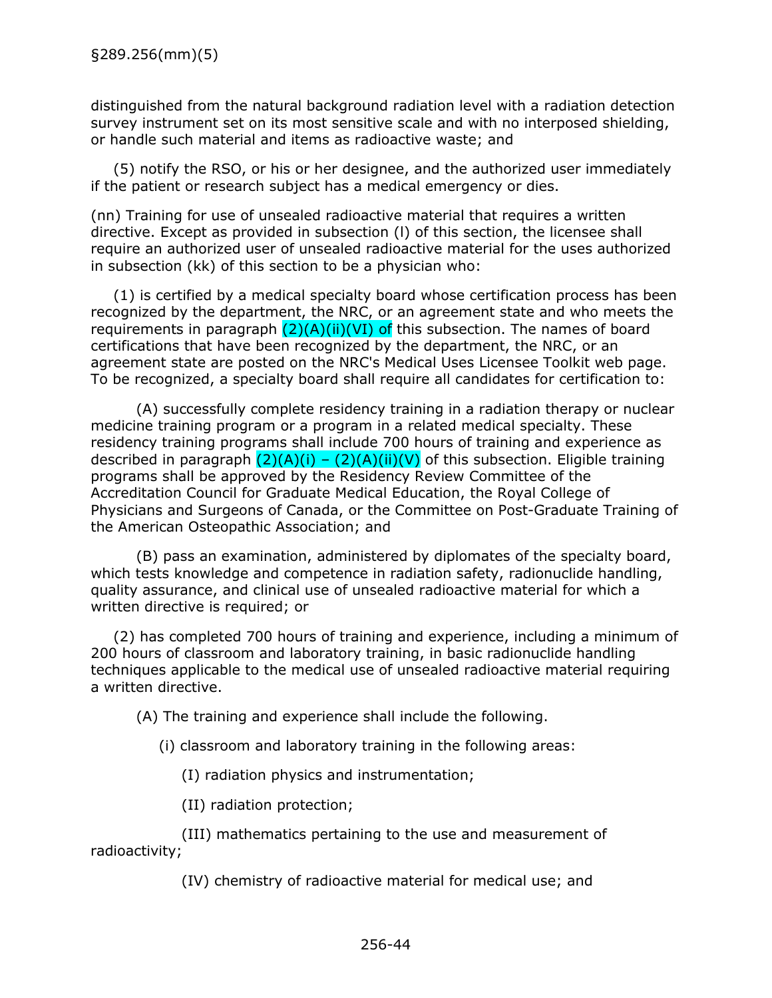distinguished from the natural background radiation level with a radiation detection survey instrument set on its most sensitive scale and with no interposed shielding, or handle such material and items as radioactive waste; and

(5) notify the RSO, or his or her designee, and the authorized user immediately if the patient or research subject has a medical emergency or dies.

(nn) Training for use of unsealed radioactive material that requires a written directive. Except as provided in subsection (l) of this section, the licensee shall require an authorized user of unsealed radioactive material for the uses authorized in subsection (kk) of this section to be a physician who:

(1) is certified by a medical specialty board whose certification process has been recognized by the department, the NRC, or an agreement state and who meets the requirements in paragraph  $(2)(A)(ii)(VI)$  of this subsection. The names of board certifications that have been recognized by the department, the NRC, or an agreement state are posted on the NRC's Medical Uses Licensee Toolkit web page. To be recognized, a specialty board shall require all candidates for certification to:

(A) successfully complete residency training in a radiation therapy or nuclear medicine training program or a program in a related medical specialty. These residency training programs shall include 700 hours of training and experience as described in paragraph  $(2)(A)(i) - (2)(A)(ii)(V)$  of this subsection. Eligible training programs shall be approved by the Residency Review Committee of the Accreditation Council for Graduate Medical Education, the Royal College of Physicians and Surgeons of Canada, or the Committee on Post-Graduate Training of the American Osteopathic Association; and

(B) pass an examination, administered by diplomates of the specialty board, which tests knowledge and competence in radiation safety, radionuclide handling, quality assurance, and clinical use of unsealed radioactive material for which a written directive is required; or

(2) has completed 700 hours of training and experience, including a minimum of 200 hours of classroom and laboratory training, in basic radionuclide handling techniques applicable to the medical use of unsealed radioactive material requiring a written directive.

(A) The training and experience shall include the following.

(i) classroom and laboratory training in the following areas:

(I) radiation physics and instrumentation;

(II) radiation protection;

(III) mathematics pertaining to the use and measurement of radioactivity;

(IV) chemistry of radioactive material for medical use; and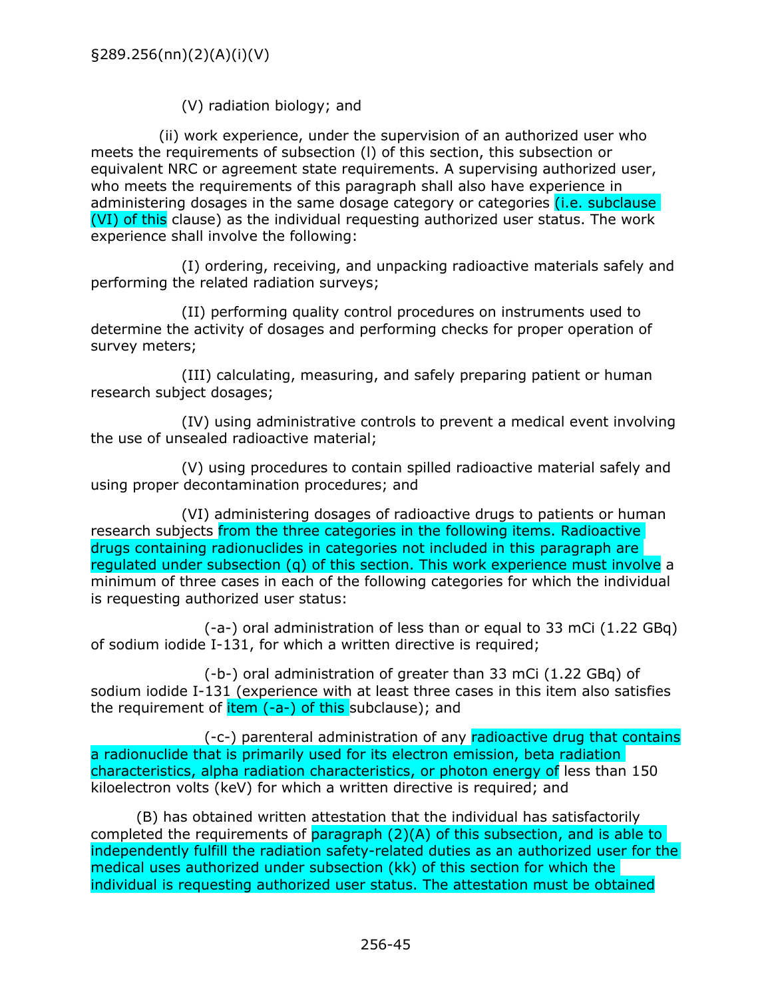(V) radiation biology; and

(ii) work experience, under the supervision of an authorized user who meets the requirements of subsection (l) of this section, this subsection or equivalent NRC or agreement state requirements. A supervising authorized user, who meets the requirements of this paragraph shall also have experience in administering dosages in the same dosage category or categories *(i.e. subclause* (VI) of this clause) as the individual requesting authorized user status. The work experience shall involve the following:

(I) ordering, receiving, and unpacking radioactive materials safely and performing the related radiation surveys;

(II) performing quality control procedures on instruments used to determine the activity of dosages and performing checks for proper operation of survey meters;

(III) calculating, measuring, and safely preparing patient or human research subject dosages;

(IV) using administrative controls to prevent a medical event involving the use of unsealed radioactive material;

(V) using procedures to contain spilled radioactive material safely and using proper decontamination procedures; and

(VI) administering dosages of radioactive drugs to patients or human research subjects from the three categories in the following items. Radioactive drugs containing radionuclides in categories not included in this paragraph are regulated under subsection (q) of this section. This work experience must involve a minimum of three cases in each of the following categories for which the individual is requesting authorized user status:

(-a-) oral administration of less than or equal to 33 mCi (1.22 GBq) of sodium iodide I-131, for which a written directive is required;

(-b-) oral administration of greater than 33 mCi (1.22 GBq) of sodium iodide I-131 (experience with at least three cases in this item also satisfies the requirement of  $item (-a-)$  of this subclause); and

(-c-) parenteral administration of any radioactive drug that contains a radionuclide that is primarily used for its electron emission, beta radiation characteristics, alpha radiation characteristics, or photon energy of less than 150 kiloelectron volts (keV) for which a written directive is required; and

(B) has obtained written attestation that the individual has satisfactorily completed the requirements of paragraph (2)(A) of this subsection, and is able to independently fulfill the radiation safety-related duties as an authorized user for the medical uses authorized under subsection (kk) of this section for which the individual is requesting authorized user status. The attestation must be obtained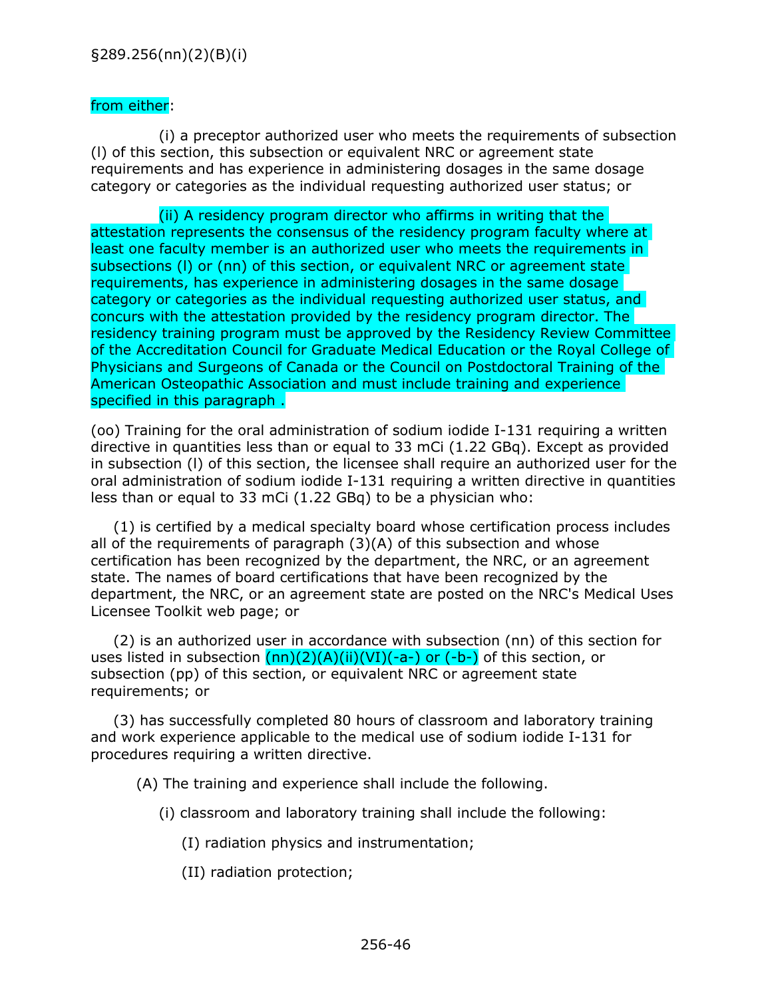## from either:

(i) a preceptor authorized user who meets the requirements of subsection (l) of this section, this subsection or equivalent NRC or agreement state requirements and has experience in administering dosages in the same dosage category or categories as the individual requesting authorized user status; or

(ii) A residency program director who affirms in writing that the attestation represents the consensus of the residency program faculty where at least one faculty member is an authorized user who meets the requirements in subsections (l) or (nn) of this section, or equivalent NRC or agreement state requirements, has experience in administering dosages in the same dosage category or categories as the individual requesting authorized user status, and concurs with the attestation provided by the residency program director. The residency training program must be approved by the Residency Review Committee of the Accreditation Council for Graduate Medical Education or the Royal College of Physicians and Surgeons of Canada or the Council on Postdoctoral Training of the American Osteopathic Association and must include training and experience specified in this paragraph .

(oo) Training for the oral administration of sodium iodide I-131 requiring a written directive in quantities less than or equal to 33 mCi (1.22 GBq). Except as provided in subsection (l) of this section, the licensee shall require an authorized user for the oral administration of sodium iodide I-131 requiring a written directive in quantities less than or equal to 33 mCi (1.22 GBq) to be a physician who:

(1) is certified by a medical specialty board whose certification process includes all of the requirements of paragraph (3)(A) of this subsection and whose certification has been recognized by the department, the NRC, or an agreement state. The names of board certifications that have been recognized by the department, the NRC, or an agreement state are posted on the NRC's Medical Uses Licensee Toolkit web page; or

(2) is an authorized user in accordance with subsection (nn) of this section for uses listed in subsection  $(nn)(2)(A)(ii)(VI)(-a-)$  or  $(-b-)$  of this section, or subsection (pp) of this section, or equivalent NRC or agreement state requirements; or

(3) has successfully completed 80 hours of classroom and laboratory training and work experience applicable to the medical use of sodium iodide I-131 for procedures requiring a written directive.

(A) The training and experience shall include the following.

- (i) classroom and laboratory training shall include the following:
	- (I) radiation physics and instrumentation;
	- (II) radiation protection;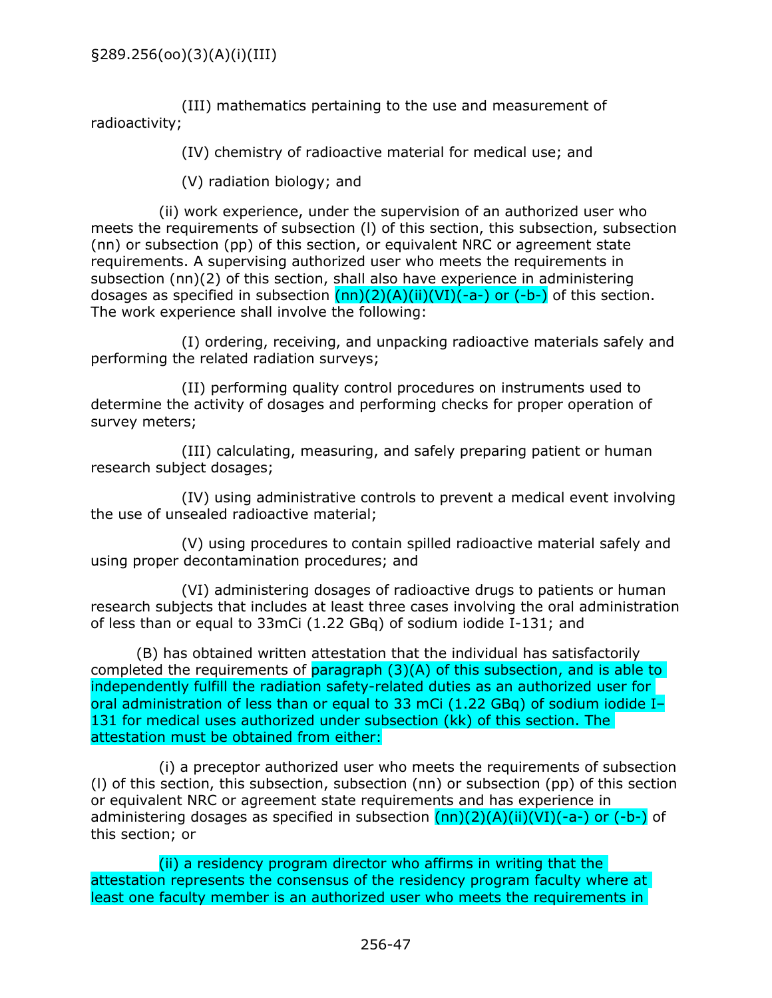(III) mathematics pertaining to the use and measurement of radioactivity;

(IV) chemistry of radioactive material for medical use; and

(V) radiation biology; and

(ii) work experience, under the supervision of an authorized user who meets the requirements of subsection (l) of this section, this subsection, subsection (nn) or subsection (pp) of this section, or equivalent NRC or agreement state requirements. A supervising authorized user who meets the requirements in subsection (nn)(2) of this section, shall also have experience in administering dosages as specified in subsection  $(nn)(2)(A)(ii)(VI)(-a-)$  or  $(-b-)$  of this section. The work experience shall involve the following:

(I) ordering, receiving, and unpacking radioactive materials safely and performing the related radiation surveys;

(II) performing quality control procedures on instruments used to determine the activity of dosages and performing checks for proper operation of survey meters;

(III) calculating, measuring, and safely preparing patient or human research subject dosages;

(IV) using administrative controls to prevent a medical event involving the use of unsealed radioactive material;

(V) using procedures to contain spilled radioactive material safely and using proper decontamination procedures; and

(VI) administering dosages of radioactive drugs to patients or human research subjects that includes at least three cases involving the oral administration of less than or equal to 33mCi (1.22 GBq) of sodium iodide I-131; and

(B) has obtained written attestation that the individual has satisfactorily completed the requirements of paragraph (3)(A) of this subsection, and is able to independently fulfill the radiation safety-related duties as an authorized user for oral administration of less than or equal to 33 mCi (1.22 GBq) of sodium iodide I– 131 for medical uses authorized under subsection (kk) of this section. The attestation must be obtained from either:

(i) a preceptor authorized user who meets the requirements of subsection (l) of this section, this subsection, subsection (nn) or subsection (pp) of this section or equivalent NRC or agreement state requirements and has experience in administering dosages as specified in subsection  $(nn)(2)(A)(ii)(VI)(-a-)$  or  $(-b-)$  of this section; or

(ii) a residency program director who affirms in writing that the attestation represents the consensus of the residency program faculty where at least one faculty member is an authorized user who meets the requirements in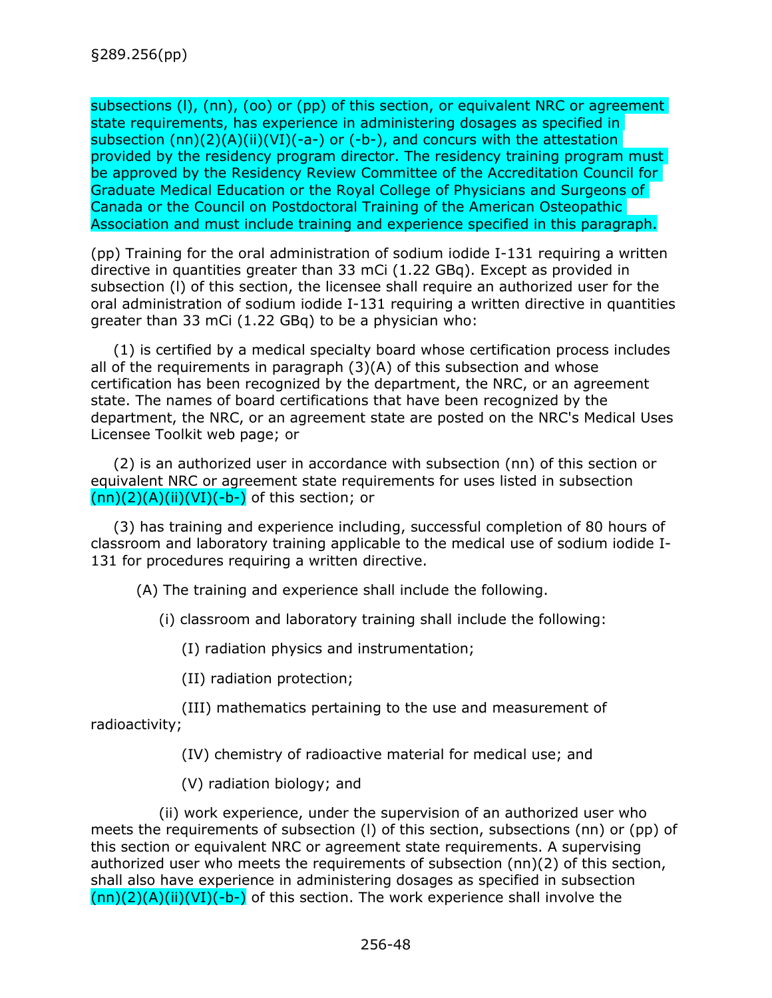subsections (I), (nn), (oo) or (pp) of this section, or equivalent NRC or agreement state requirements, has experience in administering dosages as specified in subsection (nn)(2)(A)(ii)(VI)(-a-) or (-b-), and concurs with the attestation provided by the residency program director. The residency training program must be approved by the Residency Review Committee of the Accreditation Council for Graduate Medical Education or the Royal College of Physicians and Surgeons of Canada or the Council on Postdoctoral Training of the American Osteopathic Association and must include training and experience specified in this paragraph.

(pp) Training for the oral administration of sodium iodide I-131 requiring a written directive in quantities greater than 33 mCi (1.22 GBq). Except as provided in subsection (l) of this section, the licensee shall require an authorized user for the oral administration of sodium iodide I-131 requiring a written directive in quantities greater than 33 mCi (1.22 GBq) to be a physician who:

(1) is certified by a medical specialty board whose certification process includes all of the requirements in paragraph (3)(A) of this subsection and whose certification has been recognized by the department, the NRC, or an agreement state. The names of board certifications that have been recognized by the department, the NRC, or an agreement state are posted on the NRC's Medical Uses Licensee Toolkit web page; or

(2) is an authorized user in accordance with subsection (nn) of this section or equivalent NRC or agreement state requirements for uses listed in subsection  $(nn)(2)(A)(ii)(VI)(-b-)$  of this section; or

(3) has training and experience including, successful completion of 80 hours of classroom and laboratory training applicable to the medical use of sodium iodide I-131 for procedures requiring a written directive.

(A) The training and experience shall include the following.

(i) classroom and laboratory training shall include the following:

(I) radiation physics and instrumentation;

(II) radiation protection;

(III) mathematics pertaining to the use and measurement of radioactivity;

(IV) chemistry of radioactive material for medical use; and

(V) radiation biology; and

(ii) work experience, under the supervision of an authorized user who meets the requirements of subsection (l) of this section, subsections (nn) or (pp) of this section or equivalent NRC or agreement state requirements. A supervising authorized user who meets the requirements of subsection (nn)(2) of this section, shall also have experience in administering dosages as specified in subsection  $(nn)(2)(A)(ii)(VI)(-b-)$  of this section. The work experience shall involve the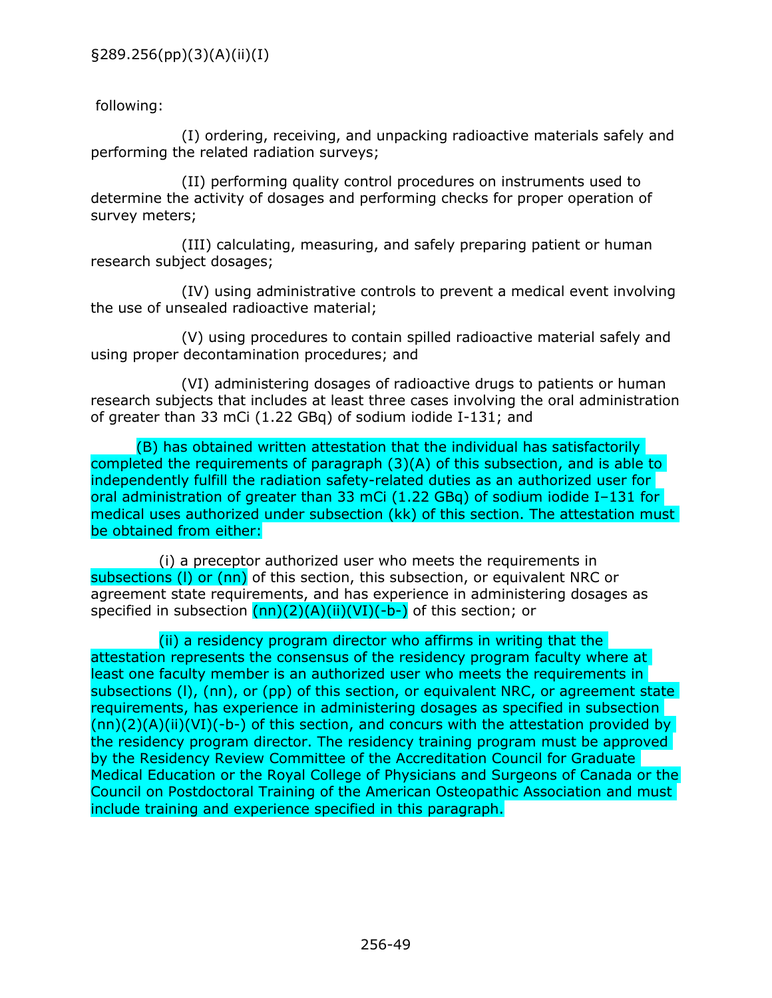## following:

(I) ordering, receiving, and unpacking radioactive materials safely and performing the related radiation surveys;

(II) performing quality control procedures on instruments used to determine the activity of dosages and performing checks for proper operation of survey meters;

(III) calculating, measuring, and safely preparing patient or human research subject dosages;

(IV) using administrative controls to prevent a medical event involving the use of unsealed radioactive material;

(V) using procedures to contain spilled radioactive material safely and using proper decontamination procedures; and

(VI) administering dosages of radioactive drugs to patients or human research subjects that includes at least three cases involving the oral administration of greater than 33 mCi (1.22 GBq) of sodium iodide I-131; and

(B) has obtained written attestation that the individual has satisfactorily completed the requirements of paragraph (3)(A) of this subsection, and is able to independently fulfill the radiation safety-related duties as an authorized user for oral administration of greater than 33 mCi (1.22 GBq) of sodium iodide I-131 for medical uses authorized under subsection (kk) of this section. The attestation must be obtained from either:

(i) a preceptor authorized user who meets the requirements in subsections (I) or (nn) of this section, this subsection, or equivalent NRC or agreement state requirements, and has experience in administering dosages as specified in subsection  $(nn)(2)(A)(ii)(VI)(-b-)$  of this section; or

(ii) a residency program director who affirms in writing that the attestation represents the consensus of the residency program faculty where at least one faculty member is an authorized user who meets the requirements in subsections (l), (nn), or (pp) of this section, or equivalent NRC, or agreement state requirements, has experience in administering dosages as specified in subsection  $(nn)(2)(A)(ii)(VI)(-b-)$  of this section, and concurs with the attestation provided by the residency program director. The residency training program must be approved by the Residency Review Committee of the Accreditation Council for Graduate Medical Education or the Royal College of Physicians and Surgeons of Canada or the Council on Postdoctoral Training of the American Osteopathic Association and must include training and experience specified in this paragraph.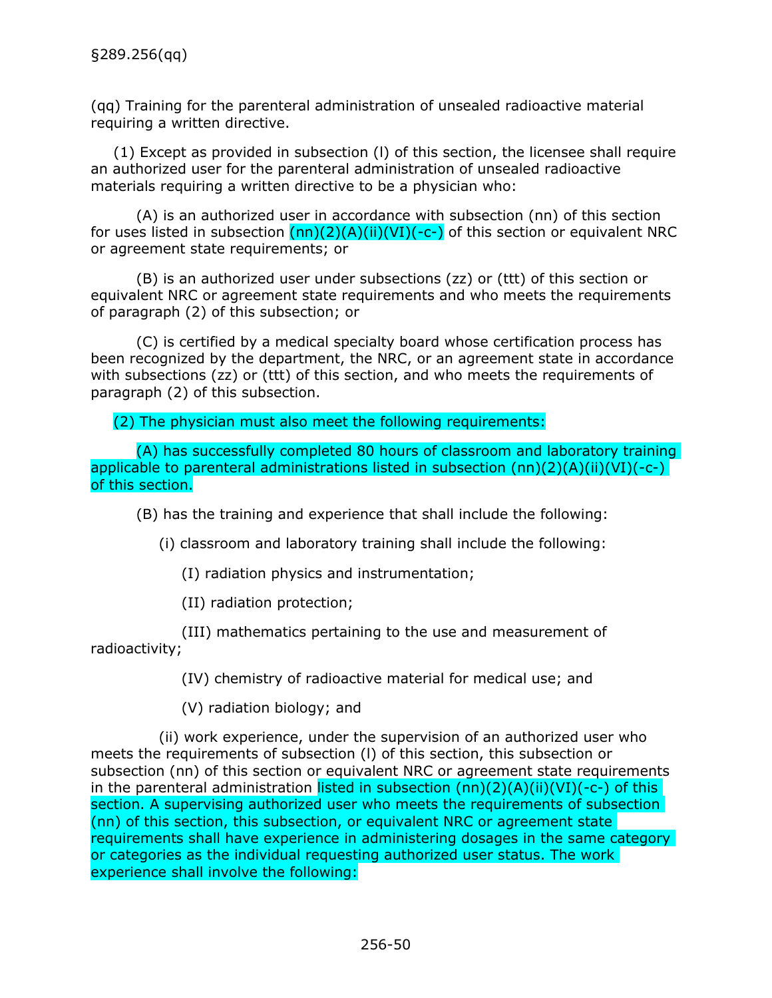(qq) Training for the parenteral administration of unsealed radioactive material requiring a written directive.

(1) Except as provided in subsection (l) of this section, the licensee shall require an authorized user for the parenteral administration of unsealed radioactive materials requiring a written directive to be a physician who:

(A) is an authorized user in accordance with subsection (nn) of this section for uses listed in subsection  $(nn)(2)(A)(ii)(V)$ (-c-) of this section or equivalent NRC or agreement state requirements; or

(B) is an authorized user under subsections (zz) or (ttt) of this section or equivalent NRC or agreement state requirements and who meets the requirements of paragraph (2) of this subsection; or

(C) is certified by a medical specialty board whose certification process has been recognized by the department, the NRC, or an agreement state in accordance with subsections (zz) or (ttt) of this section, and who meets the requirements of paragraph (2) of this subsection.

(2) The physician must also meet the following requirements:

(A) has successfully completed 80 hours of classroom and laboratory training applicable to parenteral administrations listed in subsection  $(nn)(2)(A)(ii)(VI)(-c-)$ of this section.

(B) has the training and experience that shall include the following:

(i) classroom and laboratory training shall include the following:

(I) radiation physics and instrumentation;

(II) radiation protection;

(III) mathematics pertaining to the use and measurement of radioactivity;

(IV) chemistry of radioactive material for medical use; and

(V) radiation biology; and

(ii) work experience, under the supervision of an authorized user who meets the requirements of subsection (l) of this section, this subsection or subsection (nn) of this section or equivalent NRC or agreement state requirements in the parenteral administration listed in subsection  $(nn)(2)(A)(ii)(VI)(-c-)$  of this section. A supervising authorized user who meets the requirements of subsection (nn) of this section, this subsection, or equivalent NRC or agreement state requirements shall have experience in administering dosages in the same category or categories as the individual requesting authorized user status. The work experience shall involve the following: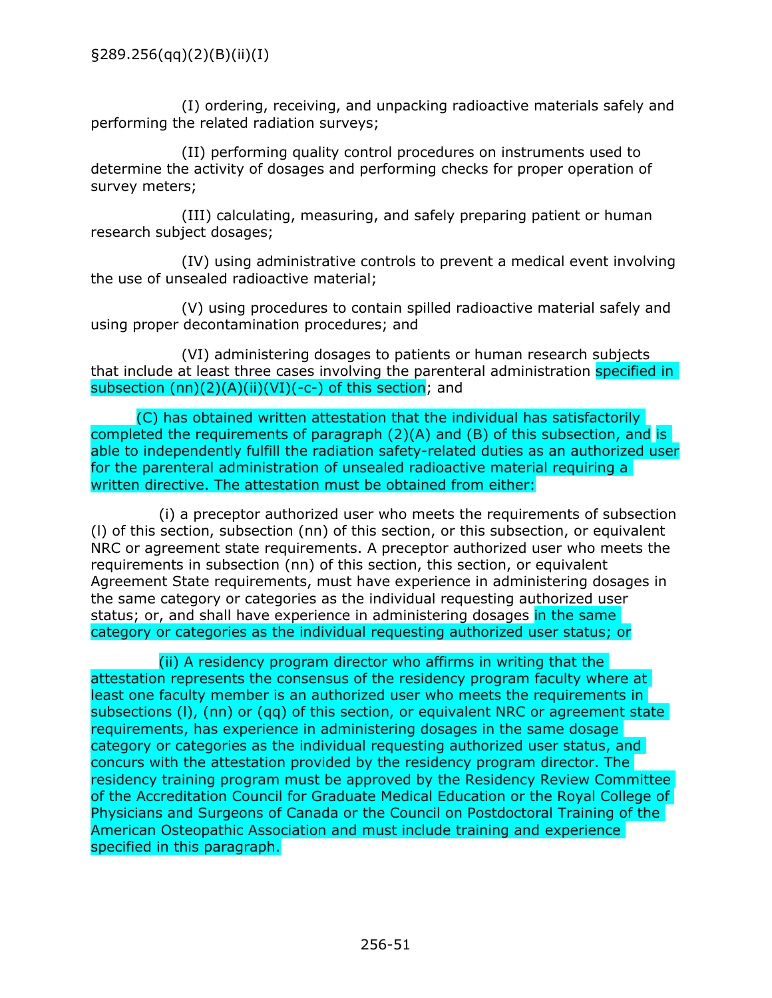(I) ordering, receiving, and unpacking radioactive materials safely and performing the related radiation surveys;

(II) performing quality control procedures on instruments used to determine the activity of dosages and performing checks for proper operation of survey meters;

(III) calculating, measuring, and safely preparing patient or human research subject dosages;

(IV) using administrative controls to prevent a medical event involving the use of unsealed radioactive material;

(V) using procedures to contain spilled radioactive material safely and using proper decontamination procedures; and

(VI) administering dosages to patients or human research subjects that include at least three cases involving the parenteral administration specified in subsection  $(nn)(2)(A)(ii)(VI)(-c-)$  of this section; and

(C) has obtained written attestation that the individual has satisfactorily completed the requirements of paragraph (2)(A) and (B) of this subsection, and is able to independently fulfill the radiation safety-related duties as an authorized user for the parenteral administration of unsealed radioactive material requiring a written directive. The attestation must be obtained from either:

(i) a preceptor authorized user who meets the requirements of subsection (l) of this section, subsection (nn) of this section, or this subsection, or equivalent NRC or agreement state requirements. A preceptor authorized user who meets the requirements in subsection (nn) of this section, this section, or equivalent Agreement State requirements, must have experience in administering dosages in the same category or categories as the individual requesting authorized user status; or, and shall have experience in administering dosages in the same category or categories as the individual requesting authorized user status; or

(ii) A residency program director who affirms in writing that the attestation represents the consensus of the residency program faculty where at least one faculty member is an authorized user who meets the requirements in subsections (l), (nn) or (qq) of this section, or equivalent NRC or agreement state requirements, has experience in administering dosages in the same dosage category or categories as the individual requesting authorized user status, and concurs with the attestation provided by the residency program director. The residency training program must be approved by the Residency Review Committee of the Accreditation Council for Graduate Medical Education or the Royal College of Physicians and Surgeons of Canada or the Council on Postdoctoral Training of the American Osteopathic Association and must include training and experience specified in this paragraph.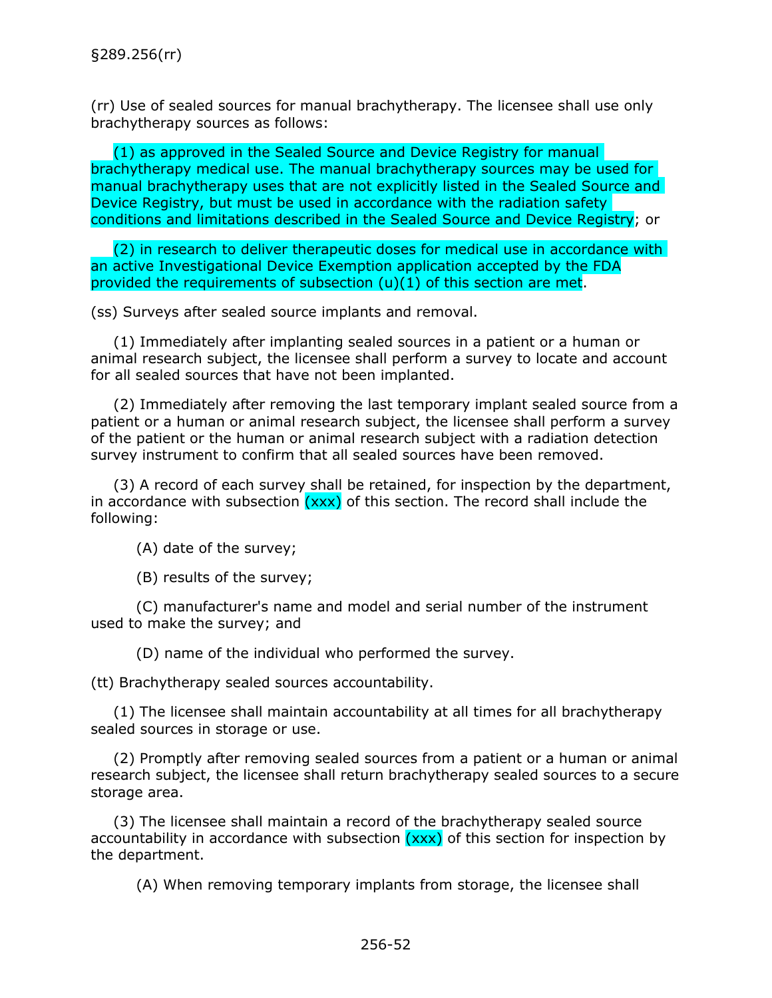(rr) Use of sealed sources for manual brachytherapy. The licensee shall use only brachytherapy sources as follows:

(1) as approved in the Sealed Source and Device Registry for manual brachytherapy medical use. The manual brachytherapy sources may be used for manual brachytherapy uses that are not explicitly listed in the Sealed Source and Device Registry, but must be used in accordance with the radiation safety conditions and limitations described in the Sealed Source and Device Registry; or

(2) in research to deliver therapeutic doses for medical use in accordance with an active Investigational Device Exemption application accepted by the FDA provided the requirements of subsection (u)(1) of this section are met.

(ss) Surveys after sealed source implants and removal.

(1) Immediately after implanting sealed sources in a patient or a human or animal research subject, the licensee shall perform a survey to locate and account for all sealed sources that have not been implanted.

(2) Immediately after removing the last temporary implant sealed source from a patient or a human or animal research subject, the licensee shall perform a survey of the patient or the human or animal research subject with a radiation detection survey instrument to confirm that all sealed sources have been removed.

(3) A record of each survey shall be retained, for inspection by the department, in accordance with subsection  $(xxx)$  of this section. The record shall include the following:

(A) date of the survey;

(B) results of the survey;

(C) manufacturer's name and model and serial number of the instrument used to make the survey; and

(D) name of the individual who performed the survey.

(tt) Brachytherapy sealed sources accountability.

(1) The licensee shall maintain accountability at all times for all brachytherapy sealed sources in storage or use.

(2) Promptly after removing sealed sources from a patient or a human or animal research subject, the licensee shall return brachytherapy sealed sources to a secure storage area.

(3) The licensee shall maintain a record of the brachytherapy sealed source accountability in accordance with subsection  $(xxx)$  of this section for inspection by the department.

(A) When removing temporary implants from storage, the licensee shall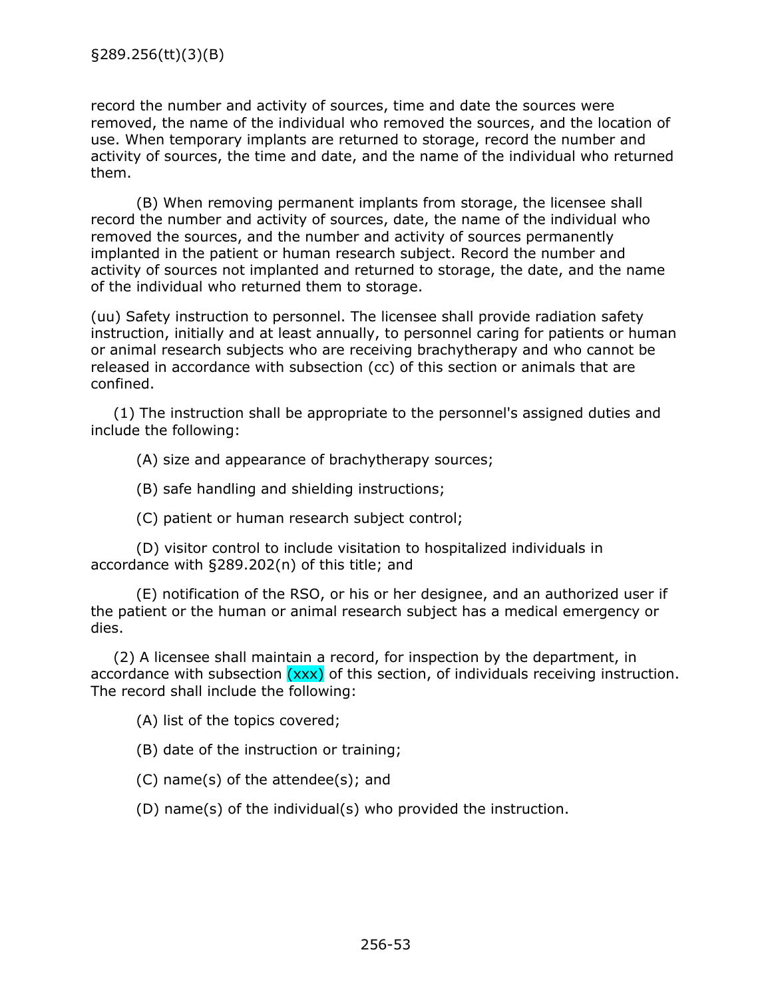record the number and activity of sources, time and date the sources were removed, the name of the individual who removed the sources, and the location of use. When temporary implants are returned to storage, record the number and activity of sources, the time and date, and the name of the individual who returned them.

(B) When removing permanent implants from storage, the licensee shall record the number and activity of sources, date, the name of the individual who removed the sources, and the number and activity of sources permanently implanted in the patient or human research subject. Record the number and activity of sources not implanted and returned to storage, the date, and the name of the individual who returned them to storage.

(uu) Safety instruction to personnel. The licensee shall provide radiation safety instruction, initially and at least annually, to personnel caring for patients or human or animal research subjects who are receiving brachytherapy and who cannot be released in accordance with subsection (cc) of this section or animals that are confined.

(1) The instruction shall be appropriate to the personnel's assigned duties and include the following:

(A) size and appearance of brachytherapy sources;

(B) safe handling and shielding instructions;

(C) patient or human research subject control;

(D) visitor control to include visitation to hospitalized individuals in accordance with §289.202(n) of this title; and

(E) notification of the RSO, or his or her designee, and an authorized user if the patient or the human or animal research subject has a medical emergency or dies.

(2) A licensee shall maintain a record, for inspection by the department, in accordance with subsection  $(xxx)$  of this section, of individuals receiving instruction. The record shall include the following:

(A) list of the topics covered;

(B) date of the instruction or training;

(C) name(s) of the attendee(s); and

(D) name(s) of the individual(s) who provided the instruction.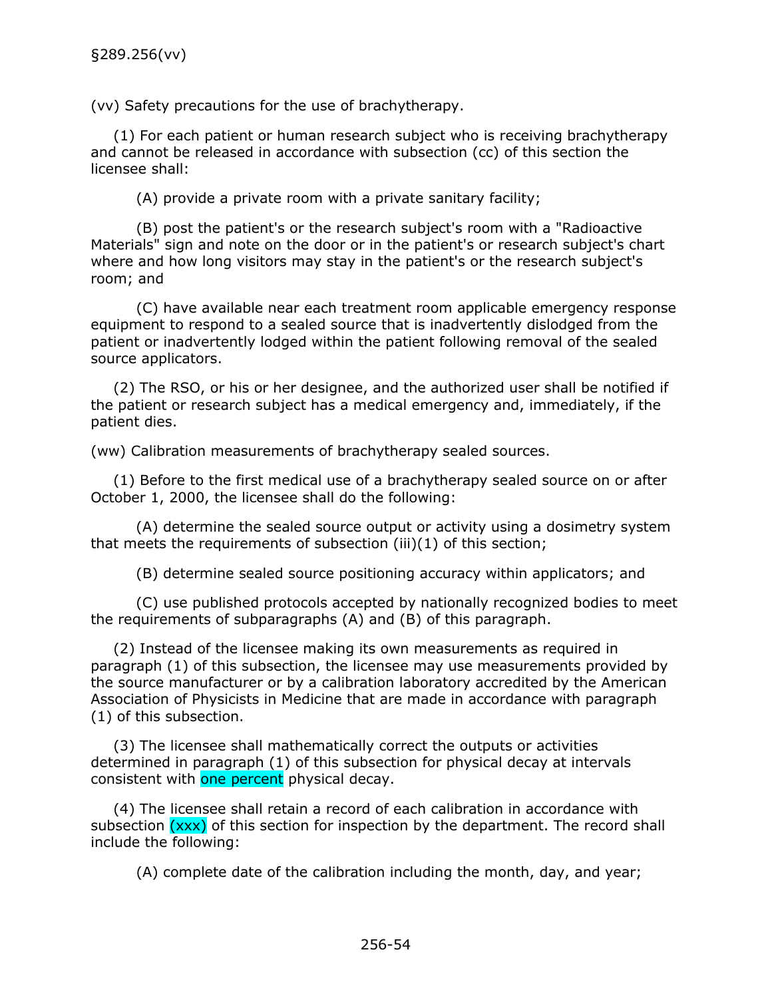(vv) Safety precautions for the use of brachytherapy.

(1) For each patient or human research subject who is receiving brachytherapy and cannot be released in accordance with subsection (cc) of this section the licensee shall:

(A) provide a private room with a private sanitary facility;

(B) post the patient's or the research subject's room with a "Radioactive Materials" sign and note on the door or in the patient's or research subject's chart where and how long visitors may stay in the patient's or the research subject's room; and

(C) have available near each treatment room applicable emergency response equipment to respond to a sealed source that is inadvertently dislodged from the patient or inadvertently lodged within the patient following removal of the sealed source applicators.

(2) The RSO, or his or her designee, and the authorized user shall be notified if the patient or research subject has a medical emergency and, immediately, if the patient dies.

(ww) Calibration measurements of brachytherapy sealed sources.

(1) Before to the first medical use of a brachytherapy sealed source on or after October 1, 2000, the licensee shall do the following:

(A) determine the sealed source output or activity using a dosimetry system that meets the requirements of subsection (iii)(1) of this section;

(B) determine sealed source positioning accuracy within applicators; and

(C) use published protocols accepted by nationally recognized bodies to meet the requirements of subparagraphs (A) and (B) of this paragraph.

(2) Instead of the licensee making its own measurements as required in paragraph (1) of this subsection, the licensee may use measurements provided by the source manufacturer or by a calibration laboratory accredited by the American Association of Physicists in Medicine that are made in accordance with paragraph (1) of this subsection.

(3) The licensee shall mathematically correct the outputs or activities determined in paragraph (1) of this subsection for physical decay at intervals consistent with one percent physical decay.

(4) The licensee shall retain a record of each calibration in accordance with subsection  $(xxx)$  of this section for inspection by the department. The record shall include the following:

(A) complete date of the calibration including the month, day, and year;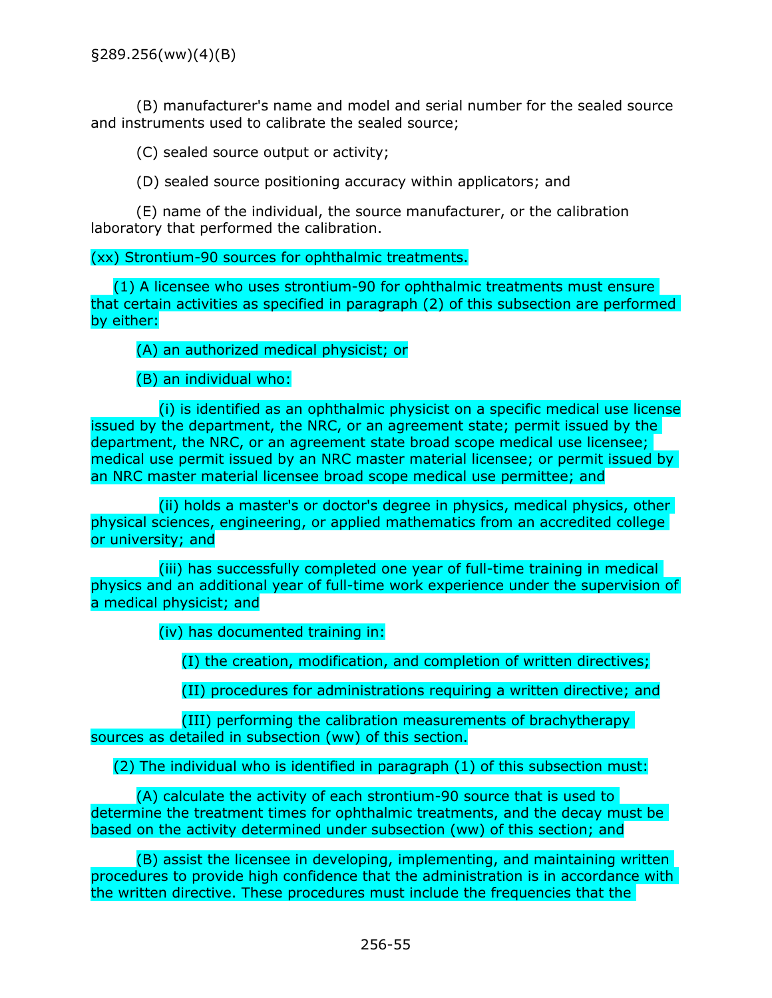(B) manufacturer's name and model and serial number for the sealed source and instruments used to calibrate the sealed source;

(C) sealed source output or activity;

(D) sealed source positioning accuracy within applicators; and

(E) name of the individual, the source manufacturer, or the calibration laboratory that performed the calibration.

(xx) Strontium-90 sources for ophthalmic treatments.

(1) A licensee who uses strontium-90 for ophthalmic treatments must ensure that certain activities as specified in paragraph (2) of this subsection are performed by either:

(A) an authorized medical physicist; or

(B) an individual who:

(i) is identified as an ophthalmic physicist on a specific medical use license issued by the department, the NRC, or an agreement state; permit issued by the department, the NRC, or an agreement state broad scope medical use licensee; medical use permit issued by an NRC master material licensee; or permit issued by an NRC master material licensee broad scope medical use permittee; and

(ii) holds a master's or doctor's degree in physics, medical physics, other physical sciences, engineering, or applied mathematics from an accredited college or university; and

(iii) has successfully completed one year of full-time training in medical physics and an additional year of full-time work experience under the supervision of a medical physicist; and

(iv) has documented training in:

(I) the creation, modification, and completion of written directives;

(II) procedures for administrations requiring a written directive; and

(III) performing the calibration measurements of brachytherapy sources as detailed in subsection (ww) of this section.

(2) The individual who is identified in paragraph (1) of this subsection must:

(A) calculate the activity of each strontium-90 source that is used to determine the treatment times for ophthalmic treatments, and the decay must be based on the activity determined under subsection (ww) of this section; and

(B) assist the licensee in developing, implementing, and maintaining written procedures to provide high confidence that the administration is in accordance with the written directive. These procedures must include the frequencies that the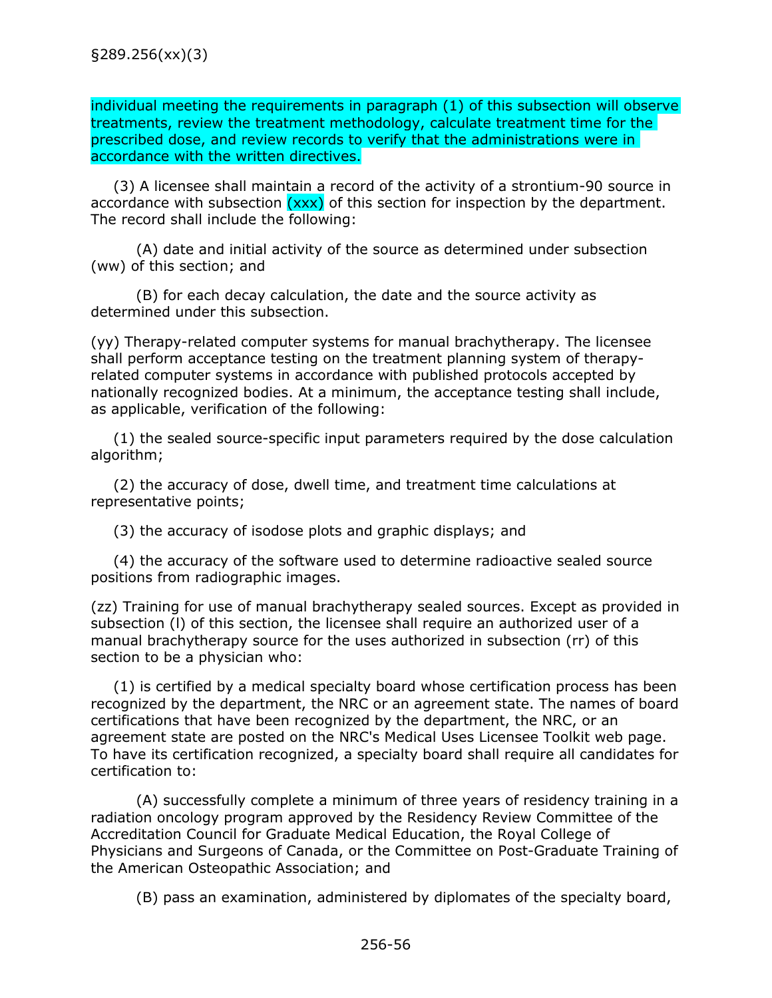individual meeting the requirements in paragraph (1) of this subsection will observe treatments, review the treatment methodology, calculate treatment time for the prescribed dose, and review records to verify that the administrations were in accordance with the written directives.

(3) A licensee shall maintain a record of the activity of a strontium-90 source in accordance with subsection  $(xxx)$  of this section for inspection by the department. The record shall include the following:

(A) date and initial activity of the source as determined under subsection (ww) of this section; and

(B) for each decay calculation, the date and the source activity as determined under this subsection.

(yy) Therapy-related computer systems for manual brachytherapy. The licensee shall perform acceptance testing on the treatment planning system of therapyrelated computer systems in accordance with published protocols accepted by nationally recognized bodies. At a minimum, the acceptance testing shall include, as applicable, verification of the following:

(1) the sealed source-specific input parameters required by the dose calculation algorithm;

(2) the accuracy of dose, dwell time, and treatment time calculations at representative points;

(3) the accuracy of isodose plots and graphic displays; and

(4) the accuracy of the software used to determine radioactive sealed source positions from radiographic images.

(zz) Training for use of manual brachytherapy sealed sources. Except as provided in subsection (l) of this section, the licensee shall require an authorized user of a manual brachytherapy source for the uses authorized in subsection (rr) of this section to be a physician who:

(1) is certified by a medical specialty board whose certification process has been recognized by the department, the NRC or an agreement state. The names of board certifications that have been recognized by the department, the NRC, or an agreement state are posted on the NRC's Medical Uses Licensee Toolkit web page. To have its certification recognized, a specialty board shall require all candidates for certification to:

(A) successfully complete a minimum of three years of residency training in a radiation oncology program approved by the Residency Review Committee of the Accreditation Council for Graduate Medical Education, the Royal College of Physicians and Surgeons of Canada, or the Committee on Post-Graduate Training of the American Osteopathic Association; and

(B) pass an examination, administered by diplomates of the specialty board,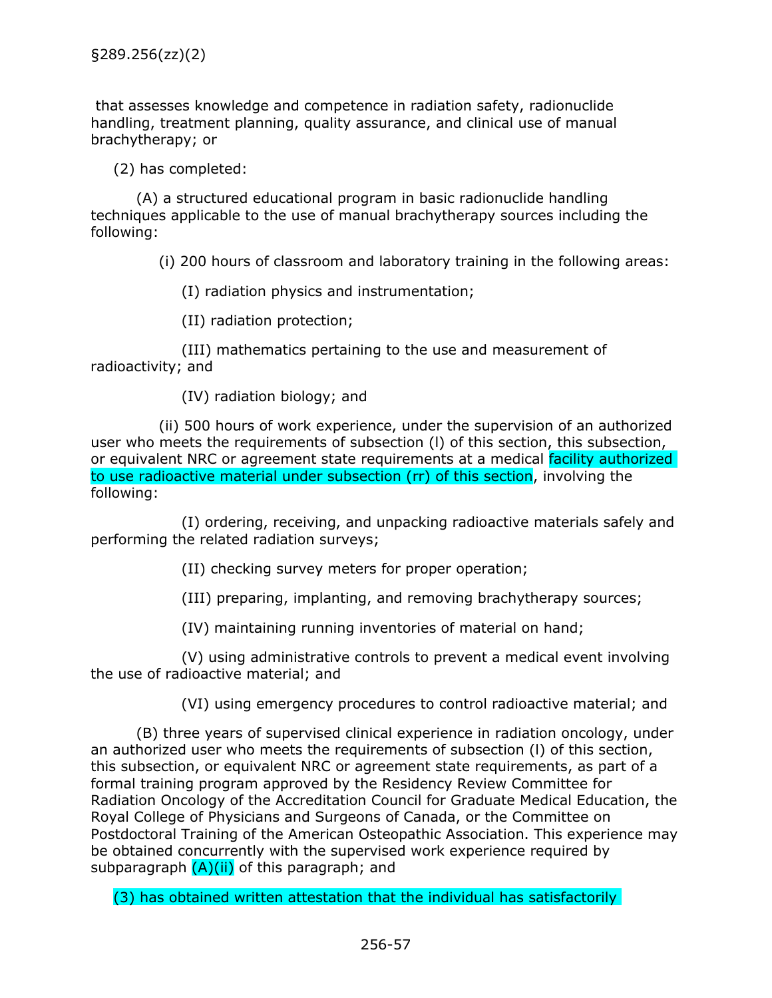that assesses knowledge and competence in radiation safety, radionuclide handling, treatment planning, quality assurance, and clinical use of manual brachytherapy; or

(2) has completed:

(A) a structured educational program in basic radionuclide handling techniques applicable to the use of manual brachytherapy sources including the following:

(i) 200 hours of classroom and laboratory training in the following areas:

(I) radiation physics and instrumentation;

(II) radiation protection;

(III) mathematics pertaining to the use and measurement of radioactivity; and

(IV) radiation biology; and

(ii) 500 hours of work experience, under the supervision of an authorized user who meets the requirements of subsection (l) of this section, this subsection, or equivalent NRC or agreement state requirements at a medical facility authorized to use radioactive material under subsection (rr) of this section, involving the following:

(I) ordering, receiving, and unpacking radioactive materials safely and performing the related radiation surveys;

(II) checking survey meters for proper operation;

(III) preparing, implanting, and removing brachytherapy sources;

(IV) maintaining running inventories of material on hand;

(V) using administrative controls to prevent a medical event involving the use of radioactive material; and

(VI) using emergency procedures to control radioactive material; and

(B) three years of supervised clinical experience in radiation oncology, under an authorized user who meets the requirements of subsection (l) of this section, this subsection, or equivalent NRC or agreement state requirements, as part of a formal training program approved by the Residency Review Committee for Radiation Oncology of the Accreditation Council for Graduate Medical Education, the Royal College of Physicians and Surgeons of Canada, or the Committee on Postdoctoral Training of the American Osteopathic Association. This experience may be obtained concurrently with the supervised work experience required by subparagraph  $(A)(ii)$  of this paragraph; and

(3) has obtained written attestation that the individual has satisfactorily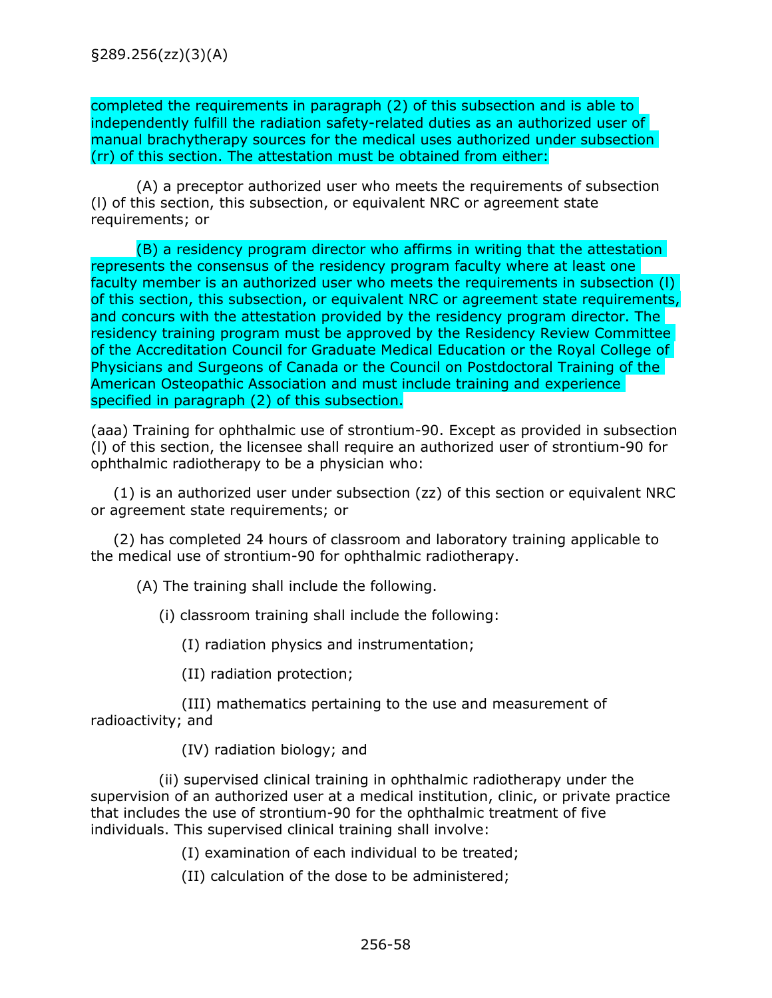completed the requirements in paragraph (2) of this subsection and is able to independently fulfill the radiation safety-related duties as an authorized user of manual brachytherapy sources for the medical uses authorized under subsection (rr) of this section. The attestation must be obtained from either:

(A) a preceptor authorized user who meets the requirements of subsection (l) of this section, this subsection, or equivalent NRC or agreement state requirements; or

(B) a residency program director who affirms in writing that the attestation represents the consensus of the residency program faculty where at least one faculty member is an authorized user who meets the requirements in subsection (l) of this section, this subsection, or equivalent NRC or agreement state requirements, and concurs with the attestation provided by the residency program director. The residency training program must be approved by the Residency Review Committee of the Accreditation Council for Graduate Medical Education or the Royal College of Physicians and Surgeons of Canada or the Council on Postdoctoral Training of the American Osteopathic Association and must include training and experience specified in paragraph (2) of this subsection.

(aaa) Training for ophthalmic use of strontium-90. Except as provided in subsection (l) of this section, the licensee shall require an authorized user of strontium-90 for ophthalmic radiotherapy to be a physician who:

(1) is an authorized user under subsection (zz) of this section or equivalent NRC or agreement state requirements; or

(2) has completed 24 hours of classroom and laboratory training applicable to the medical use of strontium-90 for ophthalmic radiotherapy.

(A) The training shall include the following.

(i) classroom training shall include the following:

(I) radiation physics and instrumentation;

(II) radiation protection;

(III) mathematics pertaining to the use and measurement of radioactivity; and

(IV) radiation biology; and

(ii) supervised clinical training in ophthalmic radiotherapy under the supervision of an authorized user at a medical institution, clinic, or private practice that includes the use of strontium-90 for the ophthalmic treatment of five individuals. This supervised clinical training shall involve:

(I) examination of each individual to be treated;

(II) calculation of the dose to be administered;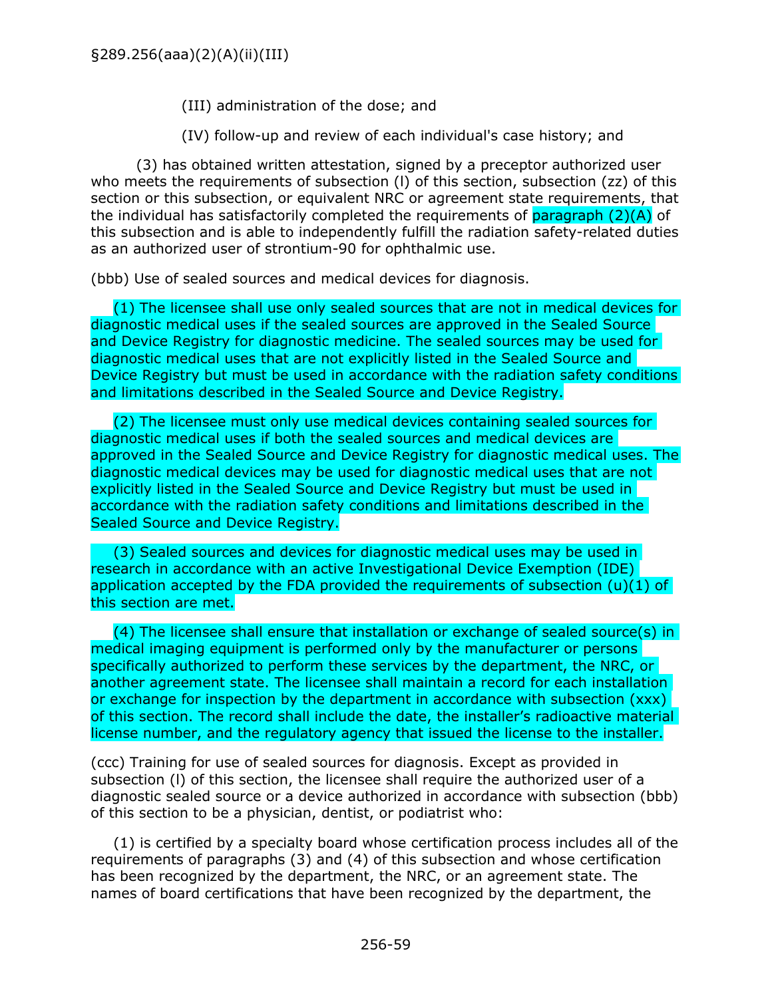(III) administration of the dose; and

(IV) follow-up and review of each individual's case history; and

(3) has obtained written attestation, signed by a preceptor authorized user who meets the requirements of subsection (I) of this section, subsection (zz) of this section or this subsection, or equivalent NRC or agreement state requirements, that the individual has satisfactorily completed the requirements of paragraph  $(2)(A)$  of this subsection and is able to independently fulfill the radiation safety-related duties as an authorized user of strontium-90 for ophthalmic use.

(bbb) Use of sealed sources and medical devices for diagnosis.

(1) The licensee shall use only sealed sources that are not in medical devices for diagnostic medical uses if the sealed sources are approved in the Sealed Source and Device Registry for diagnostic medicine. The sealed sources may be used for diagnostic medical uses that are not explicitly listed in the Sealed Source and Device Registry but must be used in accordance with the radiation safety conditions and limitations described in the Sealed Source and Device Registry.

(2) The licensee must only use medical devices containing sealed sources for diagnostic medical uses if both the sealed sources and medical devices are approved in the Sealed Source and Device Registry for diagnostic medical uses. The diagnostic medical devices may be used for diagnostic medical uses that are not explicitly listed in the Sealed Source and Device Registry but must be used in accordance with the radiation safety conditions and limitations described in the Sealed Source and Device Registry.

(3) Sealed sources and devices for diagnostic medical uses may be used in research in accordance with an active Investigational Device Exemption (IDE) application accepted by the FDA provided the requirements of subsection (u)(1) of this section are met.

(4) The licensee shall ensure that installation or exchange of sealed source(s) in medical imaging equipment is performed only by the manufacturer or persons specifically authorized to perform these services by the department, the NRC, or another agreement state. The licensee shall maintain a record for each installation or exchange for inspection by the department in accordance with subsection (xxx) of this section. The record shall include the date, the installer's radioactive material license number, and the regulatory agency that issued the license to the installer.

(ccc) Training for use of sealed sources for diagnosis. Except as provided in subsection (l) of this section, the licensee shall require the authorized user of a diagnostic sealed source or a device authorized in accordance with subsection (bbb) of this section to be a physician, dentist, or podiatrist who:

(1) is certified by a specialty board whose certification process includes all of the requirements of paragraphs (3) and (4) of this subsection and whose certification has been recognized by the department, the NRC, or an agreement state. The names of board certifications that have been recognized by the department, the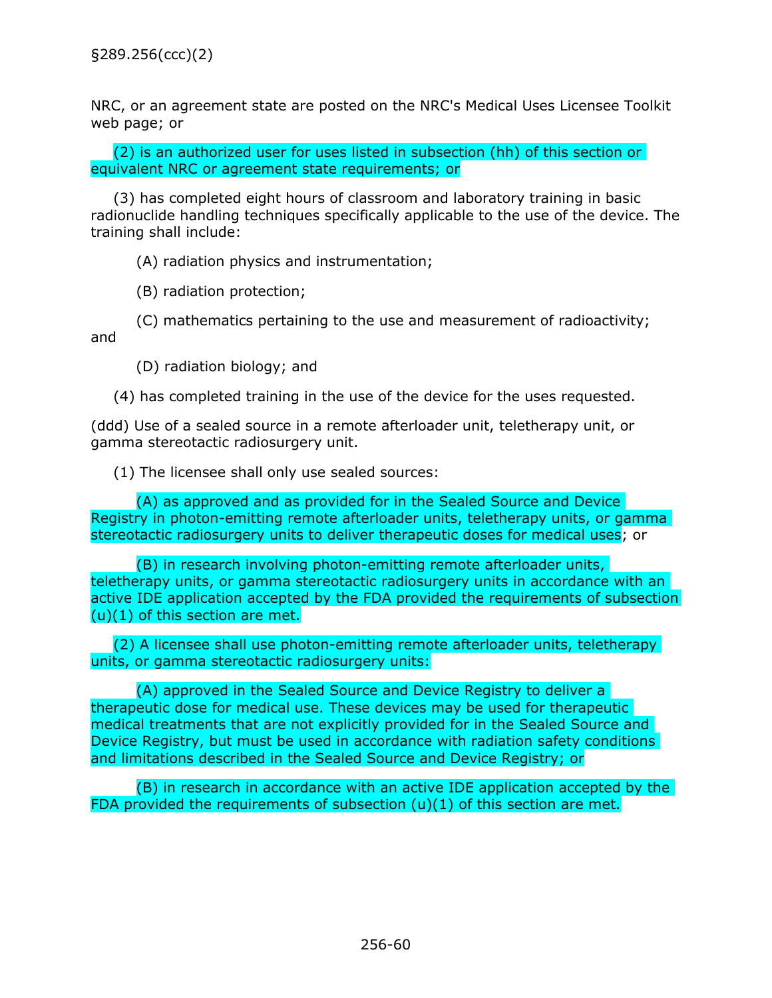NRC, or an agreement state are posted on the NRC's Medical Uses Licensee Toolkit web page; or

(2) is an authorized user for uses listed in subsection (hh) of this section or equivalent NRC or agreement state requirements; or

(3) has completed eight hours of classroom and laboratory training in basic radionuclide handling techniques specifically applicable to the use of the device. The training shall include:

(A) radiation physics and instrumentation;

(B) radiation protection;

(C) mathematics pertaining to the use and measurement of radioactivity; and

(D) radiation biology; and

(4) has completed training in the use of the device for the uses requested.

(ddd) Use of a sealed source in a remote afterloader unit, teletherapy unit, or gamma stereotactic radiosurgery unit.

(1) The licensee shall only use sealed sources:

(A) as approved and as provided for in the Sealed Source and Device Registry in photon-emitting remote afterloader units, teletherapy units, or gamma stereotactic radiosurgery units to deliver therapeutic doses for medical uses; or

(B) in research involving photon-emitting remote afterloader units, teletherapy units, or gamma stereotactic radiosurgery units in accordance with an active IDE application accepted by the FDA provided the requirements of subsection (u)(1) of this section are met.

(2) A licensee shall use photon-emitting remote afterloader units, teletherapy units, or gamma stereotactic radiosurgery units:

(A) approved in the Sealed Source and Device Registry to deliver a therapeutic dose for medical use. These devices may be used for therapeutic medical treatments that are not explicitly provided for in the Sealed Source and Device Registry, but must be used in accordance with radiation safety conditions and limitations described in the Sealed Source and Device Registry; or

(B) in research in accordance with an active IDE application accepted by the FDA provided the requirements of subsection (u)(1) of this section are met.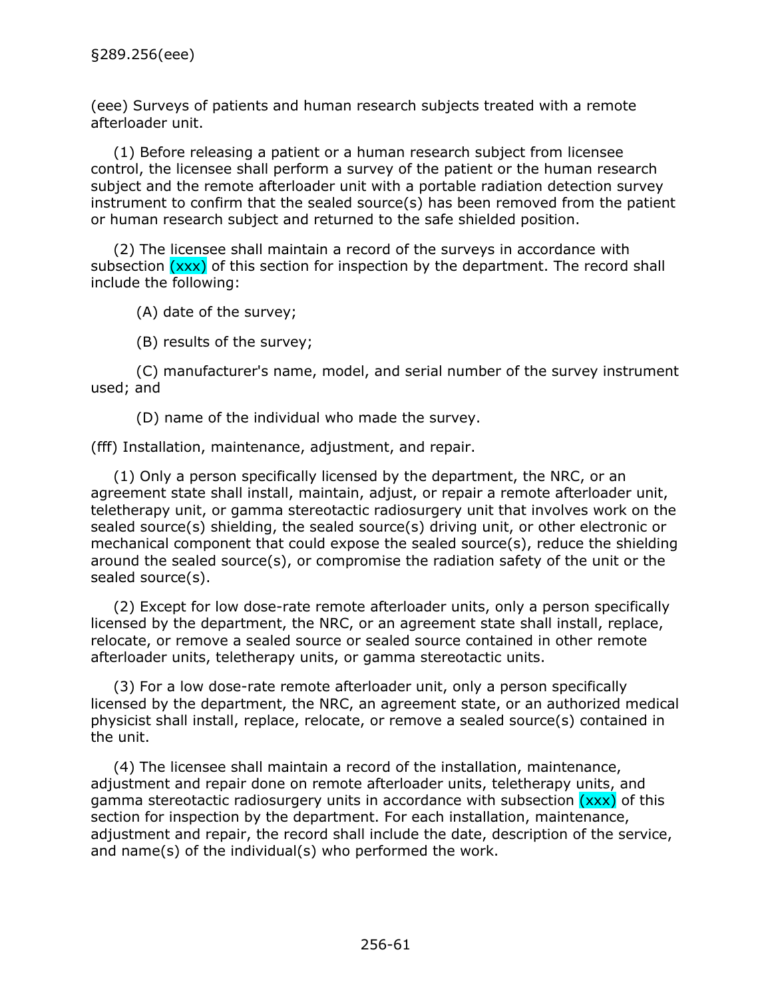(eee) Surveys of patients and human research subjects treated with a remote afterloader unit.

(1) Before releasing a patient or a human research subject from licensee control, the licensee shall perform a survey of the patient or the human research subject and the remote afterloader unit with a portable radiation detection survey instrument to confirm that the sealed source(s) has been removed from the patient or human research subject and returned to the safe shielded position.

(2) The licensee shall maintain a record of the surveys in accordance with subsection  $(xxx)$  of this section for inspection by the department. The record shall include the following:

(A) date of the survey;

(B) results of the survey;

(C) manufacturer's name, model, and serial number of the survey instrument used; and

(D) name of the individual who made the survey.

(fff) Installation, maintenance, adjustment, and repair.

(1) Only a person specifically licensed by the department, the NRC, or an agreement state shall install, maintain, adjust, or repair a remote afterloader unit, teletherapy unit, or gamma stereotactic radiosurgery unit that involves work on the sealed source(s) shielding, the sealed source(s) driving unit, or other electronic or mechanical component that could expose the sealed source(s), reduce the shielding around the sealed source(s), or compromise the radiation safety of the unit or the sealed source(s).

(2) Except for low dose-rate remote afterloader units, only a person specifically licensed by the department, the NRC, or an agreement state shall install, replace, relocate, or remove a sealed source or sealed source contained in other remote afterloader units, teletherapy units, or gamma stereotactic units.

(3) For a low dose-rate remote afterloader unit, only a person specifically licensed by the department, the NRC, an agreement state, or an authorized medical physicist shall install, replace, relocate, or remove a sealed source(s) contained in the unit.

(4) The licensee shall maintain a record of the installation, maintenance, adjustment and repair done on remote afterloader units, teletherapy units, and gamma stereotactic radiosurgery units in accordance with subsection  $(xxx)$  of this section for inspection by the department. For each installation, maintenance, adjustment and repair, the record shall include the date, description of the service, and name(s) of the individual(s) who performed the work.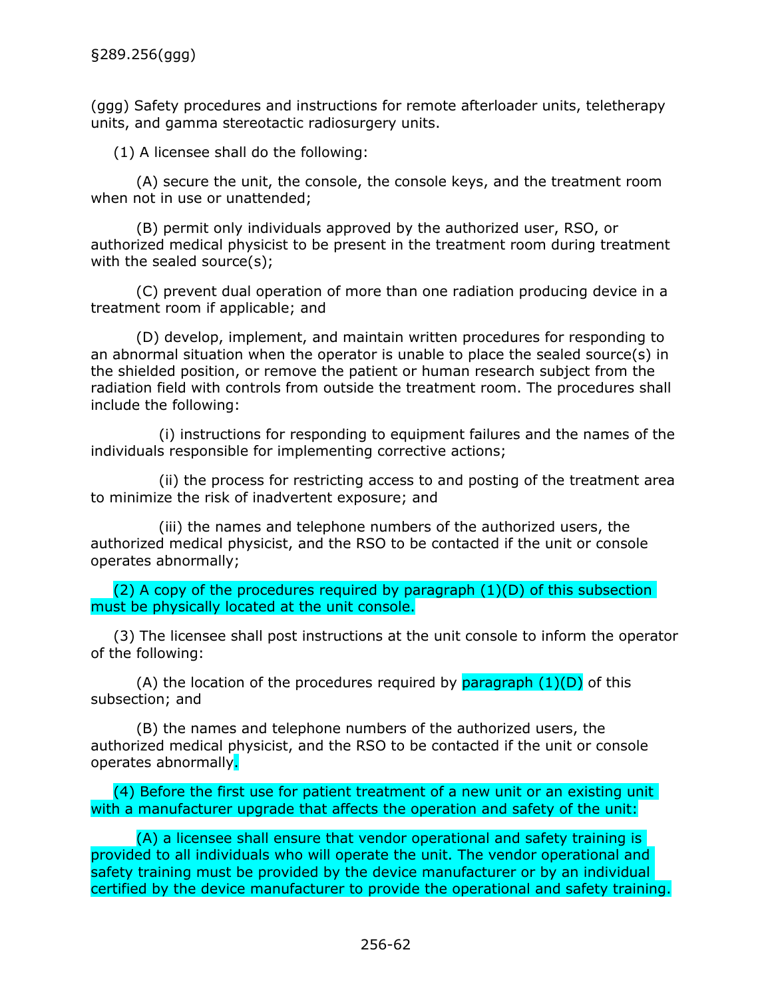(ggg) Safety procedures and instructions for remote afterloader units, teletherapy units, and gamma stereotactic radiosurgery units.

(1) A licensee shall do the following:

(A) secure the unit, the console, the console keys, and the treatment room when not in use or unattended;

(B) permit only individuals approved by the authorized user, RSO, or authorized medical physicist to be present in the treatment room during treatment with the sealed source(s);

(C) prevent dual operation of more than one radiation producing device in a treatment room if applicable; and

(D) develop, implement, and maintain written procedures for responding to an abnormal situation when the operator is unable to place the sealed source(s) in the shielded position, or remove the patient or human research subject from the radiation field with controls from outside the treatment room. The procedures shall include the following:

(i) instructions for responding to equipment failures and the names of the individuals responsible for implementing corrective actions;

(ii) the process for restricting access to and posting of the treatment area to minimize the risk of inadvertent exposure; and

(iii) the names and telephone numbers of the authorized users, the authorized medical physicist, and the RSO to be contacted if the unit or console operates abnormally;

(2) A copy of the procedures required by paragraph  $(1)(D)$  of this subsection must be physically located at the unit console.

(3) The licensee shall post instructions at the unit console to inform the operator of the following:

(A) the location of the procedures required by paragraph  $(1)(D)$  of this subsection; and

(B) the names and telephone numbers of the authorized users, the authorized medical physicist, and the RSO to be contacted if the unit or console operates abnormally.

(4) Before the first use for patient treatment of a new unit or an existing unit with a manufacturer upgrade that affects the operation and safety of the unit:

(A) a licensee shall ensure that vendor operational and safety training is provided to all individuals who will operate the unit. The vendor operational and safety training must be provided by the device manufacturer or by an individual certified by the device manufacturer to provide the operational and safety training.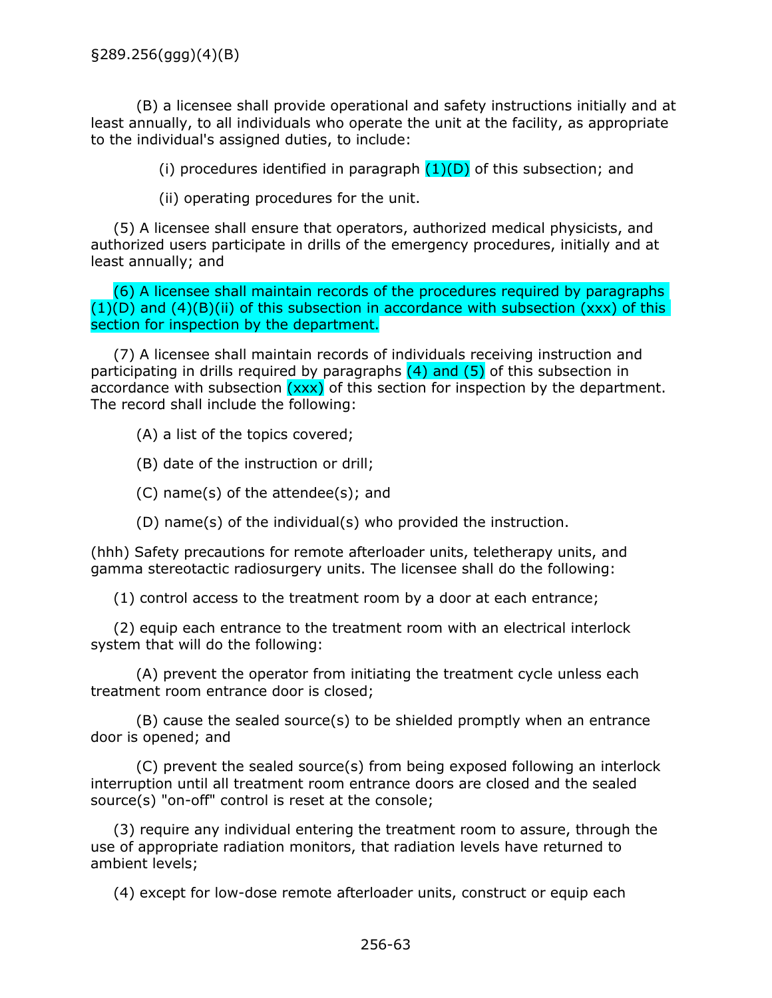(B) a licensee shall provide operational and safety instructions initially and at least annually, to all individuals who operate the unit at the facility, as appropriate to the individual's assigned duties, to include:

(i) procedures identified in paragraph  $(1)(D)$  of this subsection; and

(ii) operating procedures for the unit.

(5) A licensee shall ensure that operators, authorized medical physicists, and authorized users participate in drills of the emergency procedures, initially and at least annually; and

(6) A licensee shall maintain records of the procedures required by paragraphs  $(1)(D)$  and  $(4)(B)(ii)$  of this subsection in accordance with subsection (xxx) of this section for inspection by the department.

(7) A licensee shall maintain records of individuals receiving instruction and participating in drills required by paragraphs  $(4)$  and  $(5)$  of this subsection in accordance with subsection  $(xxx)$  of this section for inspection by the department. The record shall include the following:

(A) a list of the topics covered;

(B) date of the instruction or drill;

(C) name(s) of the attendee(s); and

(D) name(s) of the individual(s) who provided the instruction.

(hhh) Safety precautions for remote afterloader units, teletherapy units, and gamma stereotactic radiosurgery units. The licensee shall do the following:

(1) control access to the treatment room by a door at each entrance;

(2) equip each entrance to the treatment room with an electrical interlock system that will do the following:

(A) prevent the operator from initiating the treatment cycle unless each treatment room entrance door is closed;

(B) cause the sealed source(s) to be shielded promptly when an entrance door is opened; and

(C) prevent the sealed source(s) from being exposed following an interlock interruption until all treatment room entrance doors are closed and the sealed source(s) "on-off" control is reset at the console;

(3) require any individual entering the treatment room to assure, through the use of appropriate radiation monitors, that radiation levels have returned to ambient levels;

(4) except for low-dose remote afterloader units, construct or equip each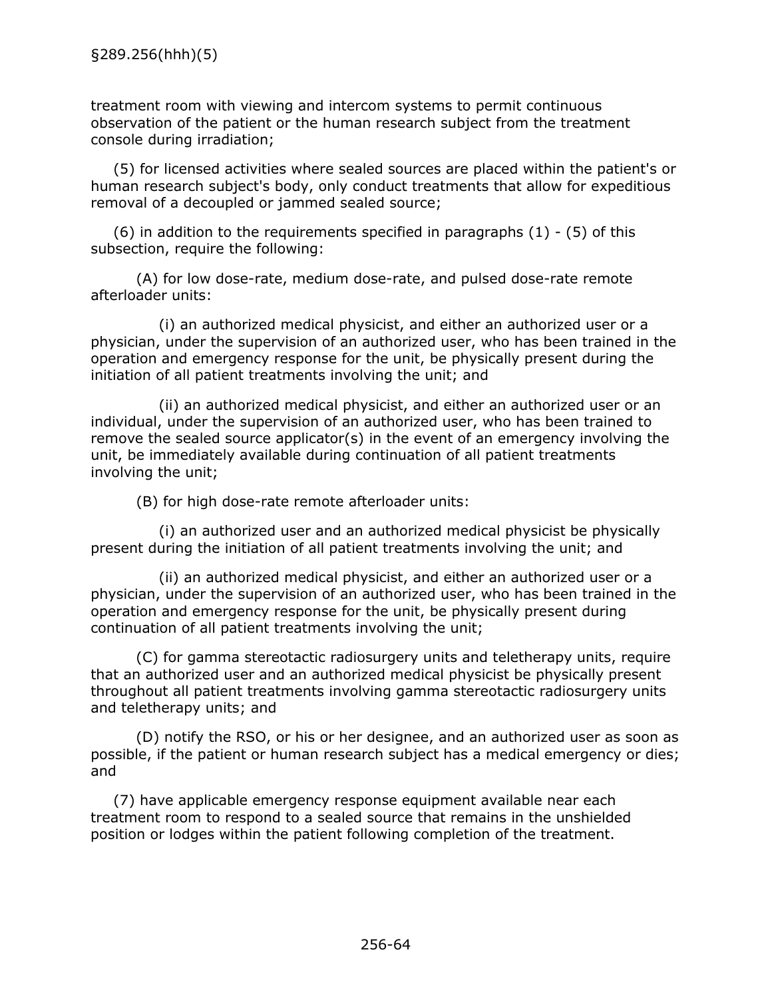treatment room with viewing and intercom systems to permit continuous observation of the patient or the human research subject from the treatment console during irradiation;

(5) for licensed activities where sealed sources are placed within the patient's or human research subject's body, only conduct treatments that allow for expeditious removal of a decoupled or jammed sealed source;

 $(6)$  in addition to the requirements specified in paragraphs  $(1)$  -  $(5)$  of this subsection, require the following:

(A) for low dose-rate, medium dose-rate, and pulsed dose-rate remote afterloader units:

(i) an authorized medical physicist, and either an authorized user or a physician, under the supervision of an authorized user, who has been trained in the operation and emergency response for the unit, be physically present during the initiation of all patient treatments involving the unit; and

(ii) an authorized medical physicist, and either an authorized user or an individual, under the supervision of an authorized user, who has been trained to remove the sealed source applicator(s) in the event of an emergency involving the unit, be immediately available during continuation of all patient treatments involving the unit;

(B) for high dose-rate remote afterloader units:

(i) an authorized user and an authorized medical physicist be physically present during the initiation of all patient treatments involving the unit; and

(ii) an authorized medical physicist, and either an authorized user or a physician, under the supervision of an authorized user, who has been trained in the operation and emergency response for the unit, be physically present during continuation of all patient treatments involving the unit;

(C) for gamma stereotactic radiosurgery units and teletherapy units, require that an authorized user and an authorized medical physicist be physically present throughout all patient treatments involving gamma stereotactic radiosurgery units and teletherapy units; and

(D) notify the RSO, or his or her designee, and an authorized user as soon as possible, if the patient or human research subject has a medical emergency or dies; and

(7) have applicable emergency response equipment available near each treatment room to respond to a sealed source that remains in the unshielded position or lodges within the patient following completion of the treatment.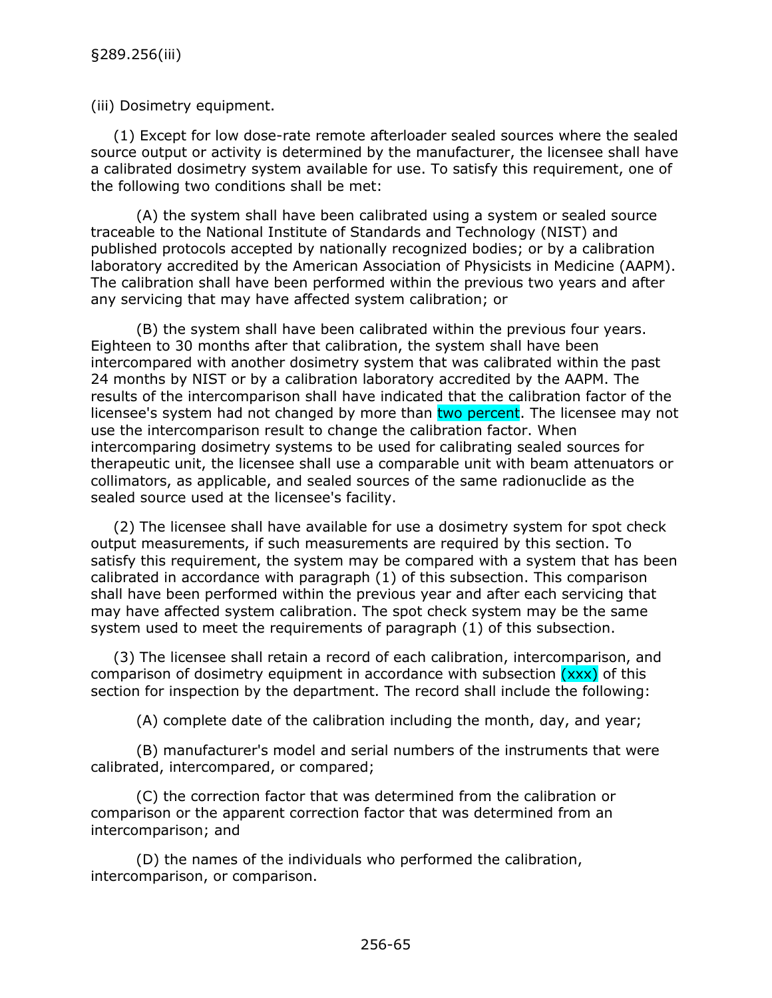(iii) Dosimetry equipment.

(1) Except for low dose-rate remote afterloader sealed sources where the sealed source output or activity is determined by the manufacturer, the licensee shall have a calibrated dosimetry system available for use. To satisfy this requirement, one of the following two conditions shall be met:

(A) the system shall have been calibrated using a system or sealed source traceable to the National Institute of Standards and Technology (NIST) and published protocols accepted by nationally recognized bodies; or by a calibration laboratory accredited by the American Association of Physicists in Medicine (AAPM). The calibration shall have been performed within the previous two years and after any servicing that may have affected system calibration; or

(B) the system shall have been calibrated within the previous four years. Eighteen to 30 months after that calibration, the system shall have been intercompared with another dosimetry system that was calibrated within the past 24 months by NIST or by a calibration laboratory accredited by the AAPM. The results of the intercomparison shall have indicated that the calibration factor of the licensee's system had not changed by more than two percent. The licensee may not use the intercomparison result to change the calibration factor. When intercomparing dosimetry systems to be used for calibrating sealed sources for therapeutic unit, the licensee shall use a comparable unit with beam attenuators or collimators, as applicable, and sealed sources of the same radionuclide as the sealed source used at the licensee's facility.

(2) The licensee shall have available for use a dosimetry system for spot check output measurements, if such measurements are required by this section. To satisfy this requirement, the system may be compared with a system that has been calibrated in accordance with paragraph (1) of this subsection. This comparison shall have been performed within the previous year and after each servicing that may have affected system calibration. The spot check system may be the same system used to meet the requirements of paragraph (1) of this subsection.

(3) The licensee shall retain a record of each calibration, intercomparison, and comparison of dosimetry equipment in accordance with subsection  $(xxx)$  of this section for inspection by the department. The record shall include the following:

(A) complete date of the calibration including the month, day, and year;

(B) manufacturer's model and serial numbers of the instruments that were calibrated, intercompared, or compared;

(C) the correction factor that was determined from the calibration or comparison or the apparent correction factor that was determined from an intercomparison; and

(D) the names of the individuals who performed the calibration, intercomparison, or comparison.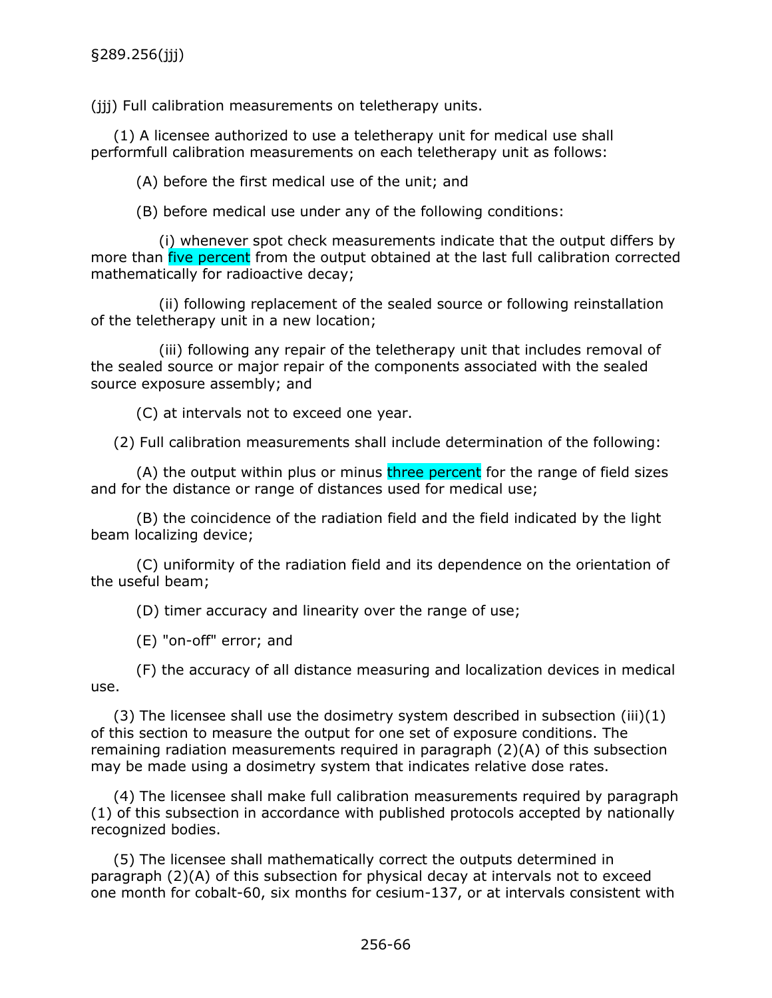(iii) Full calibration measurements on teletherapy units.

(1) A licensee authorized to use a teletherapy unit for medical use shall performfull calibration measurements on each teletherapy unit as follows:

(A) before the first medical use of the unit; and

(B) before medical use under any of the following conditions:

(i) whenever spot check measurements indicate that the output differs by more than five percent from the output obtained at the last full calibration corrected mathematically for radioactive decay;

(ii) following replacement of the sealed source or following reinstallation of the teletherapy unit in a new location;

(iii) following any repair of the teletherapy unit that includes removal of the sealed source or major repair of the components associated with the sealed source exposure assembly; and

(C) at intervals not to exceed one year.

(2) Full calibration measurements shall include determination of the following:

(A) the output within plus or minus three percent for the range of field sizes and for the distance or range of distances used for medical use;

(B) the coincidence of the radiation field and the field indicated by the light beam localizing device;

(C) uniformity of the radiation field and its dependence on the orientation of the useful beam;

(D) timer accuracy and linearity over the range of use;

(E) "on-off" error; and

(F) the accuracy of all distance measuring and localization devices in medical use.

(3) The licensee shall use the dosimetry system described in subsection (iii)(1) of this section to measure the output for one set of exposure conditions. The remaining radiation measurements required in paragraph (2)(A) of this subsection may be made using a dosimetry system that indicates relative dose rates.

(4) The licensee shall make full calibration measurements required by paragraph (1) of this subsection in accordance with published protocols accepted by nationally recognized bodies.

(5) The licensee shall mathematically correct the outputs determined in paragraph (2)(A) of this subsection for physical decay at intervals not to exceed one month for cobalt-60, six months for cesium-137, or at intervals consistent with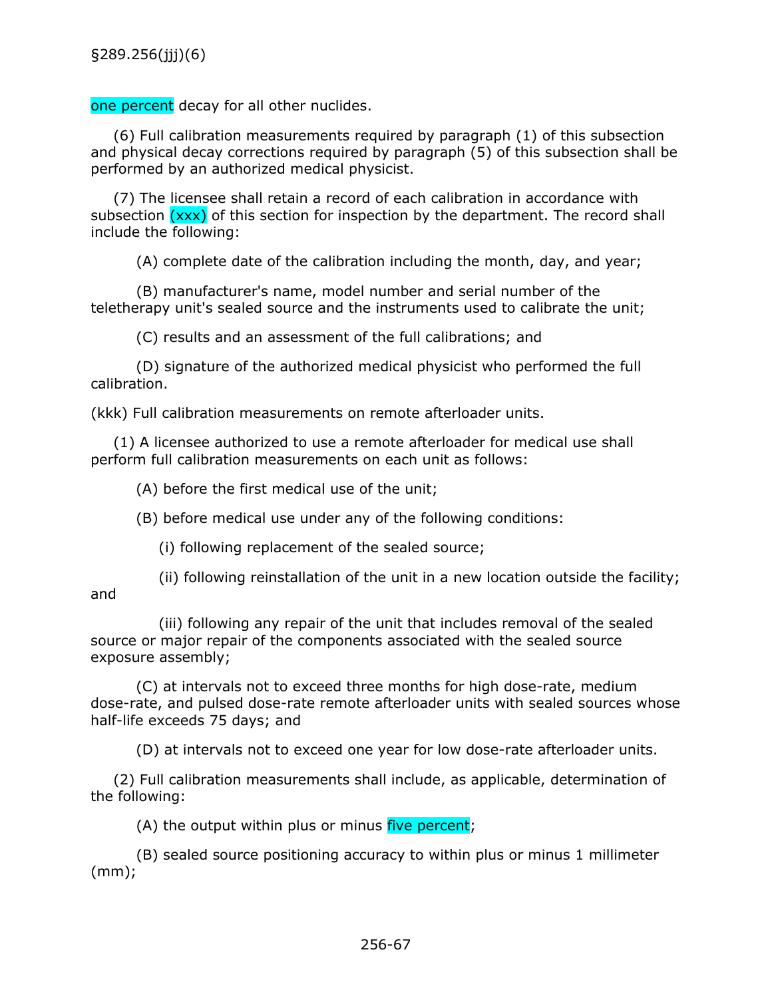one percent decay for all other nuclides.

(6) Full calibration measurements required by paragraph (1) of this subsection and physical decay corrections required by paragraph (5) of this subsection shall be performed by an authorized medical physicist.

(7) The licensee shall retain a record of each calibration in accordance with subsection  $(xxx)$  of this section for inspection by the department. The record shall include the following:

(A) complete date of the calibration including the month, day, and year;

(B) manufacturer's name, model number and serial number of the teletherapy unit's sealed source and the instruments used to calibrate the unit;

(C) results and an assessment of the full calibrations; and

(D) signature of the authorized medical physicist who performed the full calibration.

(kkk) Full calibration measurements on remote afterloader units.

(1) A licensee authorized to use a remote afterloader for medical use shall perform full calibration measurements on each unit as follows:

(A) before the first medical use of the unit;

(B) before medical use under any of the following conditions:

(i) following replacement of the sealed source;

(ii) following reinstallation of the unit in a new location outside the facility; and

(iii) following any repair of the unit that includes removal of the sealed source or major repair of the components associated with the sealed source exposure assembly;

(C) at intervals not to exceed three months for high dose-rate, medium dose-rate, and pulsed dose-rate remote afterloader units with sealed sources whose half-life exceeds 75 days; and

(D) at intervals not to exceed one year for low dose-rate afterloader units.

(2) Full calibration measurements shall include, as applicable, determination of the following:

 $(A)$  the output within plus or minus five percent;

(B) sealed source positioning accuracy to within plus or minus 1 millimeter (mm);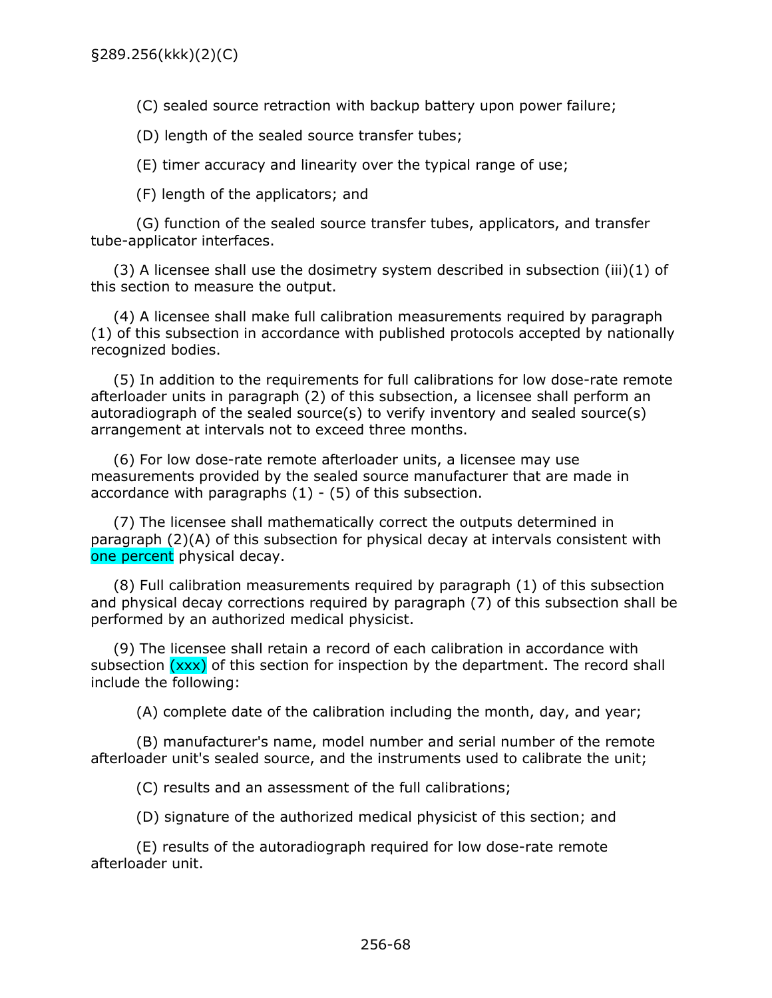(C) sealed source retraction with backup battery upon power failure;

(D) length of the sealed source transfer tubes;

(E) timer accuracy and linearity over the typical range of use;

(F) length of the applicators; and

(G) function of the sealed source transfer tubes, applicators, and transfer tube-applicator interfaces.

(3) A licensee shall use the dosimetry system described in subsection (iii)(1) of this section to measure the output.

(4) A licensee shall make full calibration measurements required by paragraph (1) of this subsection in accordance with published protocols accepted by nationally recognized bodies.

(5) In addition to the requirements for full calibrations for low dose-rate remote afterloader units in paragraph (2) of this subsection, a licensee shall perform an autoradiograph of the sealed source(s) to verify inventory and sealed source(s) arrangement at intervals not to exceed three months.

(6) For low dose-rate remote afterloader units, a licensee may use measurements provided by the sealed source manufacturer that are made in accordance with paragraphs  $(1) - (5)$  of this subsection.

(7) The licensee shall mathematically correct the outputs determined in paragraph (2)(A) of this subsection for physical decay at intervals consistent with one percent physical decay.

(8) Full calibration measurements required by paragraph (1) of this subsection and physical decay corrections required by paragraph (7) of this subsection shall be performed by an authorized medical physicist.

(9) The licensee shall retain a record of each calibration in accordance with subsection (xxx) of this section for inspection by the department. The record shall include the following:

(A) complete date of the calibration including the month, day, and year;

(B) manufacturer's name, model number and serial number of the remote afterloader unit's sealed source, and the instruments used to calibrate the unit;

(C) results and an assessment of the full calibrations;

(D) signature of the authorized medical physicist of this section; and

(E) results of the autoradiograph required for low dose-rate remote afterloader unit.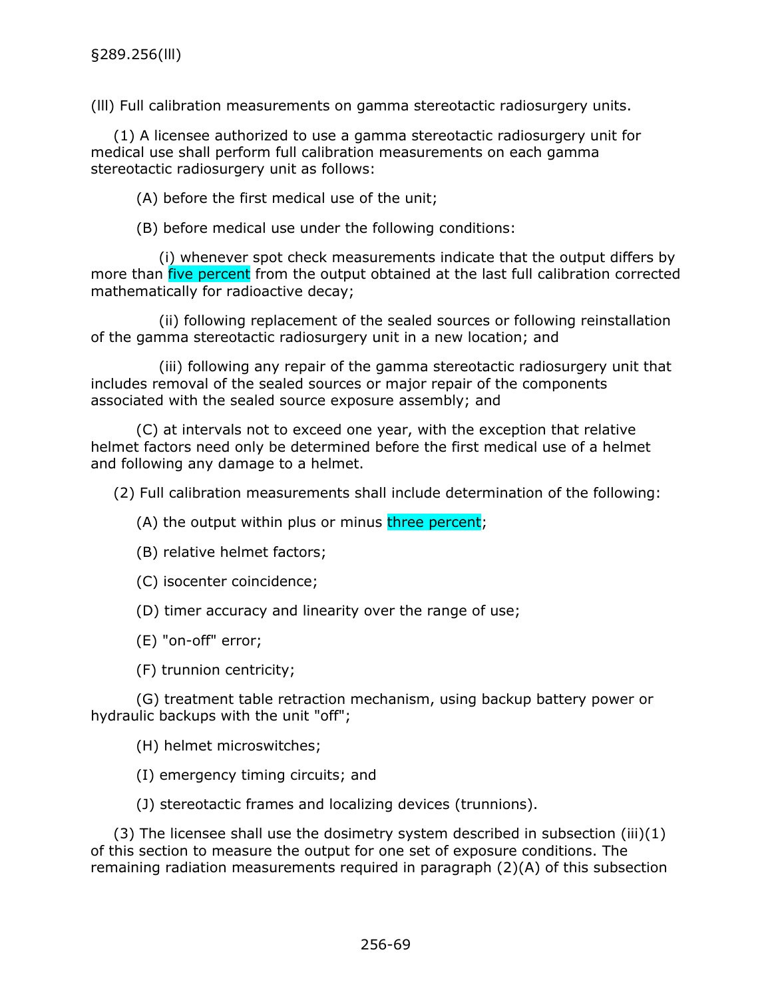(lll) Full calibration measurements on gamma stereotactic radiosurgery units.

(1) A licensee authorized to use a gamma stereotactic radiosurgery unit for medical use shall perform full calibration measurements on each gamma stereotactic radiosurgery unit as follows:

(A) before the first medical use of the unit;

(B) before medical use under the following conditions:

(i) whenever spot check measurements indicate that the output differs by more than five percent from the output obtained at the last full calibration corrected mathematically for radioactive decay;

(ii) following replacement of the sealed sources or following reinstallation of the gamma stereotactic radiosurgery unit in a new location; and

(iii) following any repair of the gamma stereotactic radiosurgery unit that includes removal of the sealed sources or major repair of the components associated with the sealed source exposure assembly; and

(C) at intervals not to exceed one year, with the exception that relative helmet factors need only be determined before the first medical use of a helmet and following any damage to a helmet.

(2) Full calibration measurements shall include determination of the following:

(A) the output within plus or minus three percent;

(B) relative helmet factors;

(C) isocenter coincidence;

(D) timer accuracy and linearity over the range of use;

(E) "on-off" error;

(F) trunnion centricity;

(G) treatment table retraction mechanism, using backup battery power or hydraulic backups with the unit "off";

(H) helmet microswitches;

(I) emergency timing circuits; and

(J) stereotactic frames and localizing devices (trunnions).

(3) The licensee shall use the dosimetry system described in subsection (iii)(1) of this section to measure the output for one set of exposure conditions. The remaining radiation measurements required in paragraph (2)(A) of this subsection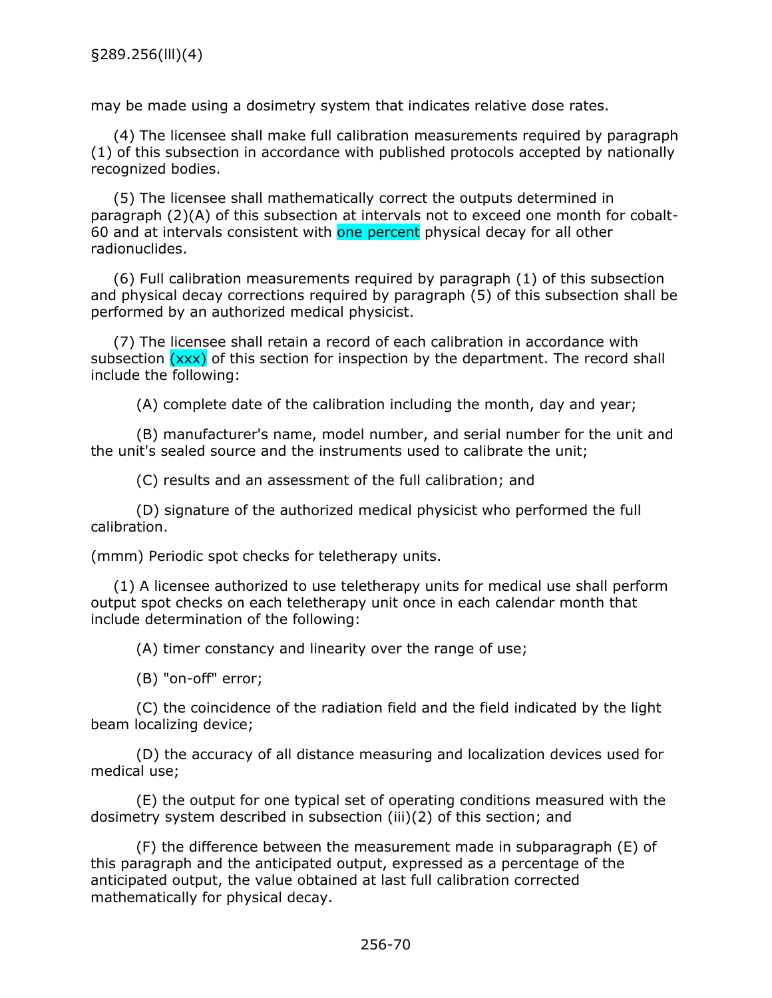may be made using a dosimetry system that indicates relative dose rates.

(4) The licensee shall make full calibration measurements required by paragraph (1) of this subsection in accordance with published protocols accepted by nationally recognized bodies.

(5) The licensee shall mathematically correct the outputs determined in paragraph (2)(A) of this subsection at intervals not to exceed one month for cobalt-60 and at intervals consistent with one percent physical decay for all other radionuclides.

(6) Full calibration measurements required by paragraph (1) of this subsection and physical decay corrections required by paragraph (5) of this subsection shall be performed by an authorized medical physicist.

(7) The licensee shall retain a record of each calibration in accordance with subsection  $(xxx)$  of this section for inspection by the department. The record shall include the following:

(A) complete date of the calibration including the month, day and year;

(B) manufacturer's name, model number, and serial number for the unit and the unit's sealed source and the instruments used to calibrate the unit;

(C) results and an assessment of the full calibration; and

(D) signature of the authorized medical physicist who performed the full calibration.

(mmm) Periodic spot checks for teletherapy units.

(1) A licensee authorized to use teletherapy units for medical use shall perform output spot checks on each teletherapy unit once in each calendar month that include determination of the following:

(A) timer constancy and linearity over the range of use;

(B) "on-off" error;

(C) the coincidence of the radiation field and the field indicated by the light beam localizing device;

(D) the accuracy of all distance measuring and localization devices used for medical use;

(E) the output for one typical set of operating conditions measured with the dosimetry system described in subsection (iii)(2) of this section; and

(F) the difference between the measurement made in subparagraph (E) of this paragraph and the anticipated output, expressed as a percentage of the anticipated output, the value obtained at last full calibration corrected mathematically for physical decay.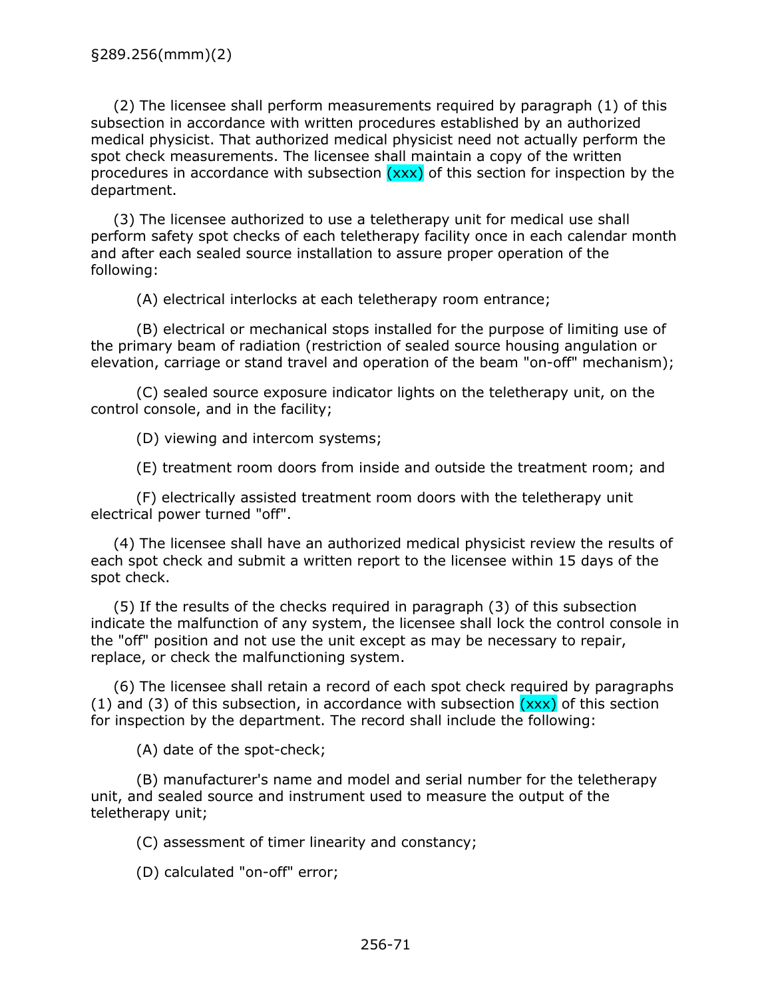(2) The licensee shall perform measurements required by paragraph (1) of this subsection in accordance with written procedures established by an authorized medical physicist. That authorized medical physicist need not actually perform the spot check measurements. The licensee shall maintain a copy of the written procedures in accordance with subsection  $(xxx)$  of this section for inspection by the department.

(3) The licensee authorized to use a teletherapy unit for medical use shall perform safety spot checks of each teletherapy facility once in each calendar month and after each sealed source installation to assure proper operation of the following:

(A) electrical interlocks at each teletherapy room entrance;

(B) electrical or mechanical stops installed for the purpose of limiting use of the primary beam of radiation (restriction of sealed source housing angulation or elevation, carriage or stand travel and operation of the beam "on-off" mechanism);

(C) sealed source exposure indicator lights on the teletherapy unit, on the control console, and in the facility;

(D) viewing and intercom systems;

(E) treatment room doors from inside and outside the treatment room; and

(F) electrically assisted treatment room doors with the teletherapy unit electrical power turned "off".

(4) The licensee shall have an authorized medical physicist review the results of each spot check and submit a written report to the licensee within 15 days of the spot check.

(5) If the results of the checks required in paragraph (3) of this subsection indicate the malfunction of any system, the licensee shall lock the control console in the "off" position and not use the unit except as may be necessary to repair, replace, or check the malfunctioning system.

(6) The licensee shall retain a record of each spot check required by paragraphs (1) and (3) of this subsection, in accordance with subsection  $(xxx)$  of this section for inspection by the department. The record shall include the following:

(A) date of the spot-check;

(B) manufacturer's name and model and serial number for the teletherapy unit, and sealed source and instrument used to measure the output of the teletherapy unit;

(C) assessment of timer linearity and constancy;

(D) calculated "on-off" error;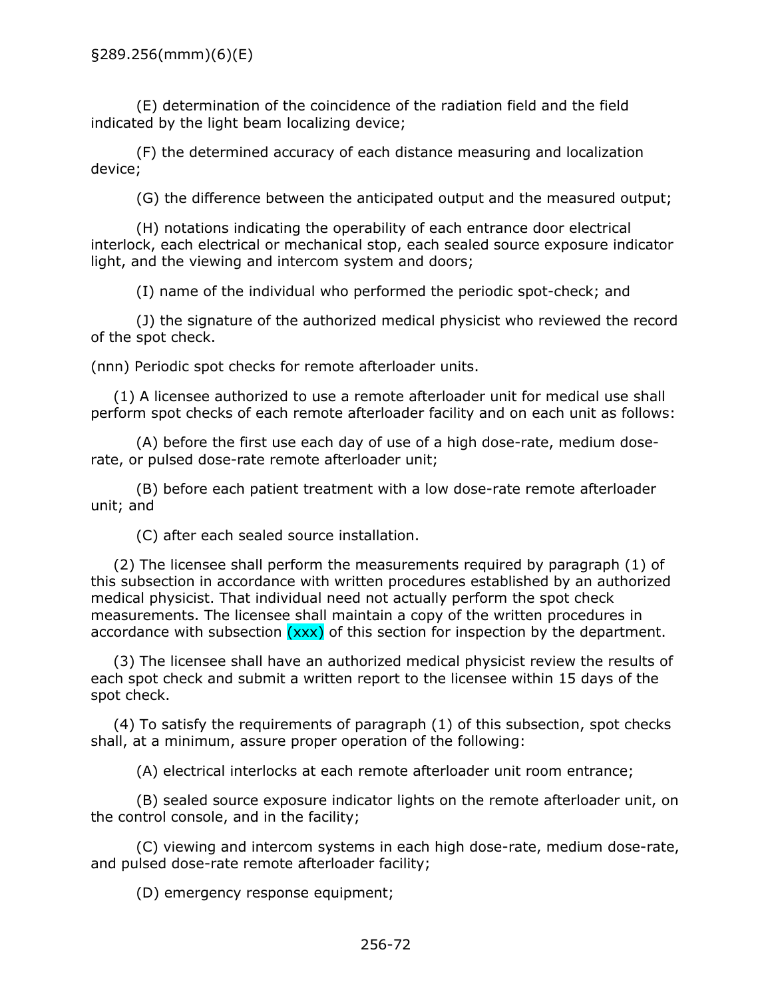(E) determination of the coincidence of the radiation field and the field indicated by the light beam localizing device;

(F) the determined accuracy of each distance measuring and localization device;

(G) the difference between the anticipated output and the measured output;

(H) notations indicating the operability of each entrance door electrical interlock, each electrical or mechanical stop, each sealed source exposure indicator light, and the viewing and intercom system and doors;

(I) name of the individual who performed the periodic spot-check; and

(J) the signature of the authorized medical physicist who reviewed the record of the spot check.

(nnn) Periodic spot checks for remote afterloader units.

(1) A licensee authorized to use a remote afterloader unit for medical use shall perform spot checks of each remote afterloader facility and on each unit as follows:

(A) before the first use each day of use of a high dose-rate, medium doserate, or pulsed dose-rate remote afterloader unit;

(B) before each patient treatment with a low dose-rate remote afterloader unit; and

(C) after each sealed source installation.

(2) The licensee shall perform the measurements required by paragraph (1) of this subsection in accordance with written procedures established by an authorized medical physicist. That individual need not actually perform the spot check measurements. The licensee shall maintain a copy of the written procedures in accordance with subsection (xxx) of this section for inspection by the department.

(3) The licensee shall have an authorized medical physicist review the results of each spot check and submit a written report to the licensee within 15 days of the spot check.

(4) To satisfy the requirements of paragraph (1) of this subsection, spot checks shall, at a minimum, assure proper operation of the following:

(A) electrical interlocks at each remote afterloader unit room entrance;

(B) sealed source exposure indicator lights on the remote afterloader unit, on the control console, and in the facility;

(C) viewing and intercom systems in each high dose-rate, medium dose-rate, and pulsed dose-rate remote afterloader facility;

(D) emergency response equipment;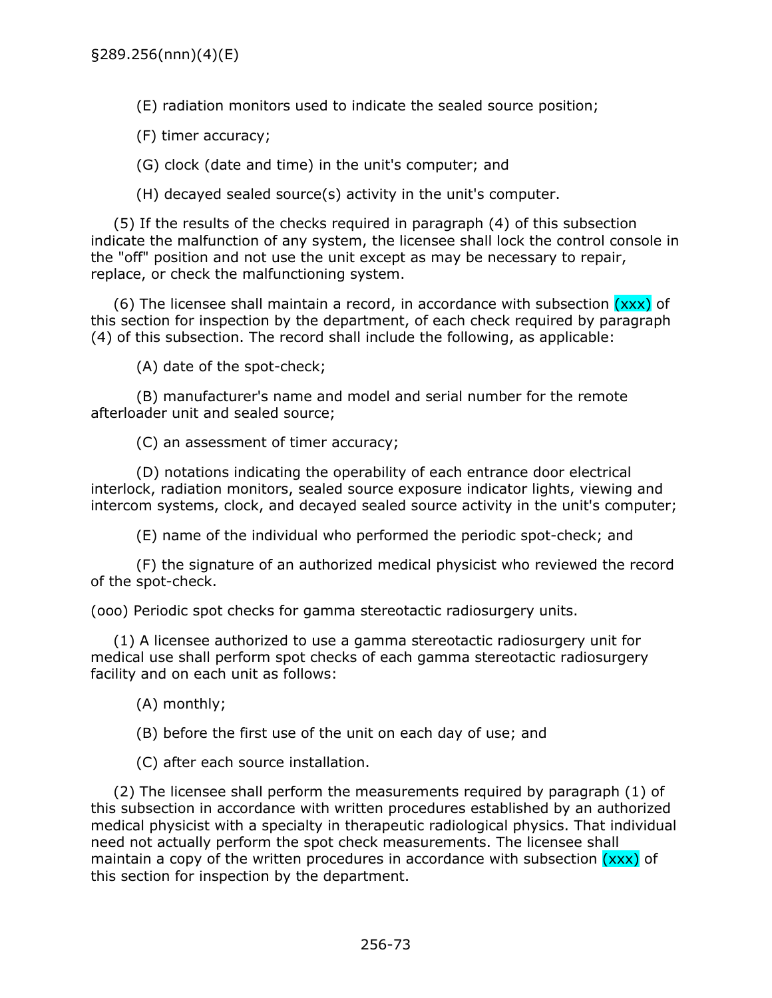(E) radiation monitors used to indicate the sealed source position;

(F) timer accuracy;

(G) clock (date and time) in the unit's computer; and

(H) decayed sealed source(s) activity in the unit's computer.

(5) If the results of the checks required in paragraph (4) of this subsection indicate the malfunction of any system, the licensee shall lock the control console in the "off" position and not use the unit except as may be necessary to repair, replace, or check the malfunctioning system.

(6) The licensee shall maintain a record, in accordance with subsection  $(xxx)$  of this section for inspection by the department, of each check required by paragraph (4) of this subsection. The record shall include the following, as applicable:

(A) date of the spot-check;

(B) manufacturer's name and model and serial number for the remote afterloader unit and sealed source;

(C) an assessment of timer accuracy;

(D) notations indicating the operability of each entrance door electrical interlock, radiation monitors, sealed source exposure indicator lights, viewing and intercom systems, clock, and decayed sealed source activity in the unit's computer;

(E) name of the individual who performed the periodic spot-check; and

(F) the signature of an authorized medical physicist who reviewed the record of the spot-check.

(ooo) Periodic spot checks for gamma stereotactic radiosurgery units.

(1) A licensee authorized to use a gamma stereotactic radiosurgery unit for medical use shall perform spot checks of each gamma stereotactic radiosurgery facility and on each unit as follows:

(A) monthly;

(B) before the first use of the unit on each day of use; and

(C) after each source installation.

(2) The licensee shall perform the measurements required by paragraph (1) of this subsection in accordance with written procedures established by an authorized medical physicist with a specialty in therapeutic radiological physics. That individual need not actually perform the spot check measurements. The licensee shall maintain a copy of the written procedures in accordance with subsection (xxx) of this section for inspection by the department.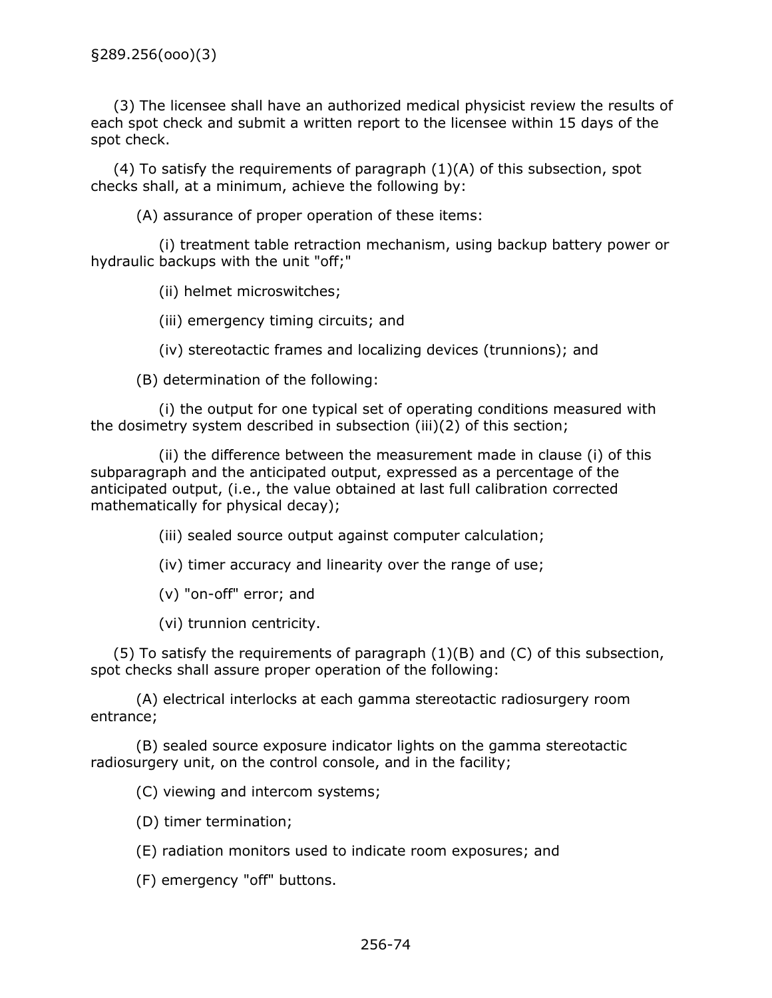(3) The licensee shall have an authorized medical physicist review the results of each spot check and submit a written report to the licensee within 15 days of the spot check.

(4) To satisfy the requirements of paragraph  $(1)(A)$  of this subsection, spot checks shall, at a minimum, achieve the following by:

(A) assurance of proper operation of these items:

(i) treatment table retraction mechanism, using backup battery power or hydraulic backups with the unit "off;"

(ii) helmet microswitches;

(iii) emergency timing circuits; and

(iv) stereotactic frames and localizing devices (trunnions); and

(B) determination of the following:

(i) the output for one typical set of operating conditions measured with the dosimetry system described in subsection (iii)(2) of this section;

(ii) the difference between the measurement made in clause (i) of this subparagraph and the anticipated output, expressed as a percentage of the anticipated output, (i.e., the value obtained at last full calibration corrected mathematically for physical decay);

(iii) sealed source output against computer calculation;

(iv) timer accuracy and linearity over the range of use;

(v) "on-off" error; and

(vi) trunnion centricity.

 $(5)$  To satisfy the requirements of paragraph  $(1)(B)$  and  $(C)$  of this subsection, spot checks shall assure proper operation of the following:

(A) electrical interlocks at each gamma stereotactic radiosurgery room entrance;

(B) sealed source exposure indicator lights on the gamma stereotactic radiosurgery unit, on the control console, and in the facility;

(C) viewing and intercom systems;

(D) timer termination;

(E) radiation monitors used to indicate room exposures; and

(F) emergency "off" buttons.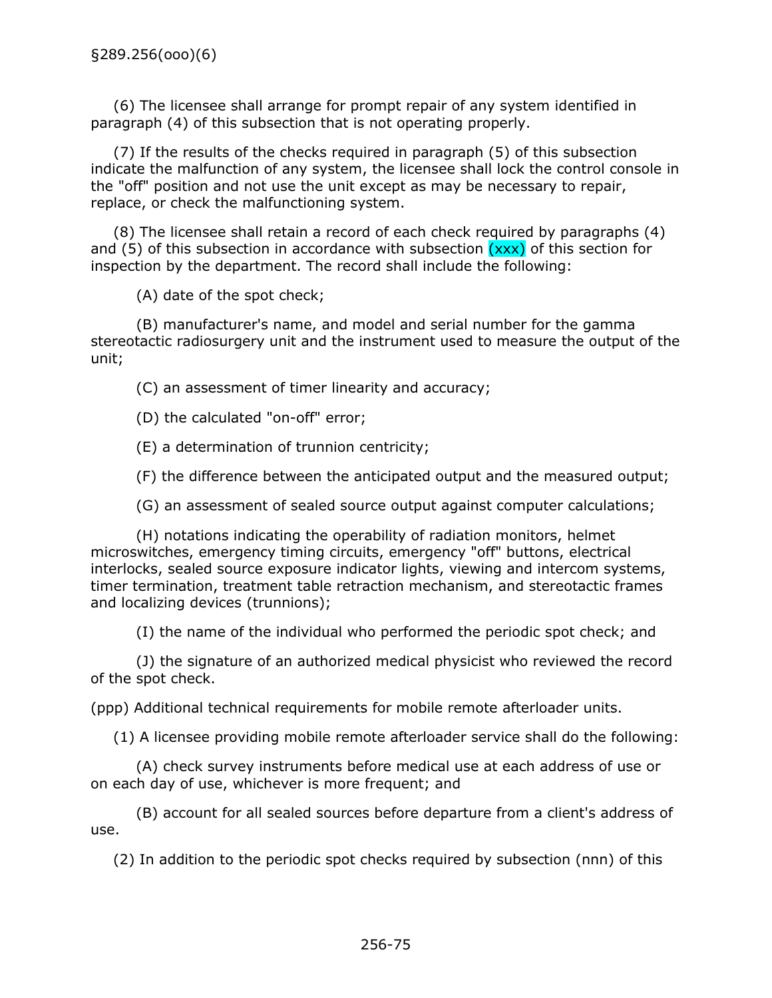(6) The licensee shall arrange for prompt repair of any system identified in paragraph (4) of this subsection that is not operating properly.

(7) If the results of the checks required in paragraph (5) of this subsection indicate the malfunction of any system, the licensee shall lock the control console in the "off" position and not use the unit except as may be necessary to repair, replace, or check the malfunctioning system.

(8) The licensee shall retain a record of each check required by paragraphs (4) and (5) of this subsection in accordance with subsection  $(xxx)$  of this section for inspection by the department. The record shall include the following:

(A) date of the spot check;

(B) manufacturer's name, and model and serial number for the gamma stereotactic radiosurgery unit and the instrument used to measure the output of the unit;

(C) an assessment of timer linearity and accuracy;

(D) the calculated "on-off" error;

(E) a determination of trunnion centricity;

(F) the difference between the anticipated output and the measured output;

(G) an assessment of sealed source output against computer calculations;

(H) notations indicating the operability of radiation monitors, helmet microswitches, emergency timing circuits, emergency "off" buttons, electrical interlocks, sealed source exposure indicator lights, viewing and intercom systems, timer termination, treatment table retraction mechanism, and stereotactic frames and localizing devices (trunnions);

(I) the name of the individual who performed the periodic spot check; and

(J) the signature of an authorized medical physicist who reviewed the record of the spot check.

(ppp) Additional technical requirements for mobile remote afterloader units.

(1) A licensee providing mobile remote afterloader service shall do the following:

(A) check survey instruments before medical use at each address of use or on each day of use, whichever is more frequent; and

(B) account for all sealed sources before departure from a client's address of use.

(2) In addition to the periodic spot checks required by subsection (nnn) of this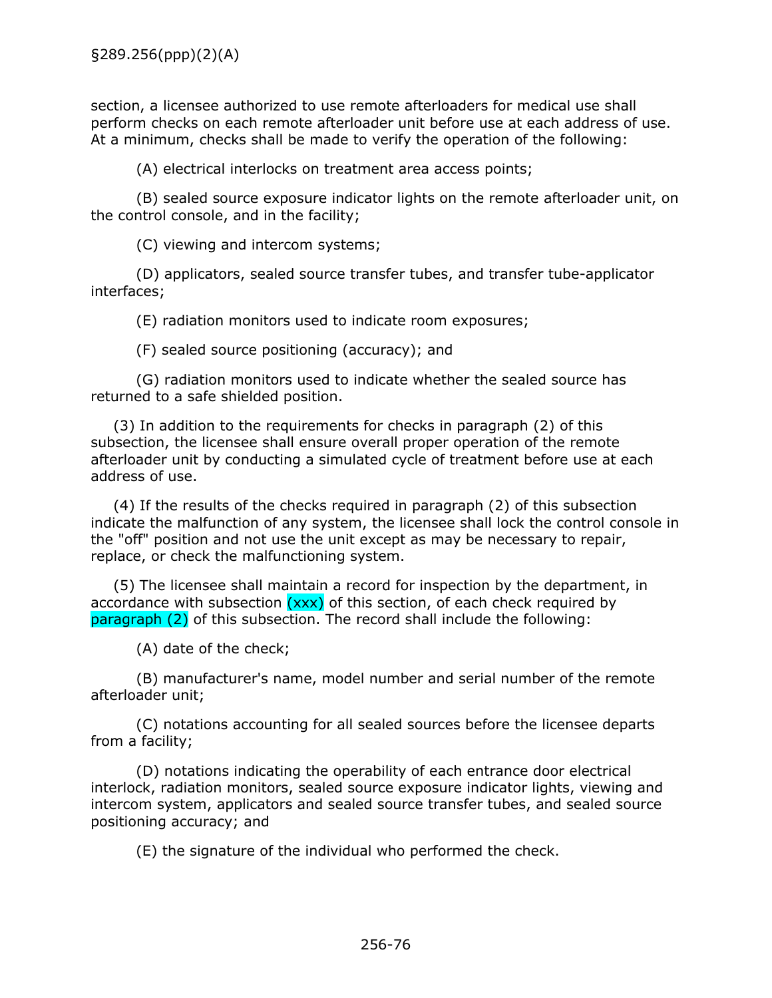section, a licensee authorized to use remote afterloaders for medical use shall perform checks on each remote afterloader unit before use at each address of use. At a minimum, checks shall be made to verify the operation of the following:

(A) electrical interlocks on treatment area access points;

(B) sealed source exposure indicator lights on the remote afterloader unit, on the control console, and in the facility;

(C) viewing and intercom systems;

(D) applicators, sealed source transfer tubes, and transfer tube-applicator interfaces;

(E) radiation monitors used to indicate room exposures;

(F) sealed source positioning (accuracy); and

(G) radiation monitors used to indicate whether the sealed source has returned to a safe shielded position.

(3) In addition to the requirements for checks in paragraph (2) of this subsection, the licensee shall ensure overall proper operation of the remote afterloader unit by conducting a simulated cycle of treatment before use at each address of use.

(4) If the results of the checks required in paragraph (2) of this subsection indicate the malfunction of any system, the licensee shall lock the control console in the "off" position and not use the unit except as may be necessary to repair, replace, or check the malfunctioning system.

(5) The licensee shall maintain a record for inspection by the department, in accordance with subsection  $(xxx)$  of this section, of each check required by paragraph (2) of this subsection. The record shall include the following:

(A) date of the check;

(B) manufacturer's name, model number and serial number of the remote afterloader unit;

(C) notations accounting for all sealed sources before the licensee departs from a facility;

(D) notations indicating the operability of each entrance door electrical interlock, radiation monitors, sealed source exposure indicator lights, viewing and intercom system, applicators and sealed source transfer tubes, and sealed source positioning accuracy; and

(E) the signature of the individual who performed the check.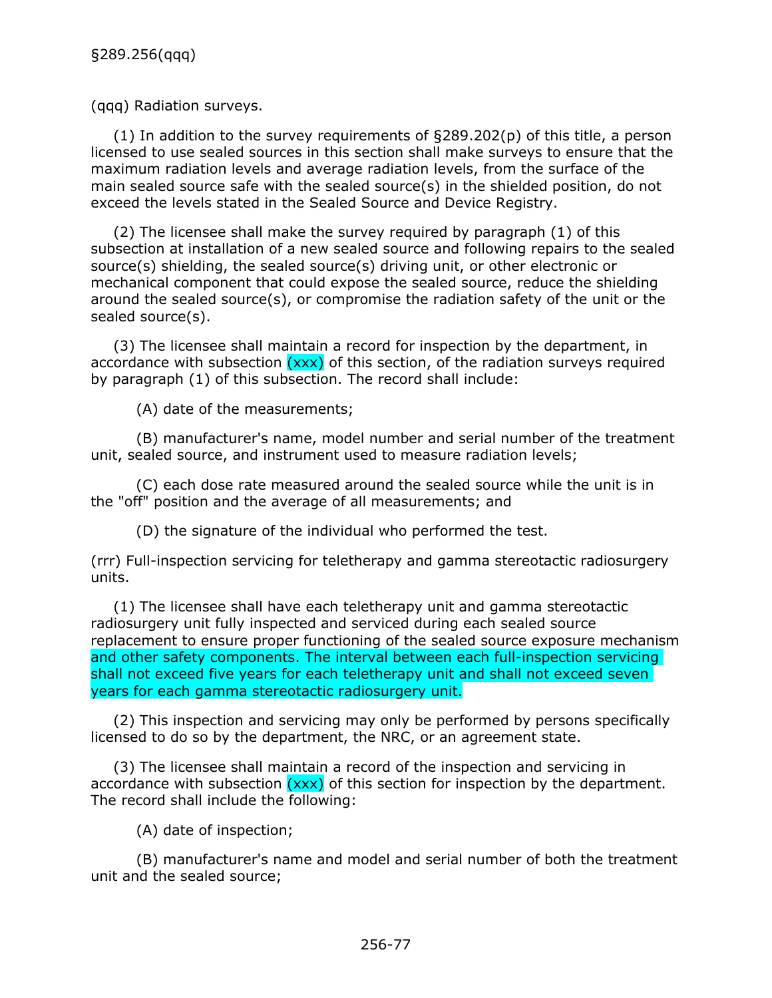(qqq) Radiation surveys.

(1) In addition to the survey requirements of §289.202(p) of this title, a person licensed to use sealed sources in this section shall make surveys to ensure that the maximum radiation levels and average radiation levels, from the surface of the main sealed source safe with the sealed source(s) in the shielded position, do not exceed the levels stated in the Sealed Source and Device Registry.

(2) The licensee shall make the survey required by paragraph (1) of this subsection at installation of a new sealed source and following repairs to the sealed source(s) shielding, the sealed source(s) driving unit, or other electronic or mechanical component that could expose the sealed source, reduce the shielding around the sealed source(s), or compromise the radiation safety of the unit or the sealed source(s).

(3) The licensee shall maintain a record for inspection by the department, in accordance with subsection  $(xxx)$  of this section, of the radiation surveys required by paragraph (1) of this subsection. The record shall include:

(A) date of the measurements;

(B) manufacturer's name, model number and serial number of the treatment unit, sealed source, and instrument used to measure radiation levels;

(C) each dose rate measured around the sealed source while the unit is in the "off" position and the average of all measurements; and

(D) the signature of the individual who performed the test.

(rrr) Full-inspection servicing for teletherapy and gamma stereotactic radiosurgery units.

(1) The licensee shall have each teletherapy unit and gamma stereotactic radiosurgery unit fully inspected and serviced during each sealed source replacement to ensure proper functioning of the sealed source exposure mechanism and other safety components. The interval between each full-inspection servicing shall not exceed five years for each teletherapy unit and shall not exceed seven years for each gamma stereotactic radiosurgery unit.

(2) This inspection and servicing may only be performed by persons specifically licensed to do so by the department, the NRC, or an agreement state.

(3) The licensee shall maintain a record of the inspection and servicing in accordance with subsection  $(xxx)$  of this section for inspection by the department. The record shall include the following:

(A) date of inspection;

(B) manufacturer's name and model and serial number of both the treatment unit and the sealed source;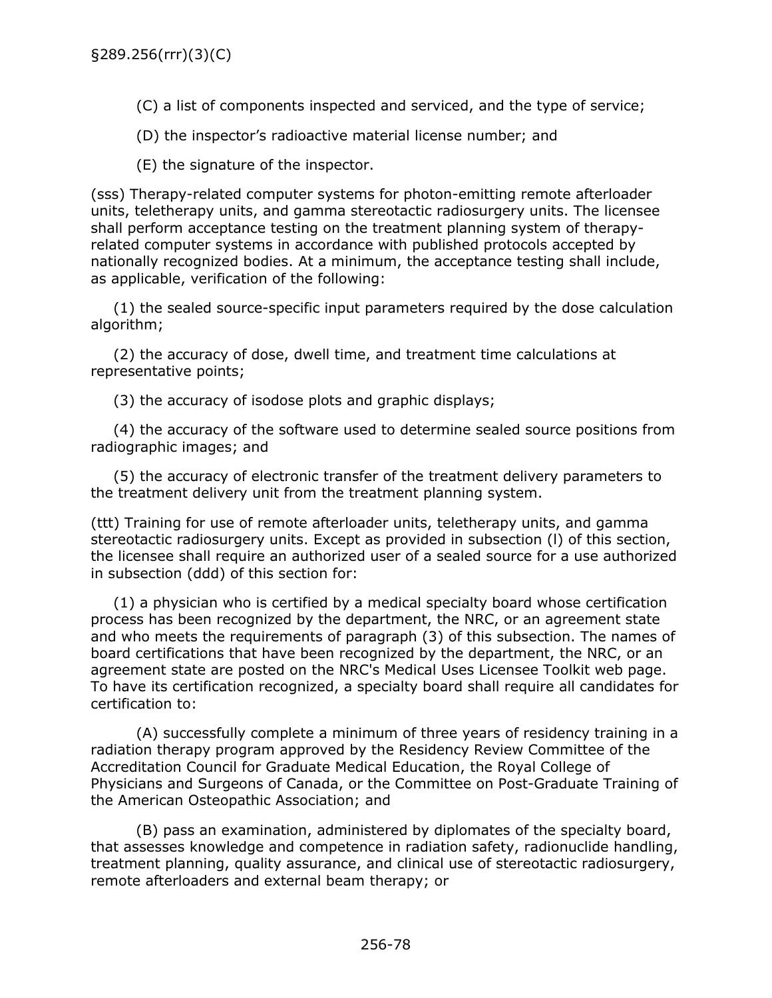(C) a list of components inspected and serviced, and the type of service;

(D) the inspector's radioactive material license number; and

(E) the signature of the inspector.

(sss) Therapy-related computer systems for photon-emitting remote afterloader units, teletherapy units, and gamma stereotactic radiosurgery units. The licensee shall perform acceptance testing on the treatment planning system of therapyrelated computer systems in accordance with published protocols accepted by nationally recognized bodies. At a minimum, the acceptance testing shall include, as applicable, verification of the following:

(1) the sealed source-specific input parameters required by the dose calculation algorithm;

(2) the accuracy of dose, dwell time, and treatment time calculations at representative points;

(3) the accuracy of isodose plots and graphic displays;

(4) the accuracy of the software used to determine sealed source positions from radiographic images; and

(5) the accuracy of electronic transfer of the treatment delivery parameters to the treatment delivery unit from the treatment planning system.

(ttt) Training for use of remote afterloader units, teletherapy units, and gamma stereotactic radiosurgery units. Except as provided in subsection (l) of this section, the licensee shall require an authorized user of a sealed source for a use authorized in subsection (ddd) of this section for:

(1) a physician who is certified by a medical specialty board whose certification process has been recognized by the department, the NRC, or an agreement state and who meets the requirements of paragraph (3) of this subsection. The names of board certifications that have been recognized by the department, the NRC, or an agreement state are posted on the NRC's Medical Uses Licensee Toolkit web page. To have its certification recognized, a specialty board shall require all candidates for certification to:

(A) successfully complete a minimum of three years of residency training in a radiation therapy program approved by the Residency Review Committee of the Accreditation Council for Graduate Medical Education, the Royal College of Physicians and Surgeons of Canada, or the Committee on Post-Graduate Training of the American Osteopathic Association; and

(B) pass an examination, administered by diplomates of the specialty board, that assesses knowledge and competence in radiation safety, radionuclide handling, treatment planning, quality assurance, and clinical use of stereotactic radiosurgery, remote afterloaders and external beam therapy; or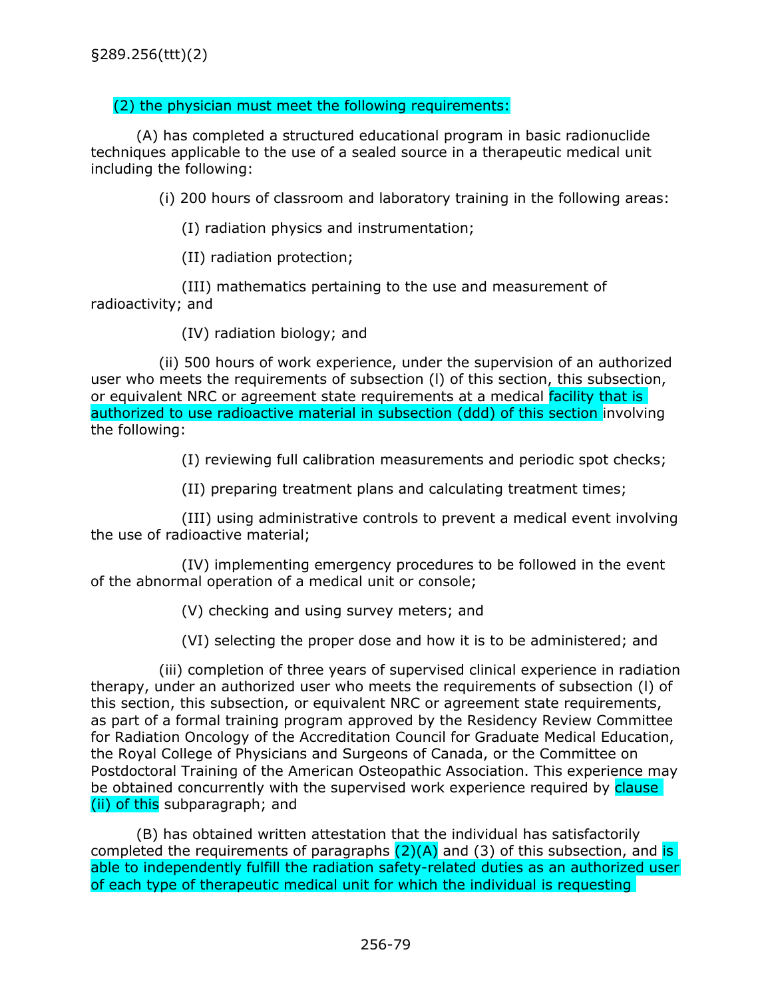## (2) the physician must meet the following requirements:

(A) has completed a structured educational program in basic radionuclide techniques applicable to the use of a sealed source in a therapeutic medical unit including the following:

(i) 200 hours of classroom and laboratory training in the following areas:

(I) radiation physics and instrumentation;

(II) radiation protection;

(III) mathematics pertaining to the use and measurement of radioactivity; and

(IV) radiation biology; and

(ii) 500 hours of work experience, under the supervision of an authorized user who meets the requirements of subsection (l) of this section, this subsection, or equivalent NRC or agreement state requirements at a medical facility that is authorized to use radioactive material in subsection (ddd) of this section involving the following:

(I) reviewing full calibration measurements and periodic spot checks;

(II) preparing treatment plans and calculating treatment times;

(III) using administrative controls to prevent a medical event involving the use of radioactive material;

(IV) implementing emergency procedures to be followed in the event of the abnormal operation of a medical unit or console;

(V) checking and using survey meters; and

(VI) selecting the proper dose and how it is to be administered; and

(iii) completion of three years of supervised clinical experience in radiation therapy, under an authorized user who meets the requirements of subsection (l) of this section, this subsection, or equivalent NRC or agreement state requirements, as part of a formal training program approved by the Residency Review Committee for Radiation Oncology of the Accreditation Council for Graduate Medical Education, the Royal College of Physicians and Surgeons of Canada, or the Committee on Postdoctoral Training of the American Osteopathic Association. This experience may be obtained concurrently with the supervised work experience required by clause (ii) of this subparagraph; and

(B) has obtained written attestation that the individual has satisfactorily completed the requirements of paragraphs  $(2)(A)$  and (3) of this subsection, and is able to independently fulfill the radiation safety-related duties as an authorized user of each type of therapeutic medical unit for which the individual is requesting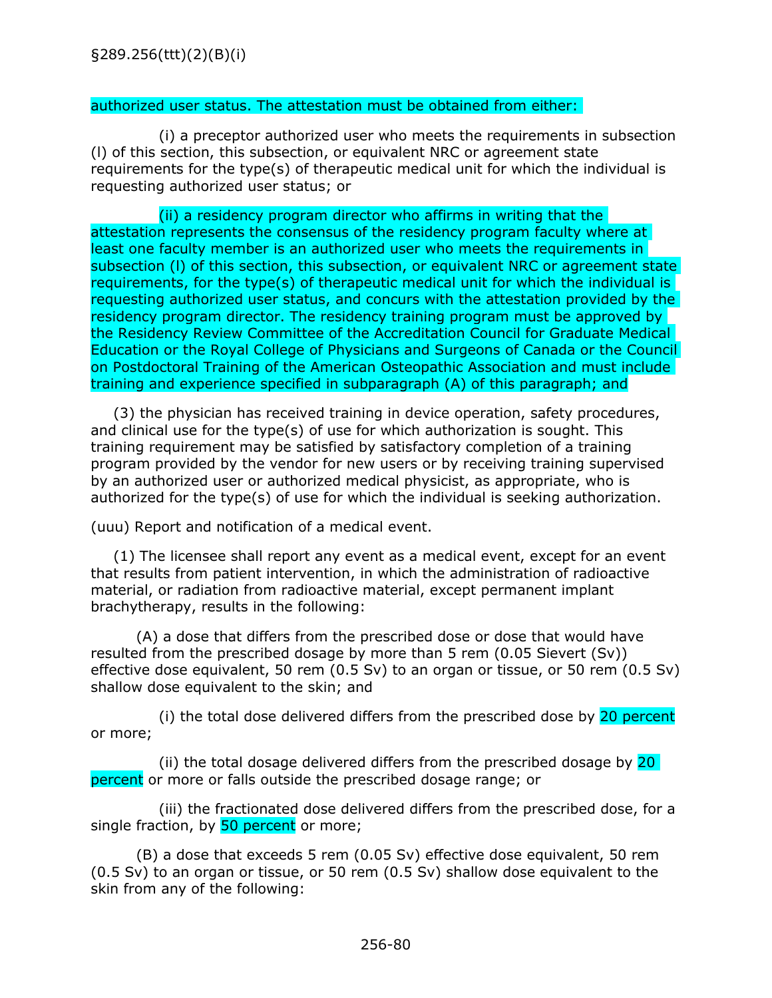## authorized user status. The attestation must be obtained from either:

(i) a preceptor authorized user who meets the requirements in subsection (l) of this section, this subsection, or equivalent NRC or agreement state requirements for the type(s) of therapeutic medical unit for which the individual is requesting authorized user status; or

(ii) a residency program director who affirms in writing that the attestation represents the consensus of the residency program faculty where at least one faculty member is an authorized user who meets the requirements in subsection (I) of this section, this subsection, or equivalent NRC or agreement state requirements, for the type(s) of therapeutic medical unit for which the individual is requesting authorized user status, and concurs with the attestation provided by the residency program director. The residency training program must be approved by the Residency Review Committee of the Accreditation Council for Graduate Medical Education or the Royal College of Physicians and Surgeons of Canada or the Council on Postdoctoral Training of the American Osteopathic Association and must include training and experience specified in subparagraph (A) of this paragraph; and

(3) the physician has received training in device operation, safety procedures, and clinical use for the type(s) of use for which authorization is sought. This training requirement may be satisfied by satisfactory completion of a training program provided by the vendor for new users or by receiving training supervised by an authorized user or authorized medical physicist, as appropriate, who is authorized for the type(s) of use for which the individual is seeking authorization.

(uuu) Report and notification of a medical event.

(1) The licensee shall report any event as a medical event, except for an event that results from patient intervention, in which the administration of radioactive material, or radiation from radioactive material, except permanent implant brachytherapy, results in the following:

(A) a dose that differs from the prescribed dose or dose that would have resulted from the prescribed dosage by more than 5 rem (0.05 Sievert (Sv)) effective dose equivalent, 50 rem (0.5 Sv) to an organ or tissue, or 50 rem (0.5 Sv) shallow dose equivalent to the skin; and

(i) the total dose delivered differs from the prescribed dose by 20 percent or more;

(ii) the total dosage delivered differs from the prescribed dosage by  $20$ percent or more or falls outside the prescribed dosage range; or

(iii) the fractionated dose delivered differs from the prescribed dose, for a single fraction, by 50 percent or more;

(B) a dose that exceeds 5 rem (0.05 Sv) effective dose equivalent, 50 rem (0.5 Sv) to an organ or tissue, or 50 rem (0.5 Sv) shallow dose equivalent to the skin from any of the following: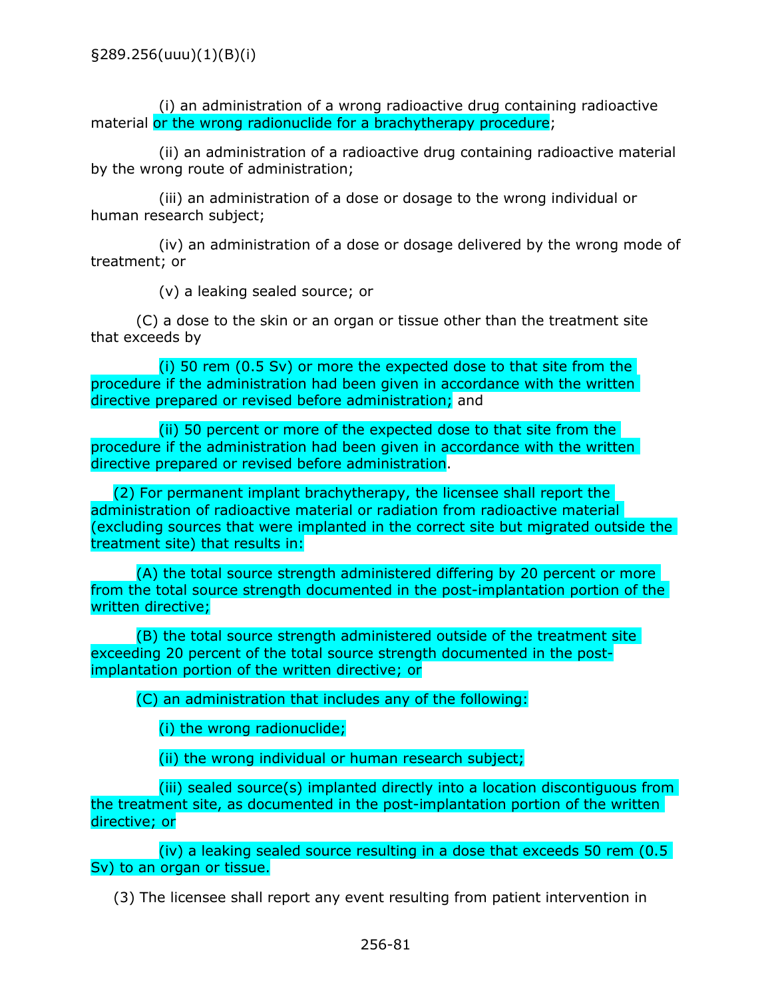(i) an administration of a wrong radioactive drug containing radioactive material or the wrong radionuclide for a brachytherapy procedure;

(ii) an administration of a radioactive drug containing radioactive material by the wrong route of administration;

(iii) an administration of a dose or dosage to the wrong individual or human research subject;

(iv) an administration of a dose or dosage delivered by the wrong mode of treatment; or

(v) a leaking sealed source; or

(C) a dose to the skin or an organ or tissue other than the treatment site that exceeds by

(i) 50 rem (0.5 Sv) or more the expected dose to that site from the procedure if the administration had been given in accordance with the written directive prepared or revised before administration; and

(ii) 50 percent or more of the expected dose to that site from the procedure if the administration had been given in accordance with the written directive prepared or revised before administration.

(2) For permanent implant brachytherapy, the licensee shall report the administration of radioactive material or radiation from radioactive material (excluding sources that were implanted in the correct site but migrated outside the treatment site) that results in:

(A) the total source strength administered differing by 20 percent or more from the total source strength documented in the post-implantation portion of the written directive;

(B) the total source strength administered outside of the treatment site exceeding 20 percent of the total source strength documented in the postimplantation portion of the written directive; or

(C) an administration that includes any of the following:

(i) the wrong radionuclide;

(ii) the wrong individual or human research subject;

(iii) sealed source(s) implanted directly into a location discontiguous from the treatment site, as documented in the post-implantation portion of the written directive; or

(iv) a leaking sealed source resulting in a dose that exceeds 50 rem (0.5 Sv) to an organ or tissue.

(3) The licensee shall report any event resulting from patient intervention in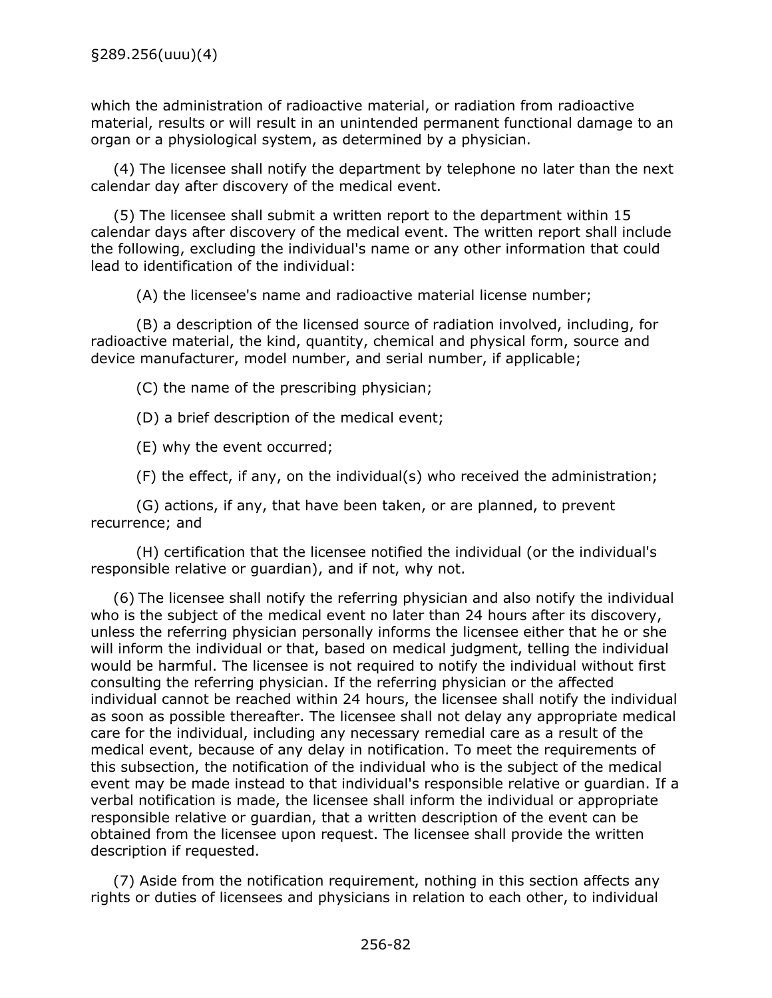which the administration of radioactive material, or radiation from radioactive material, results or will result in an unintended permanent functional damage to an organ or a physiological system, as determined by a physician.

(4) The licensee shall notify the department by telephone no later than the next calendar day after discovery of the medical event.

(5) The licensee shall submit a written report to the department within 15 calendar days after discovery of the medical event. The written report shall include the following, excluding the individual's name or any other information that could lead to identification of the individual:

(A) the licensee's name and radioactive material license number;

(B) a description of the licensed source of radiation involved, including, for radioactive material, the kind, quantity, chemical and physical form, source and device manufacturer, model number, and serial number, if applicable;

(C) the name of the prescribing physician;

(D) a brief description of the medical event;

(E) why the event occurred;

(F) the effect, if any, on the individual(s) who received the administration;

(G) actions, if any, that have been taken, or are planned, to prevent recurrence; and

(H) certification that the licensee notified the individual (or the individual's responsible relative or guardian), and if not, why not.

(6) The licensee shall notify the referring physician and also notify the individual who is the subject of the medical event no later than 24 hours after its discovery, unless the referring physician personally informs the licensee either that he or she will inform the individual or that, based on medical judgment, telling the individual would be harmful. The licensee is not required to notify the individual without first consulting the referring physician. If the referring physician or the affected individual cannot be reached within 24 hours, the licensee shall notify the individual as soon as possible thereafter. The licensee shall not delay any appropriate medical care for the individual, including any necessary remedial care as a result of the medical event, because of any delay in notification. To meet the requirements of this subsection, the notification of the individual who is the subject of the medical event may be made instead to that individual's responsible relative or guardian. If a verbal notification is made, the licensee shall inform the individual or appropriate responsible relative or guardian, that a written description of the event can be obtained from the licensee upon request. The licensee shall provide the written description if requested.

(7) Aside from the notification requirement, nothing in this section affects any rights or duties of licensees and physicians in relation to each other, to individual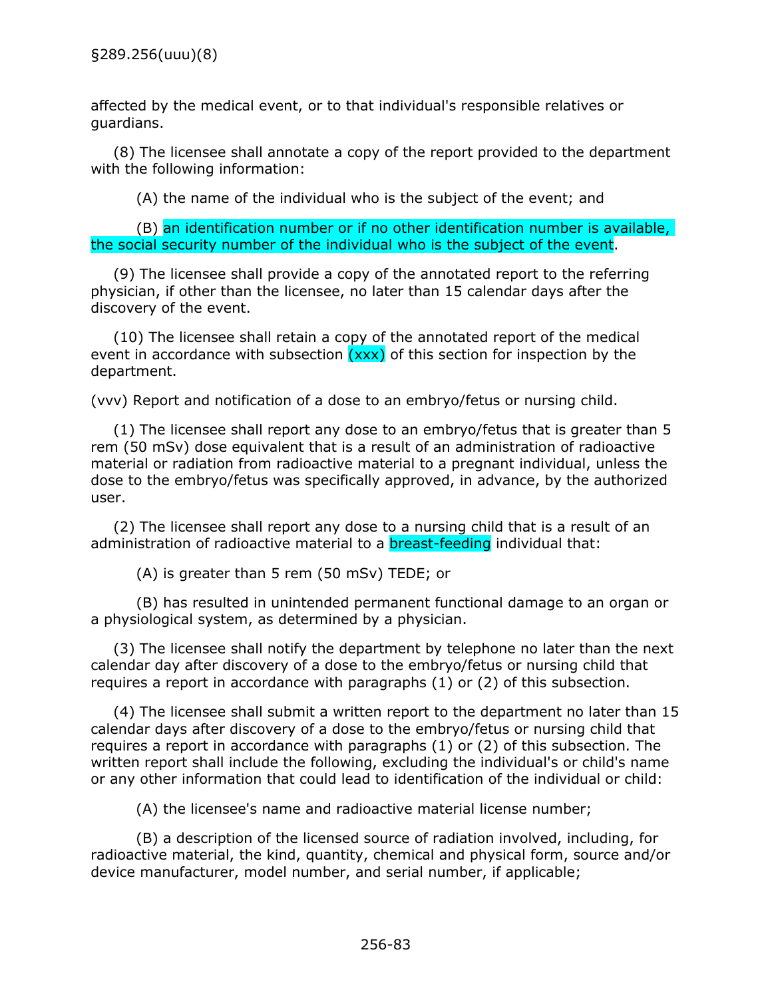affected by the medical event, or to that individual's responsible relatives or guardians.

(8) The licensee shall annotate a copy of the report provided to the department with the following information:

(A) the name of the individual who is the subject of the event; and

(B) an identification number or if no other identification number is available, the social security number of the individual who is the subject of the event.

(9) The licensee shall provide a copy of the annotated report to the referring physician, if other than the licensee, no later than 15 calendar days after the discovery of the event.

(10) The licensee shall retain a copy of the annotated report of the medical event in accordance with subsection  $(xxx)$  of this section for inspection by the department.

(vvv) Report and notification of a dose to an embryo/fetus or nursing child.

(1) The licensee shall report any dose to an embryo/fetus that is greater than 5 rem (50 mSv) dose equivalent that is a result of an administration of radioactive material or radiation from radioactive material to a pregnant individual, unless the dose to the embryo/fetus was specifically approved, in advance, by the authorized user.

(2) The licensee shall report any dose to a nursing child that is a result of an administration of radioactive material to a **breast-feeding** individual that:

(A) is greater than 5 rem (50 mSv) TEDE; or

(B) has resulted in unintended permanent functional damage to an organ or a physiological system, as determined by a physician.

(3) The licensee shall notify the department by telephone no later than the next calendar day after discovery of a dose to the embryo/fetus or nursing child that requires a report in accordance with paragraphs (1) or (2) of this subsection.

(4) The licensee shall submit a written report to the department no later than 15 calendar days after discovery of a dose to the embryo/fetus or nursing child that requires a report in accordance with paragraphs (1) or (2) of this subsection. The written report shall include the following, excluding the individual's or child's name or any other information that could lead to identification of the individual or child:

(A) the licensee's name and radioactive material license number;

(B) a description of the licensed source of radiation involved, including, for radioactive material, the kind, quantity, chemical and physical form, source and/or device manufacturer, model number, and serial number, if applicable;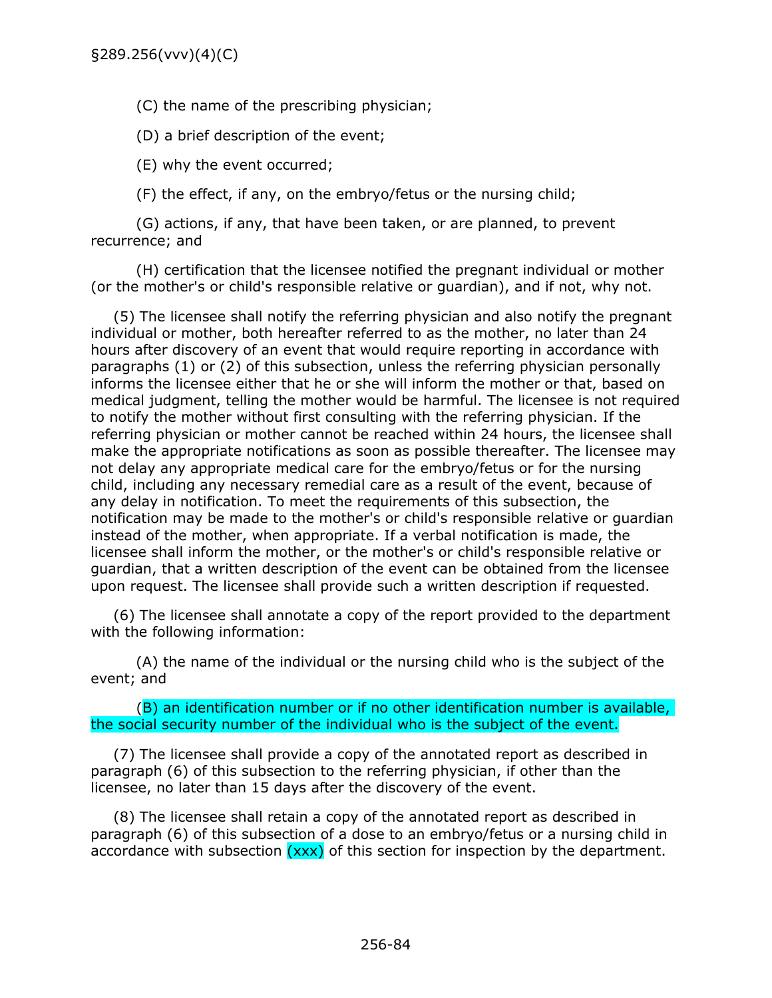(C) the name of the prescribing physician;

(D) a brief description of the event;

(E) why the event occurred;

(F) the effect, if any, on the embryo/fetus or the nursing child;

(G) actions, if any, that have been taken, or are planned, to prevent recurrence; and

(H) certification that the licensee notified the pregnant individual or mother (or the mother's or child's responsible relative or guardian), and if not, why not.

(5) The licensee shall notify the referring physician and also notify the pregnant individual or mother, both hereafter referred to as the mother, no later than 24 hours after discovery of an event that would require reporting in accordance with paragraphs (1) or (2) of this subsection, unless the referring physician personally informs the licensee either that he or she will inform the mother or that, based on medical judgment, telling the mother would be harmful. The licensee is not required to notify the mother without first consulting with the referring physician. If the referring physician or mother cannot be reached within 24 hours, the licensee shall make the appropriate notifications as soon as possible thereafter. The licensee may not delay any appropriate medical care for the embryo/fetus or for the nursing child, including any necessary remedial care as a result of the event, because of any delay in notification. To meet the requirements of this subsection, the notification may be made to the mother's or child's responsible relative or guardian instead of the mother, when appropriate. If a verbal notification is made, the licensee shall inform the mother, or the mother's or child's responsible relative or guardian, that a written description of the event can be obtained from the licensee upon request. The licensee shall provide such a written description if requested.

(6) The licensee shall annotate a copy of the report provided to the department with the following information:

(A) the name of the individual or the nursing child who is the subject of the event; and

(B) an identification number or if no other identification number is available, the social security number of the individual who is the subject of the event.

(7) The licensee shall provide a copy of the annotated report as described in paragraph (6) of this subsection to the referring physician, if other than the licensee, no later than 15 days after the discovery of the event.

(8) The licensee shall retain a copy of the annotated report as described in paragraph (6) of this subsection of a dose to an embryo/fetus or a nursing child in accordance with subsection  $(xxx)$  of this section for inspection by the department.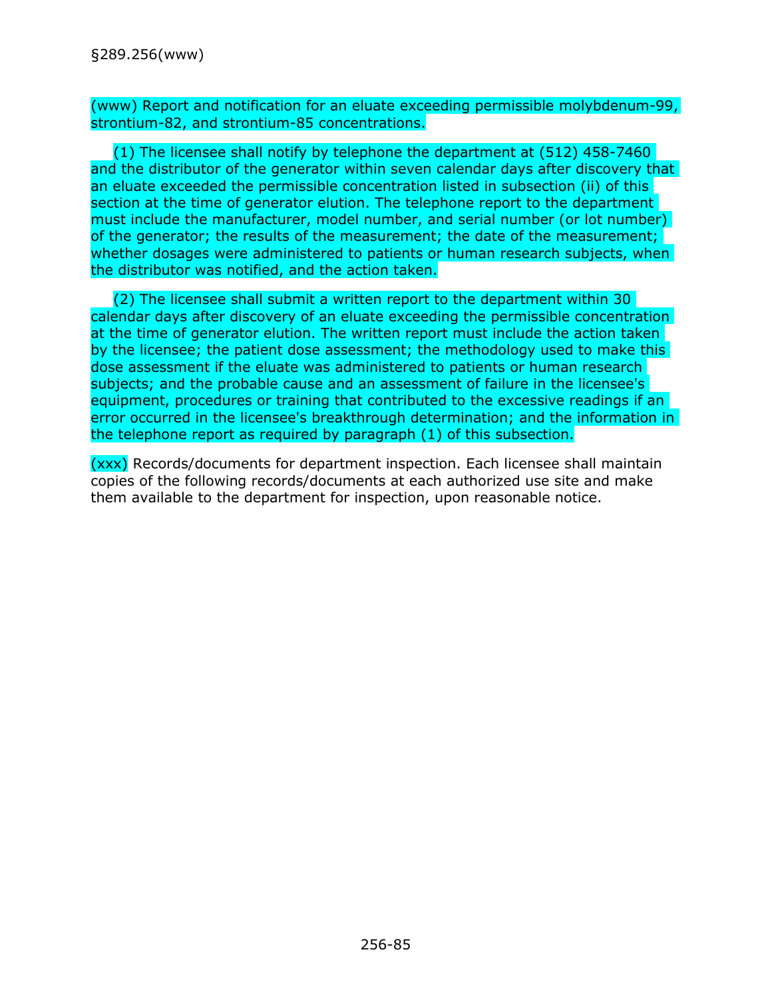(www) Report and notification for an eluate exceeding permissible molybdenum-99, strontium-82, and strontium-85 concentrations.

(1) The licensee shall notify by telephone the department at (512) 458-7460 and the distributor of the generator within seven calendar days after discovery that an eluate exceeded the permissible concentration listed in subsection (ii) of this section at the time of generator elution. The telephone report to the department must include the manufacturer, model number, and serial number (or lot number) of the generator; the results of the measurement; the date of the measurement; whether dosages were administered to patients or human research subjects, when the distributor was notified, and the action taken.

(2) The licensee shall submit a written report to the department within 30 calendar days after discovery of an eluate exceeding the permissible concentration at the time of generator elution. The written report must include the action taken by the licensee; the patient dose assessment; the methodology used to make this dose assessment if the eluate was administered to patients or human research subjects; and the probable cause and an assessment of failure in the licensee's equipment, procedures or training that contributed to the excessive readings if an error occurred in the licensee's breakthrough determination; and the information in the telephone report as required by paragraph (1) of this subsection.

(xxx) Records/documents for department inspection. Each licensee shall maintain copies of the following records/documents at each authorized use site and make them available to the department for inspection, upon reasonable notice.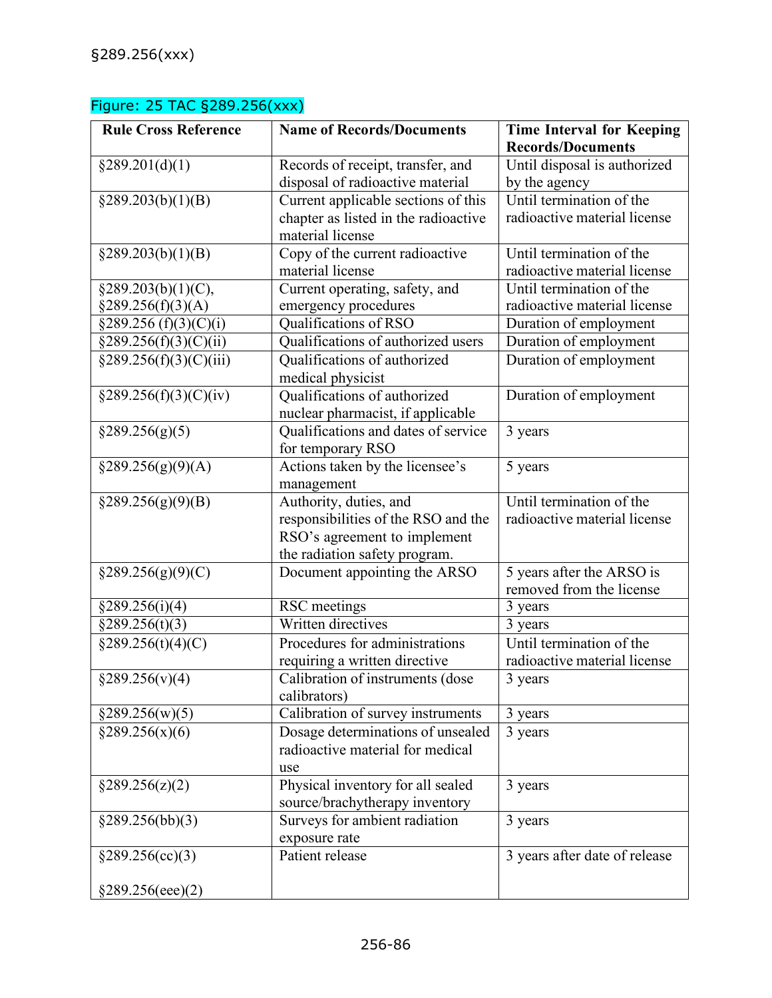## Figure: 25 TAC §289.256(xxx)

| <b>Rule Cross Reference</b> | <b>Name of Records/Documents</b>     | <b>Time Interval for Keeping</b> |
|-----------------------------|--------------------------------------|----------------------------------|
|                             |                                      | <b>Records/Documents</b>         |
| §289.201(d)(1)              | Records of receipt, transfer, and    | Until disposal is authorized     |
|                             | disposal of radioactive material     | by the agency                    |
| §289.203(b)(1)(B)           | Current applicable sections of this  | Until termination of the         |
|                             | chapter as listed in the radioactive | radioactive material license     |
|                             | material license                     |                                  |
| §289.203(b)(1)(B)           | Copy of the current radioactive      | Until termination of the         |
|                             | material license                     | radioactive material license     |
| §289.203(b)(1)(C),          | Current operating, safety, and       | Until termination of the         |
| §289.256(f)(3)(A)           | emergency procedures                 | radioactive material license     |
| §289.256(f)(3)(C)(i)        | Qualifications of RSO                | Duration of employment           |
| $\S 289.256(f)(3)(C)(ii)$   | Qualifications of authorized users   | Duration of employment           |
| §289.256(f)(3)(C)(iii)      | Qualifications of authorized         | Duration of employment           |
|                             | medical physicist                    |                                  |
| §289.256(f)(3)(C)(iv)       | Qualifications of authorized         | Duration of employment           |
|                             | nuclear pharmacist, if applicable    |                                  |
| §289.256(g)(5)              | Qualifications and dates of service  | 3 years                          |
|                             | for temporary RSO                    |                                  |
| $\S 289.256(g)(9)(A)$       | Actions taken by the licensee's      | 5 years                          |
|                             | management                           |                                  |
| §289.256(g)(9)(B)           | Authority, duties, and               | Until termination of the         |
|                             | responsibilities of the RSO and the  | radioactive material license     |
|                             | RSO's agreement to implement         |                                  |
|                             | the radiation safety program.        |                                  |
| $\S 289.256(g)(9)(C)$       | Document appointing the ARSO         | 5 years after the ARSO is        |
|                             |                                      | removed from the license         |
| §289.256(i)(4)              | RSC meetings                         | 3 years                          |
| §289.256(t)(3)              | Written directives                   | 3 years                          |
| §289.256(t)(4)(C)           | Procedures for administrations       | Until termination of the         |
|                             | requiring a written directive        | radioactive material license     |
| §289.256(v)(4)              | Calibration of instruments (dose     | 3 years                          |
|                             | calibrators)                         |                                  |
| §289.256(w)(5)              | Calibration of survey instruments    | 3 years                          |
| §289.256(x)(6)              | Dosage determinations of unsealed    | 3 years                          |
|                             | radioactive material for medical     |                                  |
|                             | use                                  |                                  |
| §289.256(z)(2)              | Physical inventory for all sealed    | 3 years                          |
|                             | source/brachytherapy inventory       |                                  |
| §289.256(bb)(3)             | Surveys for ambient radiation        | 3 years                          |
|                             | exposure rate                        |                                  |
| §289.256(cc)(3)             | Patient release                      | 3 years after date of release    |
|                             |                                      |                                  |
| §289.256(eee)(2)            |                                      |                                  |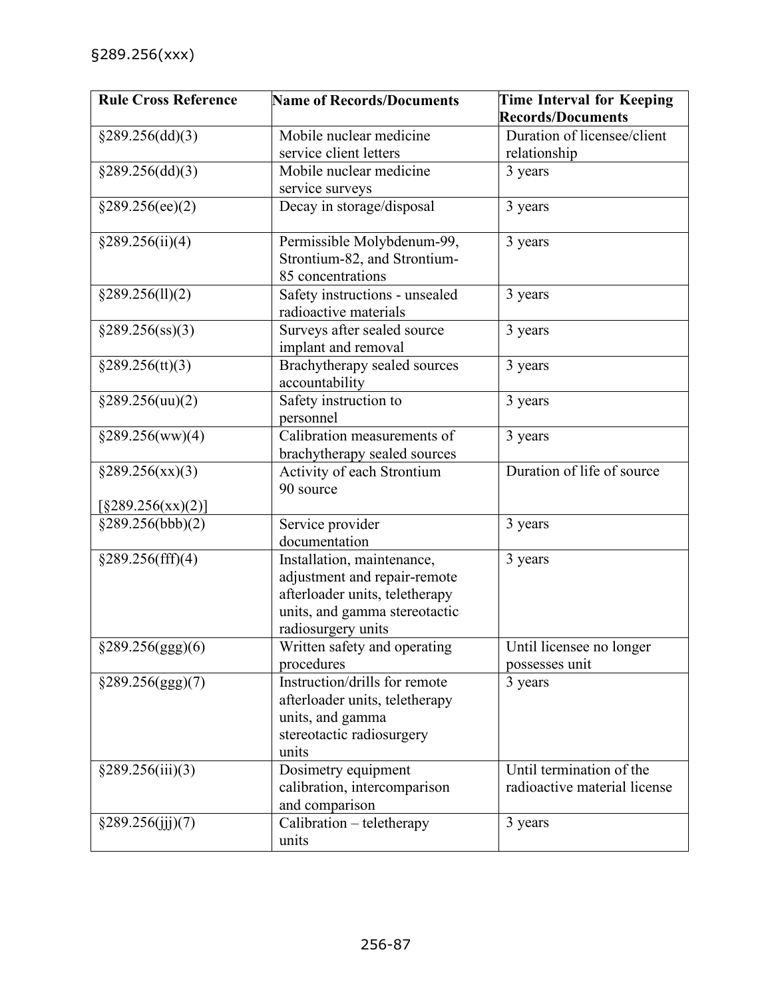| <b>Rule Cross Reference</b> | <b>Name of Records/Documents</b> | Time Interval for Keeping    |
|-----------------------------|----------------------------------|------------------------------|
|                             |                                  | <b>Records/Documents</b>     |
| §289.256(dd)(3)             | Mobile nuclear medicine          | Duration of licensee/client  |
|                             | service client letters           | relationship                 |
| §289.256(dd)(3)             | Mobile nuclear medicine          | 3 years                      |
|                             | service surveys                  |                              |
| §289.256(ee)(2)             | Decay in storage/disposal        | 3 years                      |
| §289.256(ii)(4)             | Permissible Molybdenum-99,       | 3 years                      |
|                             | Strontium-82, and Strontium-     |                              |
|                             | 85 concentrations                |                              |
| §289.256(11)(2)             | Safety instructions - unsealed   | 3 years                      |
|                             | radioactive materials            |                              |
| $\S 289.256$ (ss)(3)        | Surveys after sealed source      | 3 years                      |
|                             | implant and removal              |                              |
| §289.256(tt)(3)             | Brachytherapy sealed sources     | 3 years                      |
|                             | accountability                   |                              |
| $\S 289.256(uu)(2)$         | Safety instruction to            | 3 years                      |
|                             | personnel                        |                              |
| §289.256(ww)(4)             | Calibration measurements of      | 3 years                      |
|                             | brachytherapy sealed sources     |                              |
| $\S 289.256(xx)(3)$         | Activity of each Strontium       | Duration of life of source   |
|                             | 90 source                        |                              |
| [§289.256(xx)(2)]           |                                  |                              |
| §289.256(bbb)(2)            | Service provider                 | 3 years                      |
|                             | documentation                    |                              |
| §289.256(fff)(4)            | Installation, maintenance,       | 3 years                      |
|                             | adjustment and repair-remote     |                              |
|                             | afterloader units, teletherapy   |                              |
|                             | units, and gamma stereotactic    |                              |
|                             | radiosurgery units               |                              |
| $\S 289.256(ggg)(6)$        | Written safety and operating     | Until licensee no longer     |
|                             | procedures                       | possesses unit               |
| §289.256(ggg)(7)            | Instruction/drills for remote    | 3 years                      |
|                             | afterloader units, teletherapy   |                              |
|                             | units, and gamma                 |                              |
|                             | stereotactic radiosurgery        |                              |
|                             | units                            |                              |
| §289.256(iii)(3)            | Dosimetry equipment              | Until termination of the     |
|                             | calibration, intercomparison     | radioactive material license |
|                             | and comparison                   |                              |
| §289.256(ijj)(7)            | Calibration - teletherapy        | 3 years                      |
|                             | units                            |                              |